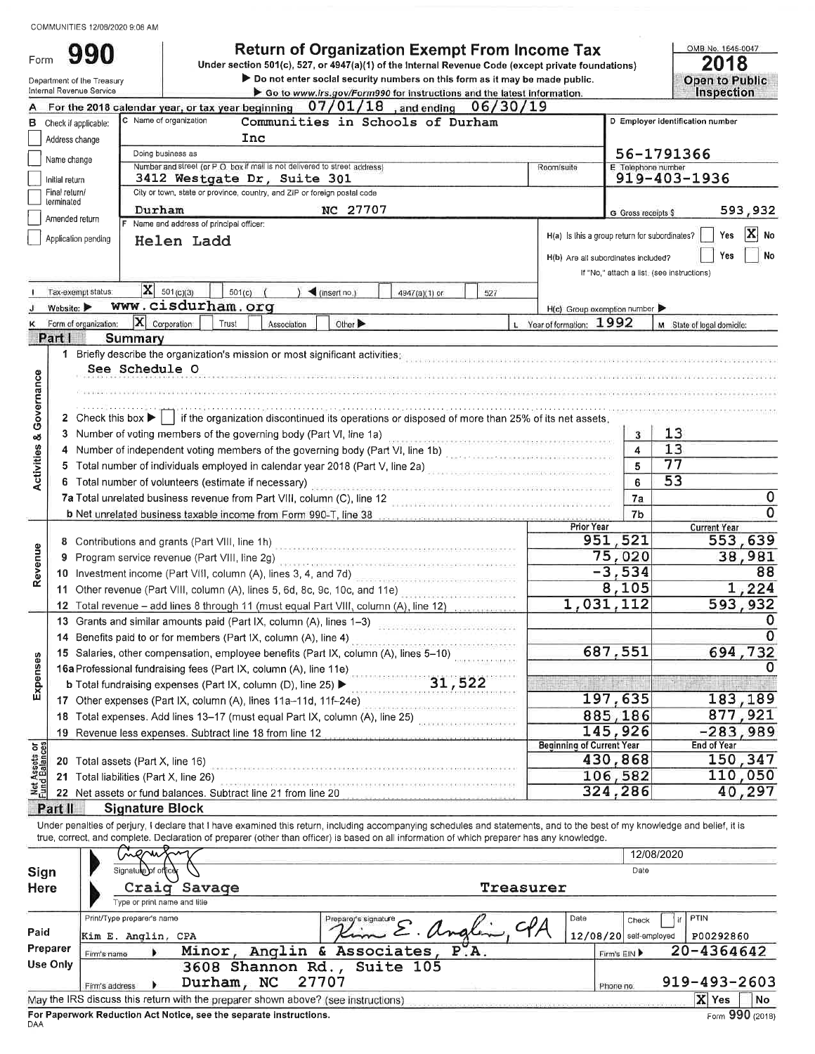990 Form

OMB No. 1545-0047 2018 Open to Public Inspection

593,932

Yes  $\overline{X}$  No

an a shekarar a shekarar ta tara ta ta ta

ing manayarayan di katalog ay ang taong tin

 $\label{eq:constr-1} \begin{split} \mathcal{F}_{\mathcal{A}}(X) = \mathcal{F}_{\mathcal{A}}(X) = \mathcal{F}_{\mathcal{A}}(X) = \mathcal{F}_{\mathcal{A}}(X) = \mathcal{F}_{\mathcal{A}}(X) = \mathcal{F}_{\mathcal{A}}(X) = \mathcal{F}_{\mathcal{A}}(X) = \mathcal{F}_{\mathcal{A}}(X) = \mathcal{F}_{\mathcal{A}}(X) = \mathcal{F}_{\mathcal{A}}(X) = \mathcal{F}_{\mathcal{A}}(X) = \mathcal{F}_{\mathcal{A}}(X) = \mathcal{F}_{\mathcal{A}}($ 

No

| Department of the Treasun |
|---------------------------|
| Internal Revenue Service  |

Part I

Α

 $\, {\bf B}$ 

 $\overline{\phantom{a}}$ 

Ĵ

ĸ

**Activities & Governance** 

 $\sim$ 

|                                                | <b>Return of Organization Exempt From Income Tax</b><br>Under section 501(c), 527, or 4947(a)(1) of the Internal Revenue Code (except private foundations)                                |                           |                                                                                      | OMB No. 1545-00<br>2018          |
|------------------------------------------------|-------------------------------------------------------------------------------------------------------------------------------------------------------------------------------------------|---------------------------|--------------------------------------------------------------------------------------|----------------------------------|
| artment of the Treasurv<br>nal Revenue Service | Do not enter social security numbers on this form as it may be made public.<br>Go to www.irs.gov/Form990 for instructions and the latest information.                                     |                           |                                                                                      | Open to Pu<br>Inspectio          |
|                                                | 07/01/18 , and ending 06/30/19<br>For the 2018 calendar year, or tax year beginning                                                                                                       |                           |                                                                                      |                                  |
| Check if applicable:                           | C Name of organization<br>Communities in Schools of Durham                                                                                                                                |                           |                                                                                      | D Employer identification number |
| Address change                                 | Inc                                                                                                                                                                                       |                           |                                                                                      |                                  |
| Name change                                    | Doing business as                                                                                                                                                                         |                           |                                                                                      | 56-1791366                       |
|                                                | Number and street (or P.O. box if mail is not delivered to street address)<br>3412 Westgate Dr, Suite 301                                                                                 | Room/suite                | E Telephone number                                                                   | 919-403-1936                     |
| Initial return<br>Final return/                | City or town, state or province, country, and ZIP or foreign postal code                                                                                                                  |                           |                                                                                      |                                  |
| lerminaled                                     | Durham<br>NC 27707                                                                                                                                                                        |                           |                                                                                      |                                  |
| Amended return                                 | F Name and address of principal officer:                                                                                                                                                  |                           | G Gross receipts \$                                                                  | 593                              |
| Application pending                            | Helen Ladd                                                                                                                                                                                |                           | H(a) Is this a group return for subordinates?<br>H(b) Are all subordinates included? | Yes<br>Yes                       |
| Tax-exempt status:                             | $X = 501(c)(3)$<br>(insert no.)<br>501(c)<br>4947(a)(1) or<br>527                                                                                                                         |                           | If "No," attach a list; (see instructions)                                           |                                  |
| Website:                                       | www.cisdurham.org                                                                                                                                                                         |                           | H(c) Group exemption number                                                          |                                  |
| Form of organization:                          | X Corporation<br>Other ▶<br>Trust<br>Association                                                                                                                                          | L Year of formation: 1992 |                                                                                      | M State of legal domicile:       |
| art I<br>Summary                               |                                                                                                                                                                                           |                           |                                                                                      |                                  |
|                                                | See Schedule O                                                                                                                                                                            |                           |                                                                                      |                                  |
| 2                                              | Check this box $\blacktriangleright$   if the organization discontinued its operations or disposed of more than 25% of its net assets.                                                    |                           |                                                                                      |                                  |
|                                                | Number of voting members of the governing body (Part VI, line 1a)<br>.<br>In the first production in the first details and more conditions for a first position and on the first or an or |                           | 3                                                                                    | 13                               |
| 4                                              | Number of independent voting members of the governing body (Part VI, line 1b)                                                                                                             |                           | $\overline{\mathbf{A}}$                                                              | 13                               |
|                                                | Total number of individuals employed in calendar year 2018 (Part V, line 2a)                                                                                                              |                           | 5                                                                                    | 77                               |
| 6.                                             | Total number of volunteers (estimate if necessary)<br>.<br>Contra la ciudad de la calcada de la calcada de la calcada de la calcada de la calcada de la calcada de la cal                 |                           | 6                                                                                    | 53                               |
|                                                | 7a Total unrelated business revenue from Part VIII, column (C), line 12<br>an origines pay morning and may use and the contract warm to the crocket                                       |                           | 7a                                                                                   |                                  |
|                                                | b Net unrelated business taxable income from Form 990-T, line 38                                                                                                                          |                           | 7b                                                                                   |                                  |

|                      | 7a Total unrelated business revenue from Part VIII, column (C), line 12                                                             | 7а                                                                                |                     |
|----------------------|-------------------------------------------------------------------------------------------------------------------------------------|-----------------------------------------------------------------------------------|---------------------|
|                      | b Net unrelated business taxable income from Form 990-T, line 38                                                                    | 7b                                                                                |                     |
|                      |                                                                                                                                     | <b>Prior Year</b>                                                                 | <b>Current Year</b> |
|                      | Contributions and grants (Part VIII, line 1h)<br>8                                                                                  | 951,521                                                                           | 553,639             |
|                      | Program service revenue (Part VIII, line 2g)<br>9                                                                                   | 75,020<br><b>IODOLO - REIODOLO (ESTODOLO ESTODOLO) ES CON PRODUCER INFERIOREN</b> | 38,981              |
| Reven                | 10 Investment income (Part VIII, column (A), lines 3, 4, and 7d)                                                                    | $-3,534$                                                                          | 88                  |
|                      | 11 Other revenue (Part VIII, column (A), lines 5, 6d, 8c, 9c, 10c, and 11e)                                                         | 8,105                                                                             | 1,224               |
|                      | 12 Total revenue - add lines 8 through 11 (must equal Part VIII, column (A), line 12)                                               | 1,031,112                                                                         | 593,932             |
|                      | 13 Grants and similar amounts paid (Part IX, column (A), lines 1-3)                                                                 |                                                                                   |                     |
|                      | 14 Benefits paid to or for members (Part IX, column (A), line 4)                                                                    | .<br>Kabupaten mengan pengan mengan di pengan di di pengan                        |                     |
| 2                    | 15 Salaries, other compensation, employee benefits (Part IX, column (A), lines 5-10)                                                | 687,551                                                                           | 694,732             |
| ens                  | 15 Salaries, Juliet Competition, Part IX, column (A), line 11e)<br>16a Professional fundraising fees (Part IX, column (A), line 25) |                                                                                   |                     |
| ē.                   | <b>b</b> Total fundraising expenses (Part IX, column (D), line 25) $\blacktriangleright$                                            |                                                                                   |                     |
| 囚                    | 17 Other expenses (Part IX, column (A), lines 11a-11d, 11f-24e)                                                                     | 197,635                                                                           | 183,189             |
|                      | 18 Total expenses. Add lines 13-17 (must equal Part IX, column (A), line 25)                                                        | 885,186                                                                           | 877,921             |
|                      | 19 Revenue less expenses. Subtract line 18 from line 12                                                                             | 145,926                                                                           | $-283,989$          |
| <b>៦</b> ខ           |                                                                                                                                     | <b>Beginning of Current Year</b>                                                  | End of Year         |
|                      | Total assets (Part X, line 16)<br>20                                                                                                | 430,868                                                                           | 150,347             |
| t Assets<br>d Balano | Total liabilities (Part X, line 26)<br>21                                                                                           | 106,582                                                                           | 110,050             |
|                      | 22 Net assets or fund balances. Subtract line 21 from line 20                                                                       | 324,286                                                                           | 40,297              |

 $Part II$ **Signature Block** 

Under penalties of perjury, I declare that I have examined this return, including accompanying schedules and statements, and to the best of my knowledge and belief, it is true, correct, and complete. Declaration of preparer (other than officer) is based on all information of which preparer has any knowledge.

|          | <i>Grentin</i>                                                                    |                                | 12/08/2020                            |
|----------|-----------------------------------------------------------------------------------|--------------------------------|---------------------------------------|
| Sign     | Signatuke of officer                                                              |                                | Date                                  |
| Here     | Craig Savage                                                                      |                                | Treasurer                             |
|          | Type or print name and title                                                      |                                |                                       |
|          | Print/Type preparer's name                                                        | Preparer's signature           | Date<br><b>PTIN</b><br>Check          |
| Paid     | Kim E. Anglin, CPA                                                                |                                | $12/08/20$ self-employed<br>P00292860 |
| Preparer | Minor,<br>Firm's name                                                             | Anglin & Associates, P.A.      | 20-4364642<br>Firm's EIN              |
| Use Only |                                                                                   | 3608 Shannon Rd.,<br>Suite 105 |                                       |
|          | Durham, NC<br>Firm's address                                                      | 27707                          | $919 - 493 - 2603$<br>Phone no.       |
|          | May the IRS discuss this return with the preparer shown above? (see instructions) |                                | X Yes<br><b>No</b>                    |
| DAA      | For Paperwork Reduction Act Notice, see the separate instructions.                |                                | Form 990 (2018)                       |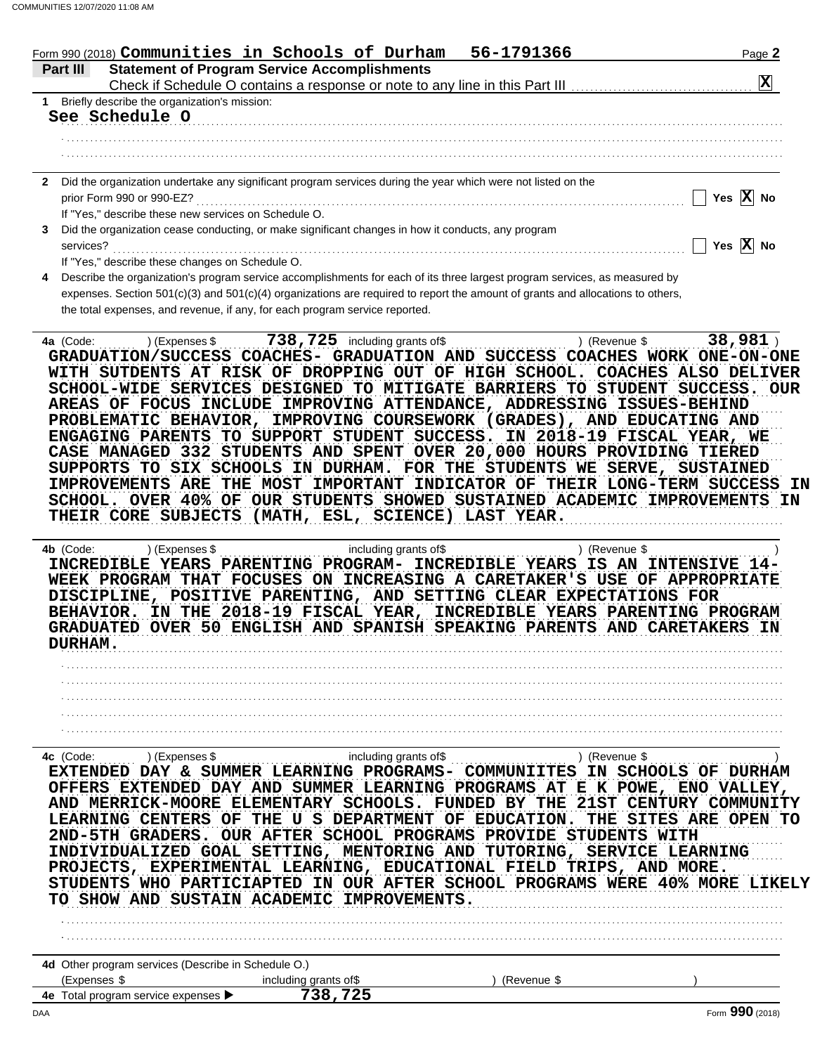|           | <b>Statement of Program Service Accomplishments</b>                                                                                                              |                       |
|-----------|------------------------------------------------------------------------------------------------------------------------------------------------------------------|-----------------------|
|           |                                                                                                                                                                  | $ \mathbf{X} $        |
|           | 1 Briefly describe the organization's mission:                                                                                                                   |                       |
|           | See Schedule O                                                                                                                                                   |                       |
|           |                                                                                                                                                                  |                       |
|           |                                                                                                                                                                  |                       |
|           | Did the organization undertake any significant program services during the year which were not listed on the                                                     |                       |
|           | prior Form 990 or 990-EZ?                                                                                                                                        | Yes $\overline{X}$ No |
|           | If "Yes," describe these new services on Schedule O.                                                                                                             |                       |
|           | Did the organization cease conducting, or make significant changes in how it conducts, any program                                                               |                       |
| services? |                                                                                                                                                                  | Yes $\overline{X}$ No |
|           | If "Yes," describe these changes on Schedule O.                                                                                                                  |                       |
|           | Describe the organization's program service accomplishments for each of its three largest program services, as measured by                                       |                       |
|           | expenses. Section 501(c)(3) and 501(c)(4) organizations are required to report the amount of grants and allocations to others,                                   |                       |
|           | the total expenses, and revenue, if any, for each program service reported.                                                                                      |                       |
|           |                                                                                                                                                                  |                       |
| 4a (Code: | $\overline{738}$ , $725$ including grants of \$<br>) (Expenses \$<br>) (Revenue \$<br>GRADUATION/SUCCESS COACHES- GRADUATION AND SUCCESS COACHES WORK ONE-ON-ONE | 38,981                |
|           | WITH SUTDENTS AT RISK OF DROPPING OUT OF HIGH SCHOOL. COACHES ALSO DELIVER                                                                                       |                       |
|           | SCHOOL-WIDE SERVICES DESIGNED TO MITIGATE BARRIERS TO STUDENT SUCCESS. OUR                                                                                       |                       |
|           | AREAS OF FOCUS INCLUDE IMPROVING ATTENDANCE, ADDRESSING ISSUES-BEHIND                                                                                            |                       |
|           | PROBLEMATIC BEHAVIOR, IMPROVING COURSEWORK (GRADES), AND EDUCATING AND                                                                                           |                       |
|           |                                                                                                                                                                  |                       |
|           | ENGAGING PARENTS TO SUPPORT STUDENT SUCCESS. IN 2018-19 FISCAL YEAR, WE                                                                                          |                       |
|           | CASE MANAGED 332 STUDENTS AND SPENT OVER 20,000 HOURS PROVIDING TIERED                                                                                           |                       |
|           | SUPPORTS TO SIX SCHOOLS IN DURHAM. FOR THE STUDENTS WE SERVE, SUSTAINED                                                                                          |                       |
|           |                                                                                                                                                                  |                       |
|           | IMPROVEMENTS ARE THE MOST IMPORTANT INDICATOR OF THEIR LONG-TERM SUCCESS                                                                                         |                       |
|           | SCHOOL. OVER 40% OF OUR STUDENTS SHOWED SUSTAINED ACADEMIC IMPROVEMENTS IN                                                                                       |                       |
|           | THEIR CORE SUBJECTS (MATH, ESL, SCIENCE) LAST YEAR.                                                                                                              |                       |
| 4b (Code: | including grants of\$<br>) (Expenses \$<br>) (Revenue \$                                                                                                         |                       |

DISCIPLINE, POSITIVE PARENTING, AND SETTING CLEAR EXPECTATIONS FOR BEHAVIOR. IN THE 2018-19 FISCAL YEAR, INCREDIBLE YEARS PARENTING PROGRAM GRADUATED OVER 50 ENGLISH AND SPANISH SPEAKING PARENTS AND CARETAKERS IN DURHAM.

4c (Code: ) (Expenses \$ including grants of\$ ) (Revenue \$  $\lambda$ EXTENDED DAY & SUMMER LEARNING PROGRAMS- COMMUNIITES IN SCHOOLS OF DURHAM OFFERS EXTENDED DAY AND SUMMER LEARNING PROGRAMS AT E K POWE, ENO VALLEY, AND MERRICK-MOORE ELEMENTARY SCHOOLS. FUNDED BY THE 21ST CENTURY COMMUNITY LEARNING CENTERS OF THE U S DEPARTMENT OF EDUCATION. THE SITES ARE OPEN TO 2ND-5TH GRADERS. OUR AFTER SCHOOL PROGRAMS PROVIDE STUDENTS WITH INDIVIDUALIZED GOAL SETTING, MENTORING AND TUTORING, SERVICE LEARNING PROJECTS, EXPERIMENTAL LEARNING, EDUCATIONAL FIELD TRIPS, AND MORE. STUDENTS WHO PARTICIAPTED IN OUR AFTER SCHOOL PROGRAMS WERE 40% MORE LIKELY TO SHOW AND SUSTAIN ACADEMIC IMPROVEMENTS.  $\overline{A}$  Other pregram convices (Describe in Sebedule O)

| Other program services (Describe in Schedule O.)<br>4d     |                       |             |  |  |  |  |  |  |  |
|------------------------------------------------------------|-----------------------|-------------|--|--|--|--|--|--|--|
| (Expenses                                                  | including grants of\$ | (Revenue \$ |  |  |  |  |  |  |  |
| Total program service expenses $\blacktriangleright$<br>4e |                       |             |  |  |  |  |  |  |  |
|                                                            |                       |             |  |  |  |  |  |  |  |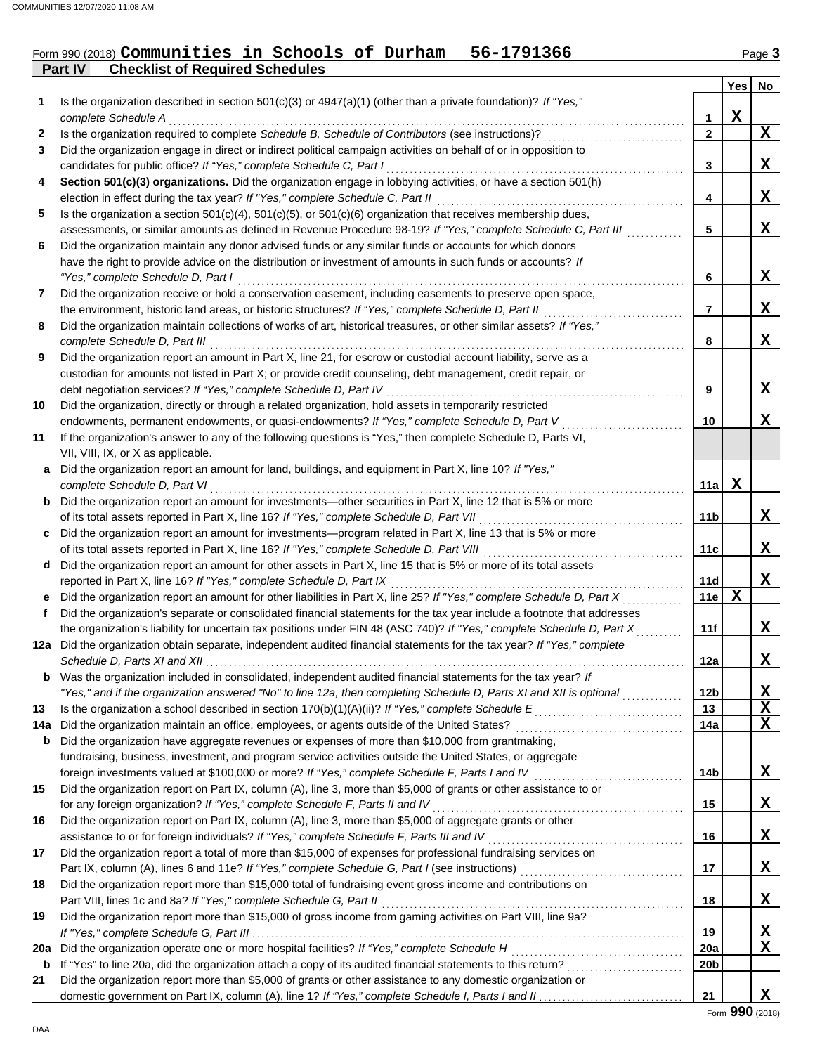#### **Part IV Checklist of Required Schedules** Form 990 (2018) **Communities in Schools of Durham 56-1791366** Page 3

|     |                                                                                                                                                                                                               |                 | <b>Yes</b>  | No |
|-----|---------------------------------------------------------------------------------------------------------------------------------------------------------------------------------------------------------------|-----------------|-------------|----|
| 1   | Is the organization described in section $501(c)(3)$ or $4947(a)(1)$ (other than a private foundation)? If "Yes,"                                                                                             |                 |             |    |
|     | complete Schedule A                                                                                                                                                                                           | 1               | $\mathbf x$ |    |
| 2   | Is the organization required to complete Schedule B, Schedule of Contributors (see instructions)?                                                                                                             | $\mathbf{2}$    |             | X  |
| 3   | Did the organization engage in direct or indirect political campaign activities on behalf of or in opposition to                                                                                              |                 |             |    |
|     | candidates for public office? If "Yes," complete Schedule C, Part I                                                                                                                                           | 3               |             | X  |
| 4   | Section 501(c)(3) organizations. Did the organization engage in lobbying activities, or have a section 501(h)                                                                                                 |                 |             |    |
|     |                                                                                                                                                                                                               | 4               |             | X  |
| 5   | Is the organization a section $501(c)(4)$ , $501(c)(5)$ , or $501(c)(6)$ organization that receives membership dues,                                                                                          |                 |             |    |
|     | assessments, or similar amounts as defined in Revenue Procedure 98-19? If "Yes," complete Schedule C, Part III                                                                                                | 5               |             | X  |
| 6   | Did the organization maintain any donor advised funds or any similar funds or accounts for which donors                                                                                                       |                 |             |    |
|     | have the right to provide advice on the distribution or investment of amounts in such funds or accounts? If                                                                                                   |                 |             |    |
|     | "Yes," complete Schedule D, Part I                                                                                                                                                                            | 6               |             | x  |
| 7   | Did the organization receive or hold a conservation easement, including easements to preserve open space,                                                                                                     |                 |             |    |
|     | the environment, historic land areas, or historic structures? If "Yes," complete Schedule D, Part II                                                                                                          | 7               |             | X  |
| 8   | Did the organization maintain collections of works of art, historical treasures, or other similar assets? If "Yes,"                                                                                           |                 |             |    |
|     | complete Schedule D, Part III                                                                                                                                                                                 | 8               |             | X  |
| 9   | Did the organization report an amount in Part X, line 21, for escrow or custodial account liability, serve as a                                                                                               |                 |             |    |
|     | custodian for amounts not listed in Part X; or provide credit counseling, debt management, credit repair, or<br>debt negotiation services? If "Yes," complete Schedule D, Part IV                             |                 |             | X  |
| 10  | Did the organization, directly or through a related organization, hold assets in temporarily restricted                                                                                                       | 9               |             |    |
|     | endowments, permanent endowments, or quasi-endowments? If "Yes," complete Schedule D, Part V                                                                                                                  | 10              |             | X  |
| 11  | If the organization's answer to any of the following questions is "Yes," then complete Schedule D, Parts VI,                                                                                                  |                 |             |    |
|     | VII, VIII, IX, or X as applicable.                                                                                                                                                                            |                 |             |    |
| a   | Did the organization report an amount for land, buildings, and equipment in Part X, line 10? If "Yes,"                                                                                                        |                 |             |    |
|     | complete Schedule D, Part VI                                                                                                                                                                                  | 11a l           | x           |    |
|     | <b>b</b> Did the organization report an amount for investments—other securities in Part X, line 12 that is 5% or more                                                                                         |                 |             |    |
|     | of its total assets reported in Part X, line 16? If "Yes," complete Schedule D, Part VII [[[[[[[[[[[[[[[[[[[[[                                                                                                | 11b             |             | X  |
| c   | Did the organization report an amount for investments—program related in Part X, line 13 that is 5% or more                                                                                                   |                 |             |    |
|     |                                                                                                                                                                                                               | 11c             |             | X  |
| d   | Did the organization report an amount for other assets in Part X, line 15 that is 5% or more of its total assets                                                                                              |                 |             |    |
|     | reported in Part X, line 16? If "Yes," complete Schedule D, Part IX                                                                                                                                           | 11d             |             | X  |
|     | Did the organization report an amount for other liabilities in Part X, line 25? If "Yes," complete Schedule D, Part X                                                                                         | 11e             | X           |    |
| f   | Did the organization's separate or consolidated financial statements for the tax year include a footnote that addresses                                                                                       |                 |             |    |
|     | the organization's liability for uncertain tax positions under FIN 48 (ASC 740)? If "Yes," complete Schedule D, Part X                                                                                        | 11f             |             | X  |
|     | 12a Did the organization obtain separate, independent audited financial statements for the tax year? If "Yes," complete                                                                                       |                 |             |    |
|     |                                                                                                                                                                                                               | 12a             |             | X  |
|     | Was the organization included in consolidated, independent audited financial statements for the tax year? If                                                                                                  |                 |             |    |
|     | "Yes," and if the organization answered "No" to line 12a, then completing Schedule D, Parts XI and XII is optional                                                                                            | 12 <sub>b</sub> |             | X  |
| 13  |                                                                                                                                                                                                               | 13              |             | X  |
| 14a |                                                                                                                                                                                                               | 14a             |             | X  |
| b   | Did the organization have aggregate revenues or expenses of more than \$10,000 from grantmaking,<br>fundraising, business, investment, and program service activities outside the United States, or aggregate |                 |             |    |
|     | foreign investments valued at \$100,000 or more? If "Yes," complete Schedule F, Parts I and IV [[[[[[[[[[[[[[[                                                                                                | 14b             |             | x  |
| 15  | Did the organization report on Part IX, column (A), line 3, more than \$5,000 of grants or other assistance to or                                                                                             |                 |             |    |
|     | for any foreign organization? If "Yes," complete Schedule F, Parts II and IV                                                                                                                                  | 15              |             | x  |
| 16  | Did the organization report on Part IX, column (A), line 3, more than \$5,000 of aggregate grants or other                                                                                                    |                 |             |    |
|     |                                                                                                                                                                                                               | 16              |             | X  |
| 17  | Did the organization report a total of more than \$15,000 of expenses for professional fundraising services on                                                                                                |                 |             |    |
|     |                                                                                                                                                                                                               | 17              |             | X  |
| 18  | Did the organization report more than \$15,000 total of fundraising event gross income and contributions on                                                                                                   |                 |             |    |
|     | Part VIII, lines 1c and 8a? If "Yes," complete Schedule G, Part II                                                                                                                                            | 18              |             | X  |
| 19  | Did the organization report more than \$15,000 of gross income from gaming activities on Part VIII, line 9a?                                                                                                  |                 |             |    |
|     |                                                                                                                                                                                                               | 19              |             | x  |
| 20a |                                                                                                                                                                                                               | <b>20a</b>      |             | Χ  |
| b   |                                                                                                                                                                                                               | 20b             |             |    |
| 21  | Did the organization report more than \$5,000 of grants or other assistance to any domestic organization or                                                                                                   |                 |             |    |
|     |                                                                                                                                                                                                               | 21              |             | X  |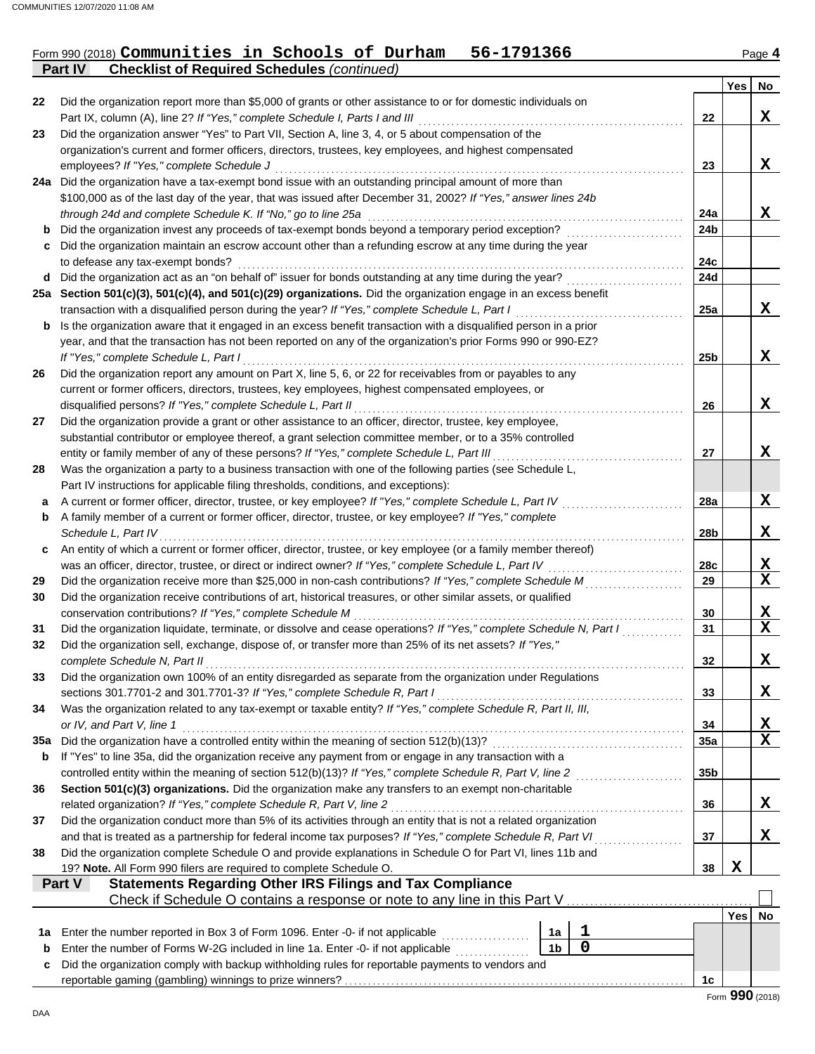#### Form 990 (2018) Page **4 Communities in Schools of Durham 56-1791366**

**Part IV Checklist of Required Schedules** *(continued)*

|     |                                                                                                                                                                                         |                 | Yes | No          |
|-----|-----------------------------------------------------------------------------------------------------------------------------------------------------------------------------------------|-----------------|-----|-------------|
| 22  | Did the organization report more than \$5,000 of grants or other assistance to or for domestic individuals on                                                                           |                 |     |             |
|     | Part IX, column (A), line 2? If "Yes," complete Schedule I, Parts I and III                                                                                                             | 22              |     | X           |
| 23  | Did the organization answer "Yes" to Part VII, Section A, line 3, 4, or 5 about compensation of the                                                                                     |                 |     |             |
|     | organization's current and former officers, directors, trustees, key employees, and highest compensated                                                                                 |                 |     |             |
|     | employees? If "Yes," complete Schedule J                                                                                                                                                | 23              |     | X           |
|     | 24a Did the organization have a tax-exempt bond issue with an outstanding principal amount of more than                                                                                 |                 |     |             |
|     | \$100,000 as of the last day of the year, that was issued after December 31, 2002? If "Yes," answer lines 24b                                                                           |                 |     |             |
|     | through 24d and complete Schedule K. If "No," go to line 25a<br>Did the organization invest any proceeds of tax-exempt bonds beyond a temporary period exception?                       | 24a             |     | X           |
| b   |                                                                                                                                                                                         | 24b             |     |             |
|     | Did the organization maintain an escrow account other than a refunding escrow at any time during the year<br>to defease any tax-exempt bonds?                                           | 24c             |     |             |
| d   | Did the organization act as an "on behalf of" issuer for bonds outstanding at any time during the year?                                                                                 | 24d             |     |             |
|     | 25a Section 501(c)(3), 501(c)(4), and 501(c)(29) organizations. Did the organization engage in an excess benefit                                                                        |                 |     |             |
|     | transaction with a disqualified person during the year? If "Yes," complete Schedule L, Part I                                                                                           | 25a             |     | X           |
| b   | Is the organization aware that it engaged in an excess benefit transaction with a disqualified person in a prior                                                                        |                 |     |             |
|     | year, and that the transaction has not been reported on any of the organization's prior Forms 990 or 990-EZ?                                                                            |                 |     |             |
|     | If "Yes," complete Schedule L, Part I                                                                                                                                                   | 25b             |     | X           |
| 26  | Did the organization report any amount on Part X, line 5, 6, or 22 for receivables from or payables to any                                                                              |                 |     |             |
|     | current or former officers, directors, trustees, key employees, highest compensated employees, or                                                                                       |                 |     |             |
|     | disqualified persons? If "Yes," complete Schedule L, Part II                                                                                                                            | 26              |     | X           |
| 27  | Did the organization provide a grant or other assistance to an officer, director, trustee, key employee,                                                                                |                 |     |             |
|     | substantial contributor or employee thereof, a grant selection committee member, or to a 35% controlled                                                                                 |                 |     |             |
|     | entity or family member of any of these persons? If "Yes," complete Schedule L, Part III                                                                                                | 27              |     | X           |
| 28  | Was the organization a party to a business transaction with one of the following parties (see Schedule L,                                                                               |                 |     |             |
|     | Part IV instructions for applicable filing thresholds, conditions, and exceptions):                                                                                                     |                 |     |             |
| a   | A current or former officer, director, trustee, or key employee? If "Yes," complete Schedule L, Part IV                                                                                 | 28a             |     | X           |
| b   | A family member of a current or former officer, director, trustee, or key employee? If "Yes," complete                                                                                  |                 |     |             |
|     | Schedule L, Part IV                                                                                                                                                                     | 28b             |     | X           |
| c   | An entity of which a current or former officer, director, trustee, or key employee (or a family member thereof)                                                                         |                 |     |             |
|     | was an officer, director, trustee, or direct or indirect owner? If "Yes," complete Schedule L, Part IV                                                                                  | 28c             |     | x           |
| 29  | Did the organization receive more than \$25,000 in non-cash contributions? If "Yes," complete Schedule M                                                                                | 29              |     | $\mathbf x$ |
| 30  | Did the organization receive contributions of art, historical treasures, or other similar assets, or qualified                                                                          |                 |     |             |
|     | conservation contributions? If "Yes," complete Schedule M                                                                                                                               | 30              |     | X           |
| 31  | Did the organization liquidate, terminate, or dissolve and cease operations? If "Yes," complete Schedule N, Part I                                                                      | 31              |     | $\mathbf x$ |
| 32  | Did the organization sell, exchange, dispose of, or transfer more than 25% of its net assets? If "Yes,"                                                                                 |                 |     |             |
|     | complete Schedule N, Part II                                                                                                                                                            | 32              |     | X           |
| 33  | Did the organization own 100% of an entity disregarded as separate from the organization under Regulations<br>sections 301.7701-2 and 301.7701-3? If "Yes," complete Schedule R, Part I |                 |     | X           |
|     | Was the organization related to any tax-exempt or taxable entity? If "Yes," complete Schedule R, Part II, III,                                                                          | 33              |     |             |
| 34  | or IV, and Part V, line 1                                                                                                                                                               | 34              |     | X           |
| 35a |                                                                                                                                                                                         | 35a             |     | $\mathbf x$ |
| b   | If "Yes" to line 35a, did the organization receive any payment from or engage in any transaction with a                                                                                 |                 |     |             |
|     | controlled entity within the meaning of section 512(b)(13)? If "Yes," complete Schedule R, Part V, line 2                                                                               | 35 <sub>b</sub> |     |             |
| 36  | Section 501(c)(3) organizations. Did the organization make any transfers to an exempt non-charitable                                                                                    |                 |     |             |
|     | related organization? If "Yes," complete Schedule R, Part V, line 2                                                                                                                     | 36              |     | X           |
| 37  | Did the organization conduct more than 5% of its activities through an entity that is not a related organization                                                                        |                 |     |             |
|     | and that is treated as a partnership for federal income tax purposes? If "Yes," complete Schedule R, Part VI                                                                            | 37              |     | x           |
| 38  | Did the organization complete Schedule O and provide explanations in Schedule O for Part VI, lines 11b and                                                                              |                 |     |             |
|     | 19? Note. All Form 990 filers are required to complete Schedule O.                                                                                                                      | 38              | X   |             |
|     | <b>Statements Regarding Other IRS Filings and Tax Compliance</b><br>Part V                                                                                                              |                 |     |             |
|     | Check if Schedule O contains a response or note to any line in this Part V                                                                                                              |                 |     |             |
|     |                                                                                                                                                                                         |                 | Yes | No          |
| 1a  | 1<br>Enter the number reported in Box 3 of Form 1096. Enter -0- if not applicable<br>1a                                                                                                 |                 |     |             |
| b   | 0<br>1 <sub>b</sub><br>Enter the number of Forms W-2G included in line 1a. Enter -0- if not applicable                                                                                  |                 |     |             |
| c   | Did the organization comply with backup withholding rules for reportable payments to vendors and                                                                                        |                 |     |             |
|     |                                                                                                                                                                                         | 1c              |     |             |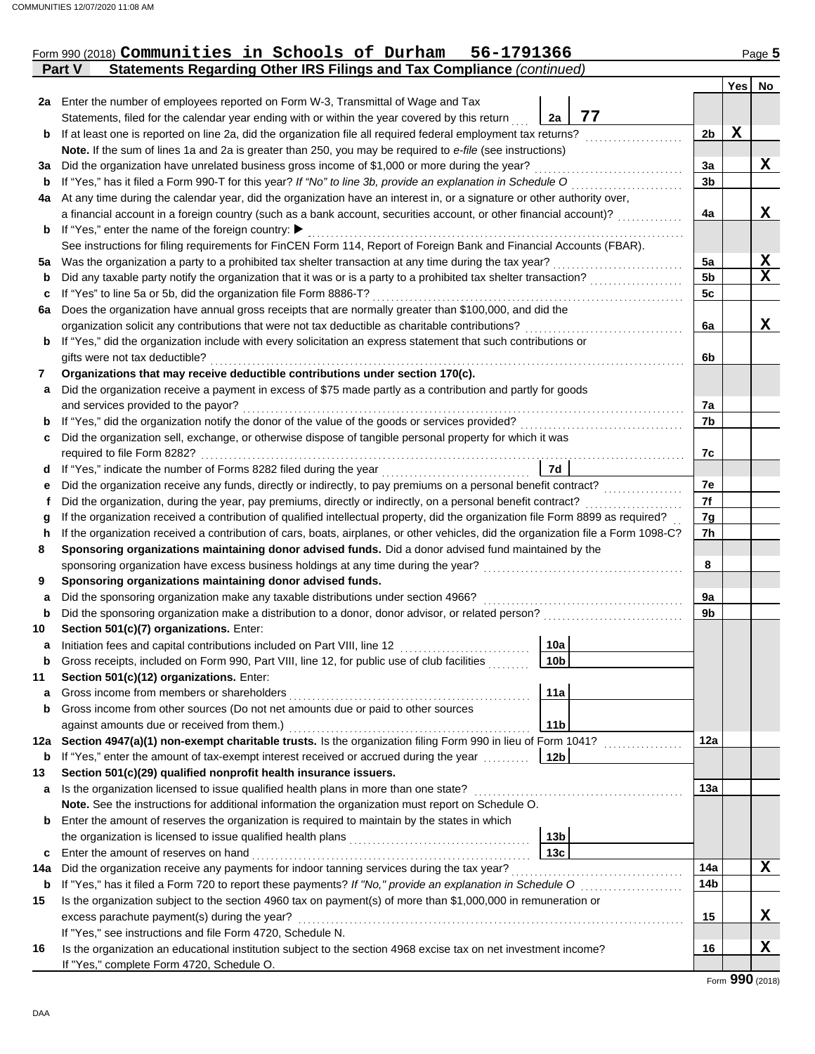|     | Statements Regarding Other IRS Filings and Tax Compliance (continued)<br>Part V                                                    |    |                | Yes | No                      |
|-----|------------------------------------------------------------------------------------------------------------------------------------|----|----------------|-----|-------------------------|
|     | 2a Enter the number of employees reported on Form W-3, Transmittal of Wage and Tax                                                 |    |                |     |                         |
|     | Statements, filed for the calendar year ending with or within the year covered by this return<br>2a                                | 77 |                |     |                         |
| b   | If at least one is reported on line 2a, did the organization file all required federal employment tax returns?                     |    | 2b             | X   |                         |
|     | Note. If the sum of lines 1a and 2a is greater than 250, you may be required to e-file (see instructions)                          |    |                |     |                         |
| За  | Did the organization have unrelated business gross income of \$1,000 or more during the year?                                      |    | 3a             |     | X                       |
| b   | If "Yes," has it filed a Form 990-T for this year? If "No" to line 3b, provide an explanation in Schedule O                        |    | 3b             |     |                         |
| 4a  | At any time during the calendar year, did the organization have an interest in, or a signature or other authority over,            |    |                |     |                         |
|     | a financial account in a foreign country (such as a bank account, securities account, or other financial account)?                 |    | 4a             |     | X                       |
| b   | If "Yes," enter the name of the foreign country: ▶                                                                                 |    |                |     |                         |
|     | See instructions for filing requirements for FinCEN Form 114, Report of Foreign Bank and Financial Accounts (FBAR).                |    |                |     |                         |
| 5а  | Was the organization a party to a prohibited tax shelter transaction at any time during the tax year?                              |    | 5a             |     | <u>x</u>                |
| b   | Did any taxable party notify the organization that it was or is a party to a prohibited tax shelter transaction?                   |    | 5 <sub>b</sub> |     | $\overline{\mathbf{x}}$ |
| c   | If "Yes" to line 5a or 5b, did the organization file Form 8886-T?                                                                  |    | 5c             |     |                         |
| 6a  | Does the organization have annual gross receipts that are normally greater than \$100,000, and did the                             |    |                |     |                         |
|     | organization solicit any contributions that were not tax deductible as charitable contributions?                                   |    | 6a             |     | X                       |
| b   | If "Yes," did the organization include with every solicitation an express statement that such contributions or                     |    |                |     |                         |
|     | gifts were not tax deductible?                                                                                                     |    | 6b             |     |                         |
| 7   | Organizations that may receive deductible contributions under section 170(c).                                                      |    |                |     |                         |
| a   | Did the organization receive a payment in excess of \$75 made partly as a contribution and partly for goods                        |    |                |     |                         |
|     | and services provided to the payor?                                                                                                |    | 7a             |     |                         |
| b   |                                                                                                                                    |    | 7b             |     |                         |
| c   | Did the organization sell, exchange, or otherwise dispose of tangible personal property for which it was                           |    |                |     |                         |
|     | required to file Form 8282?                                                                                                        |    | 7c             |     |                         |
| d   | 7d                                                                                                                                 |    |                |     |                         |
| е   | Did the organization receive any funds, directly or indirectly, to pay premiums on a personal benefit contract?                    |    | 7e             |     |                         |
| f   | Did the organization, during the year, pay premiums, directly or indirectly, on a personal benefit contract?                       |    | 7f             |     |                         |
| g   | If the organization received a contribution of qualified intellectual property, did the organization file Form 8899 as required?   |    | 7g             |     |                         |
| h   | If the organization received a contribution of cars, boats, airplanes, or other vehicles, did the organization file a Form 1098-C? |    | 7h             |     |                         |
| 8   | Sponsoring organizations maintaining donor advised funds. Did a donor advised fund maintained by the                               |    |                |     |                         |
|     | sponsoring organization have excess business holdings at any time during the year?                                                 |    | 8              |     |                         |
| 9   | Sponsoring organizations maintaining donor advised funds.                                                                          |    |                |     |                         |
| a   | Did the sponsoring organization make any taxable distributions under section 4966?                                                 |    | 9а             |     |                         |
| b   | Did the sponsoring organization make a distribution to a donor, donor advisor, or related person?                                  |    | 9b             |     |                         |
| 10  | Section 501(c)(7) organizations. Enter:                                                                                            |    |                |     |                         |
| a   | Initiation fees and capital contributions included on Part VIII, line 12<br>10a                                                    |    |                |     |                         |
|     | 10 <sub>b</sub><br>Gross receipts, included on Form 990, Part VIII, line 12, for public use of club facilities                     |    |                |     |                         |
| 11  | Section 501(c)(12) organizations. Enter:                                                                                           |    |                |     |                         |
| a   | 11a<br>Gross income from members or shareholders                                                                                   |    |                |     |                         |
| b   | Gross income from other sources (Do not net amounts due or paid to other sources                                                   |    |                |     |                         |
|     | 11 <sub>b</sub><br>against amounts due or received from them.)                                                                     |    |                |     |                         |
|     | 12a Section 4947(a)(1) non-exempt charitable trusts. Is the organization filing Form 990 in lieu of Form 1041?                     |    | 12a            |     |                         |
| b   | If "Yes," enter the amount of tax-exempt interest received or accrued during the year<br>12b                                       |    |                |     |                         |
| 13  | Section 501(c)(29) qualified nonprofit health insurance issuers.                                                                   |    |                |     |                         |
| a   | Is the organization licensed to issue qualified health plans in more than one state?                                               |    | 13а            |     |                         |
|     | Note. See the instructions for additional information the organization must report on Schedule O.                                  |    |                |     |                         |
| b   | Enter the amount of reserves the organization is required to maintain by the states in which                                       |    |                |     |                         |
|     | 13 <sub>b</sub>                                                                                                                    |    |                |     |                         |
| c   | 13 <sub>c</sub><br>Enter the amount of reserves on hand                                                                            |    |                |     |                         |
| 14a | Did the organization receive any payments for indoor tanning services during the tax year?                                         |    | 14a            |     | X                       |
| b   | If "Yes," has it filed a Form 720 to report these payments? If "No," provide an explanation in Schedule O                          |    | 14b            |     |                         |
| 15  | Is the organization subject to the section 4960 tax on payment(s) of more than \$1,000,000 in remuneration or                      |    |                |     |                         |
|     | excess parachute payment(s) during the year?                                                                                       |    | 15             |     | X                       |
|     | If "Yes," see instructions and file Form 4720, Schedule N.                                                                         |    |                |     |                         |
| 16  | Is the organization an educational institution subject to the section 4968 excise tax on net investment income?                    |    | 16             |     | х                       |
|     | If "Yes," complete Form 4720, Schedule O.                                                                                          |    |                |     |                         |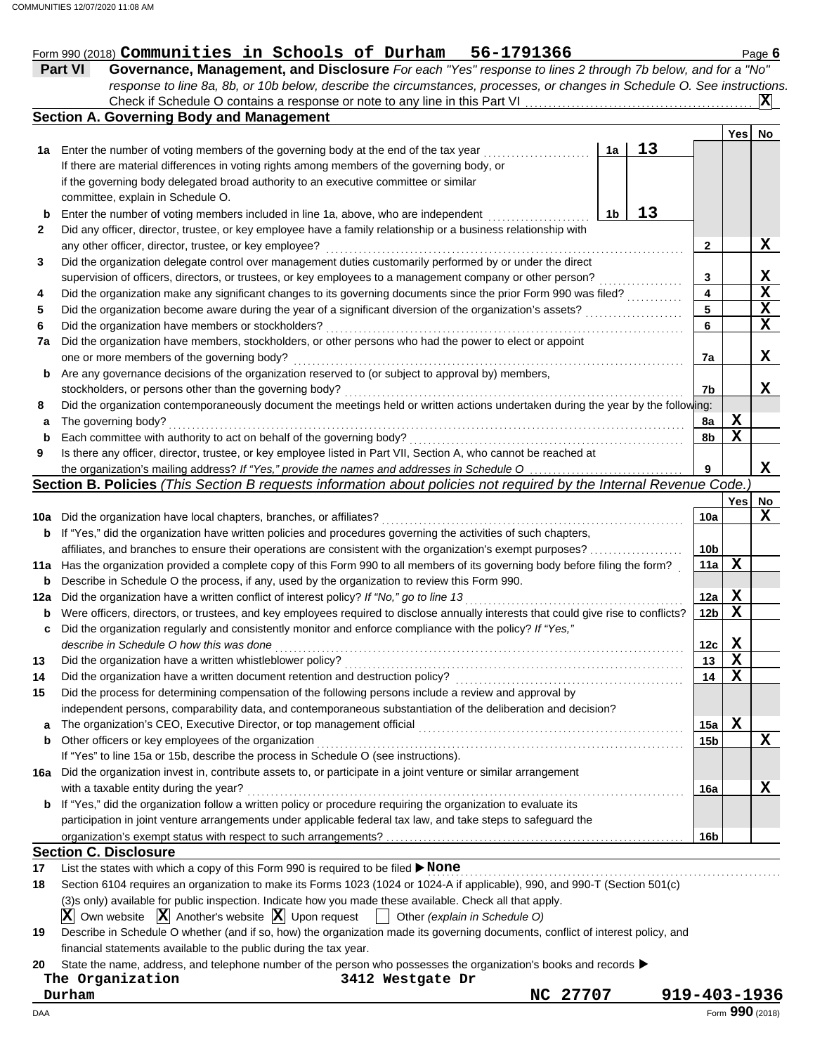## Form 990 (2018) **Communities in Schools of Durham 56-1791366** Page 6

**Part VI Governance, Management, and Disclosure** *For each "Yes" response to lines 2 through 7b below, and for a "No" response to line 8a, 8b, or 10b below, describe the circumstances, processes, or changes in Schedule O. See instructions.* Check if Schedule O contains a response or note to any line in this Part VI . . . . . . . . . . . . . . . . . . . . . . . . . . . . . . . . . . . . . . . . . . . . . . . . . **X**

|              | <b>Section A. Governing Body and Management</b>                                                                                     |    |    |                 |             |                         |
|--------------|-------------------------------------------------------------------------------------------------------------------------------------|----|----|-----------------|-------------|-------------------------|
|              |                                                                                                                                     |    |    |                 | Yes         | No                      |
|              | 1a Enter the number of voting members of the governing body at the end of the tax year                                              | 1a | 13 |                 |             |                         |
|              | If there are material differences in voting rights among members of the governing body, or                                          |    |    |                 |             |                         |
|              | if the governing body delegated broad authority to an executive committee or similar                                                |    |    |                 |             |                         |
|              | committee, explain in Schedule O.                                                                                                   |    |    |                 |             |                         |
| b            | Enter the number of voting members included in line 1a, above, who are independent                                                  | 1b | 13 |                 |             |                         |
| $\mathbf{2}$ | Did any officer, director, trustee, or key employee have a family relationship or a business relationship with                      |    |    |                 |             |                         |
|              | any other officer, director, trustee, or key employee?                                                                              |    |    | $\mathbf{2}$    |             | X                       |
| 3            | Did the organization delegate control over management duties customarily performed by or under the direct                           |    |    |                 |             |                         |
|              | supervision of officers, directors, or trustees, or key employees to a management company or other person?                          |    |    | 3               |             | X                       |
| 4            | Did the organization make any significant changes to its governing documents since the prior Form 990 was filed?                    |    |    | 4               |             | $\mathbf x$             |
| 5            | Did the organization become aware during the year of a significant diversion of the organization's assets?                          |    |    | 5               |             | $\overline{\mathbf{x}}$ |
| 6            | Did the organization have members or stockholders?                                                                                  |    |    | 6               |             | X                       |
| 7a           | Did the organization have members, stockholders, or other persons who had the power to elect or appoint                             |    |    |                 |             |                         |
|              | one or more members of the governing body?                                                                                          |    |    | 7a              |             | X                       |
| b            | Are any governance decisions of the organization reserved to (or subject to approval by) members,                                   |    |    |                 |             |                         |
|              | stockholders, or persons other than the governing body?                                                                             |    |    | 7b              |             | X,                      |
| 8            | Did the organization contemporaneously document the meetings held or written actions undertaken during the year by the following:   |    |    |                 |             |                         |
| а            | The governing body?                                                                                                                 |    |    | 8a              | X           |                         |
| b            | Each committee with authority to act on behalf of the governing body?                                                               |    |    | 8b              | $\mathbf x$ |                         |
| 9            | Is there any officer, director, trustee, or key employee listed in Part VII, Section A, who cannot be reached at                    |    |    |                 |             |                         |
|              |                                                                                                                                     |    |    | 9               |             | X                       |
|              | Section B. Policies (This Section B requests information about policies not required by the Internal Revenue Code.)                 |    |    |                 |             |                         |
|              |                                                                                                                                     |    |    |                 | Yes         | No                      |
|              | 10a Did the organization have local chapters, branches, or affiliates?                                                              |    |    | 10a             |             | X                       |
| b            | If "Yes," did the organization have written policies and procedures governing the activities of such chapters,                      |    |    |                 |             |                         |
|              | affiliates, and branches to ensure their operations are consistent with the organization's exempt purposes?                         |    |    | 10 <sub>b</sub> |             |                         |
| 11a          | Has the organization provided a complete copy of this Form 990 to all members of its governing body before filing the form?         |    |    | 11a             | $\mathbf X$ |                         |
| b            | Describe in Schedule O the process, if any, used by the organization to review this Form 990.                                       |    |    |                 |             |                         |
| 12a          | Did the organization have a written conflict of interest policy? If "No," go to line 13                                             |    |    | 12a             | X           |                         |
| b            | Were officers, directors, or trustees, and key employees required to disclose annually interests that could give rise to conflicts? |    |    | 12 <sub>b</sub> | X           |                         |
| c            | Did the organization regularly and consistently monitor and enforce compliance with the policy? If "Yes,"                           |    |    |                 |             |                         |
|              | describe in Schedule O how this was done                                                                                            |    |    | 12c             | X           |                         |
| 13           | Did the organization have a written whistleblower policy?                                                                           |    |    | 13              | $\mathbf x$ |                         |
| 14           | Did the organization have a written document retention and destruction policy?                                                      |    |    | 14              | $\mathbf x$ |                         |
| 15           | Did the process for determining compensation of the following persons include a review and approval by                              |    |    |                 |             |                         |
|              | independent persons, comparability data, and contemporaneous substantiation of the deliberation and decision?                       |    |    |                 |             |                         |
|              | The organization's CEO, Executive Director, or top management official                                                              |    |    | 15a             | X           |                         |
| b            | Other officers or key employees of the organization                                                                                 |    |    | 15b             |             | X                       |
|              | If "Yes" to line 15a or 15b, describe the process in Schedule O (see instructions).                                                 |    |    |                 |             |                         |
|              | 16a Did the organization invest in, contribute assets to, or participate in a joint venture or similar arrangement                  |    |    |                 |             |                         |
|              | with a taxable entity during the year?                                                                                              |    |    | 16a             |             | X                       |
| b            | If "Yes," did the organization follow a written policy or procedure requiring the organization to evaluate its                      |    |    |                 |             |                         |
|              | participation in joint venture arrangements under applicable federal tax law, and take steps to safeguard the                       |    |    |                 |             |                         |
|              |                                                                                                                                     |    |    | 16 <sub>b</sub> |             |                         |
|              | <b>Section C. Disclosure</b>                                                                                                        |    |    |                 |             |                         |
| 17           | List the states with which a copy of this Form 990 is required to be filed > None                                                   |    |    |                 |             |                         |

| 18 | Section 6104 requires an organization to make its Forms 1023 (1024 or 1024-A if applicable), 990, and 990-T (Section 501(c)          |
|----|--------------------------------------------------------------------------------------------------------------------------------------|
|    | (3) sonly) available for public inspection. Indicate how you made these available. Check all that apply.                             |
|    | $\overline{X}$ Own website $\overline{X}$ Another's website $\overline{X}$ Upon request $\overline{X}$ Other (explain in Schedule O) |
| 19 | Describe in Schedule O whether (and if so, how) the organization made its governing documents, conflict of interest policy, and      |
|    | financial statements available to the public during the tax year.                                                                    |

**20** State the name, address, and telephone number of the person who possesses the organization's books and records  $\blacktriangleright$ 

**The Organization 3412 Westgate Dr**

**Durham NC 27707 919-403-1936**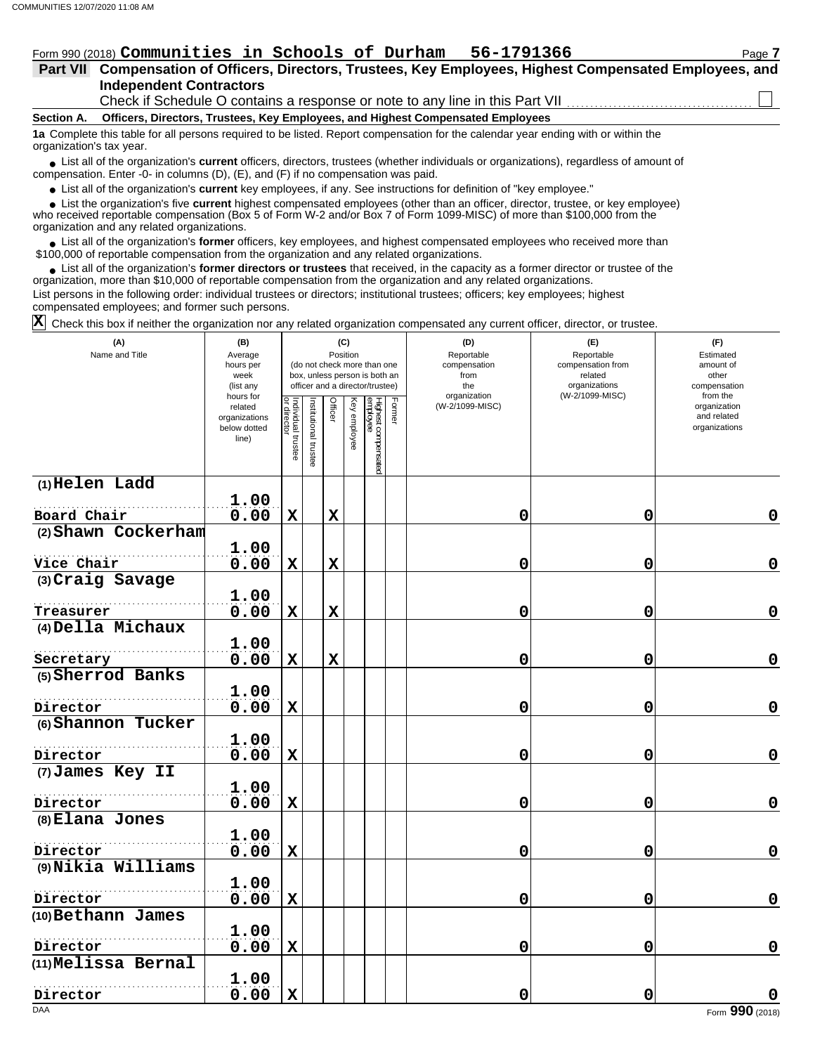## Form 990 (2018) **Communities in Schools of Durham 56-1791366** Page 7

#### **Independent Contractors Part VII Compensation of Officers, Directors, Trustees, Key Employees, Highest Compensated Employees, and**

Check if Schedule O contains a response or note to any line in this Part VII

**Section A. Officers, Directors, Trustees, Key Employees, and Highest Compensated Employees**

**1a** Complete this table for all persons required to be listed. Report compensation for the calendar year ending with or within the organization's tax year.

■ List all of the organization's **current** officers, directors, trustees (whether individuals or organizations), regardless of amount of compensation. Enter -0- in columns (D), (E), and (F) if no compensation was paid.

● List all of the organization's **current** key employees, if any. See instructions for definition of "key employee."

 $\bullet$  List the organization's five **current** highest compensated employees (other than an officer, director, trustee, or key employee)<br>a received reportable compensation (Box 5 of Form  $M-2$  and/or Box 7 of Form 1000-MISC)

who received reportable compensation (Box 5 of Form W-2 and/or Box 7 of Form 1099-MISC) of more than \$100,000 from the organization and any related organizations.

● List all of the organization's **former** officers, key employees, and highest compensated employees who received more than<br>00,000 of reportable compensation from the erganization and any related erganizations. \$100,000 of reportable compensation from the organization and any related organizations.

• List all of the organization's **former directors or trustees** that received, in the capacity as a former director or trustee of the organization, more than \$10,000 of reportable compensation from the organization and any related organizations. List persons in the following order: individual trustees or directors; institutional trustees; officers; key employees; highest

compensated employees; and former such persons.

 $\overline{\textbf{X}}$  Check this box if neither the organization nor any related organization compensated any current officer, director, or trustee.

| (A)<br>Name and Title | (B)<br>Average<br>hours per<br>week<br>(list any<br>hours for |                                   |                      |             | (C)<br>Position | (do not check more than one<br>box, unless person is both an<br>officer and a director/trustee) |        | (D)<br>Reportable<br>compensation<br>from<br>the<br>organization | (E)<br>Reportable<br>compensation from<br>related<br>organizations<br>(W-2/1099-MISC) | (F)<br>Estimated<br>amount of<br>other<br>compensation<br>from the |
|-----------------------|---------------------------------------------------------------|-----------------------------------|----------------------|-------------|-----------------|-------------------------------------------------------------------------------------------------|--------|------------------------------------------------------------------|---------------------------------------------------------------------------------------|--------------------------------------------------------------------|
|                       | related<br>organizations<br>below dotted<br>line)             | Individual trustee<br>or director | nstitutional trustee | Officer     | Key employee    | Highest compensated<br>employee                                                                 | Former | (W-2/1099-MISC)                                                  |                                                                                       | organization<br>and related<br>organizations                       |
| (1) Helen Ladd        |                                                               |                                   |                      |             |                 |                                                                                                 |        |                                                                  |                                                                                       |                                                                    |
| Board Chair           | 1.00<br>0.00                                                  | $\mathbf x$                       |                      | $\mathbf x$ |                 |                                                                                                 |        | 0                                                                | 0                                                                                     | 0                                                                  |
| (2) Shawn Cockerham   |                                                               |                                   |                      |             |                 |                                                                                                 |        |                                                                  |                                                                                       |                                                                    |
| Vice Chair            | 1.00<br>0.00                                                  | $\mathbf x$                       |                      | $\mathbf x$ |                 |                                                                                                 |        | 0                                                                | 0                                                                                     | $\mathbf 0$                                                        |
| (3) Craig Savage      |                                                               |                                   |                      |             |                 |                                                                                                 |        |                                                                  |                                                                                       |                                                                    |
| Treasurer             | 1.00<br>0.00                                                  | $\mathbf X$                       |                      | $\mathbf X$ |                 |                                                                                                 |        | 0                                                                | 0                                                                                     | $\mathbf 0$                                                        |
| (4) Della Michaux     |                                                               |                                   |                      |             |                 |                                                                                                 |        |                                                                  |                                                                                       |                                                                    |
| Secretary             | 1.00<br>0.00                                                  | $\mathbf X$                       |                      | $\mathbf x$ |                 |                                                                                                 |        | 0                                                                | 0                                                                                     | $\mathbf 0$                                                        |
| (5) Sherrod Banks     |                                                               |                                   |                      |             |                 |                                                                                                 |        |                                                                  |                                                                                       |                                                                    |
|                       | 1.00                                                          |                                   |                      |             |                 |                                                                                                 |        |                                                                  |                                                                                       |                                                                    |
| Director              | 0.00                                                          | $\mathbf X$                       |                      |             |                 |                                                                                                 |        | 0                                                                | 0                                                                                     | 0                                                                  |
| (6) Shannon Tucker    |                                                               |                                   |                      |             |                 |                                                                                                 |        |                                                                  |                                                                                       |                                                                    |
|                       | 1.00                                                          |                                   |                      |             |                 |                                                                                                 |        |                                                                  |                                                                                       |                                                                    |
| Director              | 0.00                                                          | $\mathbf X$                       |                      |             |                 |                                                                                                 |        | 0                                                                | 0                                                                                     | $\mathbf 0$                                                        |
| (7) James Key II      | 1.00                                                          |                                   |                      |             |                 |                                                                                                 |        |                                                                  |                                                                                       |                                                                    |
| Director              | 0.00                                                          | $\mathbf X$                       |                      |             |                 |                                                                                                 |        | 0                                                                | 0                                                                                     | 0                                                                  |
| (8) Elana Jones       |                                                               |                                   |                      |             |                 |                                                                                                 |        |                                                                  |                                                                                       |                                                                    |
|                       | 1.00                                                          |                                   |                      |             |                 |                                                                                                 |        |                                                                  |                                                                                       |                                                                    |
| Director              | 0.00                                                          | $\mathbf X$                       |                      |             |                 |                                                                                                 |        | 0                                                                | 0                                                                                     | $\mathbf 0$                                                        |
| (9) Nikia Williams    |                                                               |                                   |                      |             |                 |                                                                                                 |        |                                                                  |                                                                                       |                                                                    |
|                       | 1.00                                                          |                                   |                      |             |                 |                                                                                                 |        |                                                                  |                                                                                       |                                                                    |
| Director              | 0.00                                                          | $\mathbf X$                       |                      |             |                 |                                                                                                 |        | 0                                                                | 0                                                                                     | $\mathbf 0$                                                        |
| (10) Bethann James    | 1.00                                                          |                                   |                      |             |                 |                                                                                                 |        |                                                                  |                                                                                       |                                                                    |
| Director              | 0.00                                                          | X                                 |                      |             |                 |                                                                                                 |        | 0                                                                | 0                                                                                     | $\mathbf 0$                                                        |
| (11) Melissa Bernal   |                                                               |                                   |                      |             |                 |                                                                                                 |        |                                                                  |                                                                                       |                                                                    |
|                       | 1.00                                                          |                                   |                      |             |                 |                                                                                                 |        |                                                                  |                                                                                       |                                                                    |
| Director              | 0.00                                                          | X                                 |                      |             |                 |                                                                                                 |        | 0                                                                | 0                                                                                     | O                                                                  |
| <b>DAA</b>            |                                                               |                                   |                      |             |                 |                                                                                                 |        |                                                                  |                                                                                       | Form 990 (2018)                                                    |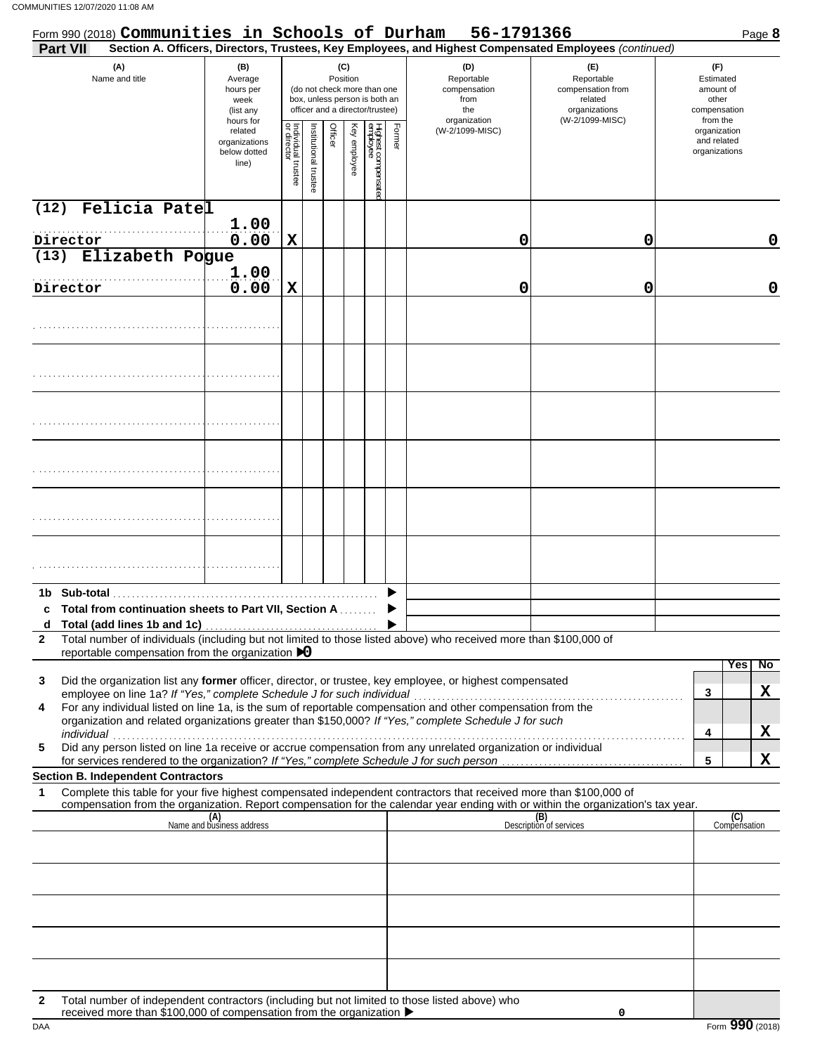| Form 990 (2018) Communities in Schools of Durham                                                                                                                                                                                                                                                                                                                                                                     |                                                               |                                   |                      |         |                 |                                                                                                 |        | 56-1791366                                                                                             |                                                                                       | Page 8                                                             |
|----------------------------------------------------------------------------------------------------------------------------------------------------------------------------------------------------------------------------------------------------------------------------------------------------------------------------------------------------------------------------------------------------------------------|---------------------------------------------------------------|-----------------------------------|----------------------|---------|-----------------|-------------------------------------------------------------------------------------------------|--------|--------------------------------------------------------------------------------------------------------|---------------------------------------------------------------------------------------|--------------------------------------------------------------------|
| <b>Part VII</b>                                                                                                                                                                                                                                                                                                                                                                                                      |                                                               |                                   |                      |         |                 |                                                                                                 |        | Section A. Officers, Directors, Trustees, Key Employees, and Highest Compensated Employees (continued) |                                                                                       |                                                                    |
| (A)<br>Name and title                                                                                                                                                                                                                                                                                                                                                                                                | (B)<br>Average<br>hours per<br>week<br>(list any<br>hours for |                                   |                      |         | (C)<br>Position | (do not check more than one<br>box, unless person is both an<br>officer and a director/trustee) |        | (D)<br>Reportable<br>compensation<br>from<br>the<br>organization                                       | (E)<br>Reportable<br>compensation from<br>related<br>organizations<br>(W-2/1099-MISC) | (F)<br>Estimated<br>amount of<br>other<br>compensation<br>from the |
|                                                                                                                                                                                                                                                                                                                                                                                                                      | related<br>organizations<br>below dotted<br>line)             | Individual trustee<br>or director | nstitutional trustee | Officer | Key employee    | Highest compensatec<br>employee                                                                 | Former | (W-2/1099-MISC)                                                                                        |                                                                                       | organization<br>and related<br>organizations                       |
| Felicia Patel<br>(12)                                                                                                                                                                                                                                                                                                                                                                                                | 1.00                                                          |                                   |                      |         |                 |                                                                                                 |        |                                                                                                        |                                                                                       |                                                                    |
| Director                                                                                                                                                                                                                                                                                                                                                                                                             | 0.00                                                          | $\mathbf x$                       |                      |         |                 |                                                                                                 |        | 0                                                                                                      | 0                                                                                     | 0                                                                  |
| Elizabeth Pogue<br>(13)                                                                                                                                                                                                                                                                                                                                                                                              |                                                               |                                   |                      |         |                 |                                                                                                 |        |                                                                                                        |                                                                                       |                                                                    |
| Director                                                                                                                                                                                                                                                                                                                                                                                                             | 1.00<br>0.00                                                  | $\mathbf x$                       |                      |         |                 |                                                                                                 |        | 0                                                                                                      | 0                                                                                     | 0                                                                  |
|                                                                                                                                                                                                                                                                                                                                                                                                                      |                                                               |                                   |                      |         |                 |                                                                                                 |        |                                                                                                        |                                                                                       |                                                                    |
|                                                                                                                                                                                                                                                                                                                                                                                                                      |                                                               |                                   |                      |         |                 |                                                                                                 |        |                                                                                                        |                                                                                       |                                                                    |
|                                                                                                                                                                                                                                                                                                                                                                                                                      |                                                               |                                   |                      |         |                 |                                                                                                 |        |                                                                                                        |                                                                                       |                                                                    |
|                                                                                                                                                                                                                                                                                                                                                                                                                      |                                                               |                                   |                      |         |                 |                                                                                                 |        |                                                                                                        |                                                                                       |                                                                    |
|                                                                                                                                                                                                                                                                                                                                                                                                                      |                                                               |                                   |                      |         |                 |                                                                                                 |        |                                                                                                        |                                                                                       |                                                                    |
|                                                                                                                                                                                                                                                                                                                                                                                                                      |                                                               |                                   |                      |         |                 |                                                                                                 |        |                                                                                                        |                                                                                       |                                                                    |
|                                                                                                                                                                                                                                                                                                                                                                                                                      |                                                               |                                   |                      |         |                 |                                                                                                 |        |                                                                                                        |                                                                                       |                                                                    |
|                                                                                                                                                                                                                                                                                                                                                                                                                      |                                                               |                                   |                      |         |                 |                                                                                                 |        |                                                                                                        |                                                                                       |                                                                    |
| c Total from continuation sheets to Part VII, Section A                                                                                                                                                                                                                                                                                                                                                              |                                                               |                                   |                      |         |                 |                                                                                                 |        |                                                                                                        |                                                                                       |                                                                    |
| Total number of individuals (including but not limited to those listed above) who received more than \$100,000 of<br>2<br>reportable compensation from the organization $\mathbf{D}$                                                                                                                                                                                                                                 |                                                               |                                   |                      |         |                 |                                                                                                 |        |                                                                                                        |                                                                                       |                                                                    |
| Did the organization list any former officer, director, or trustee, key employee, or highest compensated<br>3<br>employee on line 1a? If "Yes," complete Schedule J for such individual<br>For any individual listed on line 1a, is the sum of reportable compensation and other compensation from the<br>4<br>organization and related organizations greater than \$150,000? If "Yes," complete Schedule J for such |                                                               |                                   |                      |         |                 |                                                                                                 |        |                                                                                                        |                                                                                       | Yes<br>$\overline{N}$<br>X<br>3                                    |
| individual<br>Did any person listed on line 1a receive or accrue compensation from any unrelated organization or individual<br>5                                                                                                                                                                                                                                                                                     |                                                               |                                   |                      |         |                 |                                                                                                 |        |                                                                                                        |                                                                                       | X<br>4<br>X                                                        |
| for services rendered to the organization? If "Yes," complete Schedule J for such person<br><b>Section B. Independent Contractors</b>                                                                                                                                                                                                                                                                                |                                                               |                                   |                      |         |                 |                                                                                                 |        |                                                                                                        |                                                                                       | 5                                                                  |
| Complete this table for your five highest compensated independent contractors that received more than \$100,000 of<br>1<br>compensation from the organization. Report compensation for the calendar year ending with or within the organization's tax year.                                                                                                                                                          |                                                               |                                   |                      |         |                 |                                                                                                 |        |                                                                                                        |                                                                                       |                                                                    |
|                                                                                                                                                                                                                                                                                                                                                                                                                      | (A)<br>Name and business address                              |                                   |                      |         |                 |                                                                                                 |        |                                                                                                        | (B)<br>Description of services                                                        | (C)<br>Compensation                                                |
|                                                                                                                                                                                                                                                                                                                                                                                                                      |                                                               |                                   |                      |         |                 |                                                                                                 |        |                                                                                                        |                                                                                       |                                                                    |
|                                                                                                                                                                                                                                                                                                                                                                                                                      |                                                               |                                   |                      |         |                 |                                                                                                 |        |                                                                                                        |                                                                                       |                                                                    |
|                                                                                                                                                                                                                                                                                                                                                                                                                      |                                                               |                                   |                      |         |                 |                                                                                                 |        |                                                                                                        |                                                                                       |                                                                    |
|                                                                                                                                                                                                                                                                                                                                                                                                                      |                                                               |                                   |                      |         |                 |                                                                                                 |        |                                                                                                        |                                                                                       |                                                                    |
| Total number of independent contractors (including but not limited to those listed above) who<br>2<br>received more than \$100,000 of compensation from the organization ▶                                                                                                                                                                                                                                           |                                                               |                                   |                      |         |                 |                                                                                                 |        |                                                                                                        | 0                                                                                     |                                                                    |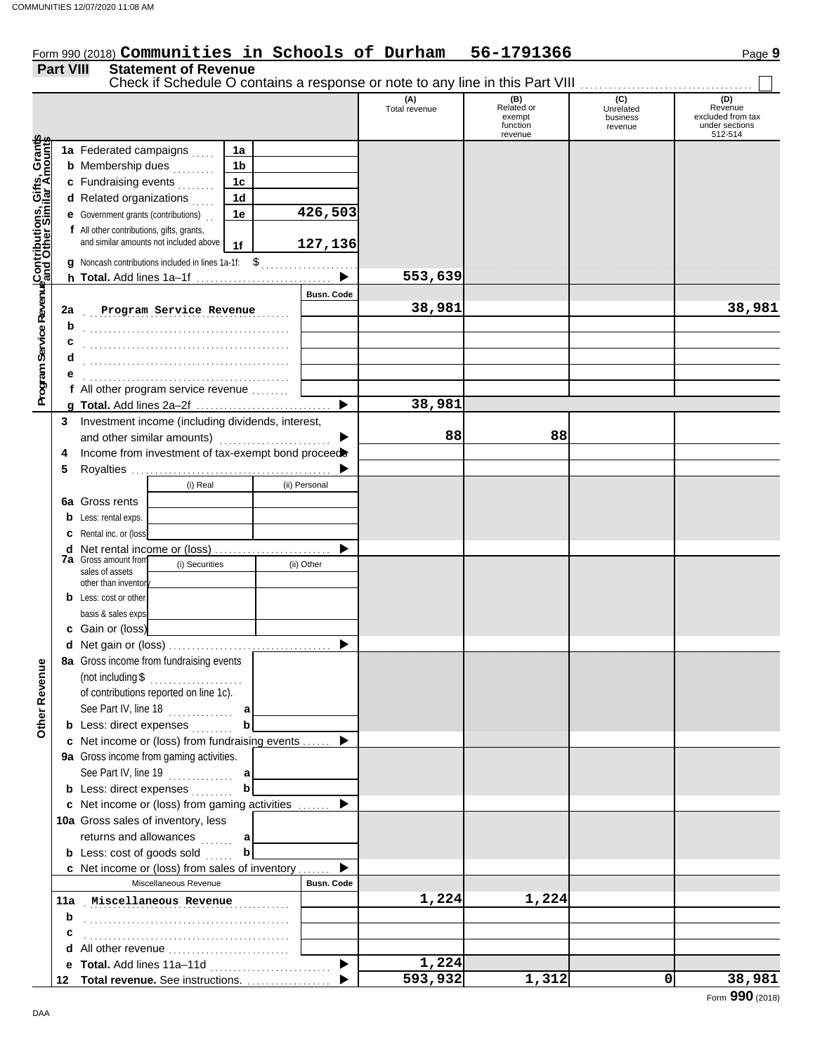|                                                                                                                        |     | Check if Schedule O contains a response or note to any line in this Part VIII |   |                       |                      |                                                    |                                         |                                                                  |
|------------------------------------------------------------------------------------------------------------------------|-----|-------------------------------------------------------------------------------|---|-----------------------|----------------------|----------------------------------------------------|-----------------------------------------|------------------------------------------------------------------|
|                                                                                                                        |     |                                                                               |   |                       | (A)<br>Total revenue | (B)<br>Related or<br>exempt<br>function<br>revenue | (C)<br>Unrelated<br>business<br>revenue | (D)<br>Revenue<br>excluded from tax<br>under sections<br>512-514 |
| Program Service Revenu <mark>¢Contributions, Gifts, Grant</mark> s<br>Program Service Revenu∮and Other Similar Amounts |     | 1a Federated campaigns<br>1a<br>$\cdots$                                      |   |                       |                      |                                                    |                                         |                                                                  |
|                                                                                                                        |     | <b>b</b> Membership dues<br>1b                                                |   |                       |                      |                                                    |                                         |                                                                  |
|                                                                                                                        |     | c Fundraising events<br>1c                                                    |   |                       |                      |                                                    |                                         |                                                                  |
|                                                                                                                        |     | d Related organizations<br>1 <sub>d</sub>                                     |   |                       |                      |                                                    |                                         |                                                                  |
|                                                                                                                        |     | <b>e</b> Government grants (contributions)<br>1e                              |   | 426,503               |                      |                                                    |                                         |                                                                  |
|                                                                                                                        |     | f All other contributions, gifts, grants,                                     |   |                       |                      |                                                    |                                         |                                                                  |
|                                                                                                                        |     | and similar amounts not included above<br>1 <sub>f</sub>                      |   | 127,136               |                      |                                                    |                                         |                                                                  |
|                                                                                                                        |     |                                                                               |   |                       |                      |                                                    |                                         |                                                                  |
|                                                                                                                        |     | $\alpha$ Noncash contributions included in lines 1a-1f: $\delta$              |   |                       |                      |                                                    |                                         |                                                                  |
|                                                                                                                        |     |                                                                               |   |                       | 553,639              |                                                    |                                         |                                                                  |
|                                                                                                                        |     |                                                                               |   | Busn. Code            |                      |                                                    |                                         |                                                                  |
|                                                                                                                        | 2a  | Program Service Revenue                                                       |   |                       | 38,981               |                                                    |                                         | 38,981                                                           |
|                                                                                                                        | b   |                                                                               |   |                       |                      |                                                    |                                         |                                                                  |
|                                                                                                                        |     |                                                                               |   |                       |                      |                                                    |                                         |                                                                  |
|                                                                                                                        |     |                                                                               |   |                       |                      |                                                    |                                         |                                                                  |
|                                                                                                                        |     |                                                                               |   |                       |                      |                                                    |                                         |                                                                  |
|                                                                                                                        |     | f All other program service revenue                                           |   |                       |                      |                                                    |                                         |                                                                  |
|                                                                                                                        |     |                                                                               |   | $\blacktriangleright$ | 38,981               |                                                    |                                         |                                                                  |
|                                                                                                                        | 3   | Investment income (including dividends, interest,                             |   |                       |                      |                                                    |                                         |                                                                  |
|                                                                                                                        |     | and other similar amounts)                                                    |   |                       | 88                   | 88                                                 |                                         |                                                                  |
|                                                                                                                        | 4   | Income from investment of tax-exempt bond proceed                             |   |                       |                      |                                                    |                                         |                                                                  |
|                                                                                                                        | 5   |                                                                               |   |                       |                      |                                                    |                                         |                                                                  |
|                                                                                                                        |     | (i) Real                                                                      |   | (ii) Personal         |                      |                                                    |                                         |                                                                  |
|                                                                                                                        | 6a  | Gross rents                                                                   |   |                       |                      |                                                    |                                         |                                                                  |
|                                                                                                                        | b   | Less: rental exps.                                                            |   |                       |                      |                                                    |                                         |                                                                  |
|                                                                                                                        |     | Rental inc. or (loss)                                                         |   |                       |                      |                                                    |                                         |                                                                  |
|                                                                                                                        | d   | Net rental income or (loss)                                                   |   |                       |                      |                                                    |                                         |                                                                  |
|                                                                                                                        |     | <b>7a</b> Gross amount from<br>(i) Securities                                 |   | (ii) Other            |                      |                                                    |                                         |                                                                  |
|                                                                                                                        |     | sales of assets                                                               |   |                       |                      |                                                    |                                         |                                                                  |
|                                                                                                                        |     | other than inventor                                                           |   |                       |                      |                                                    |                                         |                                                                  |
|                                                                                                                        |     | <b>b</b> Less: cost or other                                                  |   |                       |                      |                                                    |                                         |                                                                  |
|                                                                                                                        |     | basis & sales exps                                                            |   |                       |                      |                                                    |                                         |                                                                  |
|                                                                                                                        |     | c Gain or (loss)                                                              |   |                       |                      |                                                    |                                         |                                                                  |
|                                                                                                                        | d   |                                                                               |   |                       |                      |                                                    |                                         |                                                                  |
| ₾                                                                                                                      |     | 8a Gross income from fundraising events                                       |   |                       |                      |                                                    |                                         |                                                                  |
|                                                                                                                        |     | (not including \$<br>.                                                        |   |                       |                      |                                                    |                                         |                                                                  |
|                                                                                                                        |     | of contributions reported on line 1c).                                        |   |                       |                      |                                                    |                                         |                                                                  |
| Other Reven                                                                                                            |     | See Part IV, line 18                                                          |   |                       |                      |                                                    |                                         |                                                                  |
|                                                                                                                        |     | <b>b</b> Less: direct expenses                                                | b |                       |                      |                                                    |                                         |                                                                  |
|                                                                                                                        |     | c Net income or (loss) from fundraising events                                |   |                       |                      |                                                    |                                         |                                                                  |
|                                                                                                                        |     | 9a Gross income from gaming activities.                                       |   |                       |                      |                                                    |                                         |                                                                  |
|                                                                                                                        |     | See Part IV, line 19                                                          | a |                       |                      |                                                    |                                         |                                                                  |
|                                                                                                                        |     | <b>b</b> Less: direct expenses                                                | b |                       |                      |                                                    |                                         |                                                                  |
|                                                                                                                        |     | c Net income or (loss) from gaming activities                                 |   |                       |                      |                                                    |                                         |                                                                  |
|                                                                                                                        |     | 10a Gross sales of inventory, less                                            |   |                       |                      |                                                    |                                         |                                                                  |
|                                                                                                                        |     | returns and allowances<br>1.1.1.1.1                                           | a |                       |                      |                                                    |                                         |                                                                  |
|                                                                                                                        |     | <b>b</b> Less: cost of goods sold                                             | b |                       |                      |                                                    |                                         |                                                                  |
|                                                                                                                        |     | c Net income or (loss) from sales of inventory                                |   |                       |                      |                                                    |                                         |                                                                  |
|                                                                                                                        |     | Miscellaneous Revenue                                                         |   | <b>Busn. Code</b>     |                      |                                                    |                                         |                                                                  |
|                                                                                                                        | 11a | Miscellaneous Revenue                                                         |   |                       | 1,224                | 1,224                                              |                                         |                                                                  |
|                                                                                                                        |     |                                                                               |   |                       |                      |                                                    |                                         |                                                                  |
|                                                                                                                        | b   |                                                                               |   |                       |                      |                                                    |                                         |                                                                  |
|                                                                                                                        | c   |                                                                               |   |                       |                      |                                                    |                                         |                                                                  |
|                                                                                                                        | d   | All other revenue                                                             |   |                       |                      |                                                    |                                         |                                                                  |
|                                                                                                                        | е   |                                                                               |   |                       | 1,224                |                                                    |                                         |                                                                  |
|                                                                                                                        |     | 12 Total revenue. See instructions.                                           |   |                       | 593,932              | 1,312                                              | 0                                       | 38,981                                                           |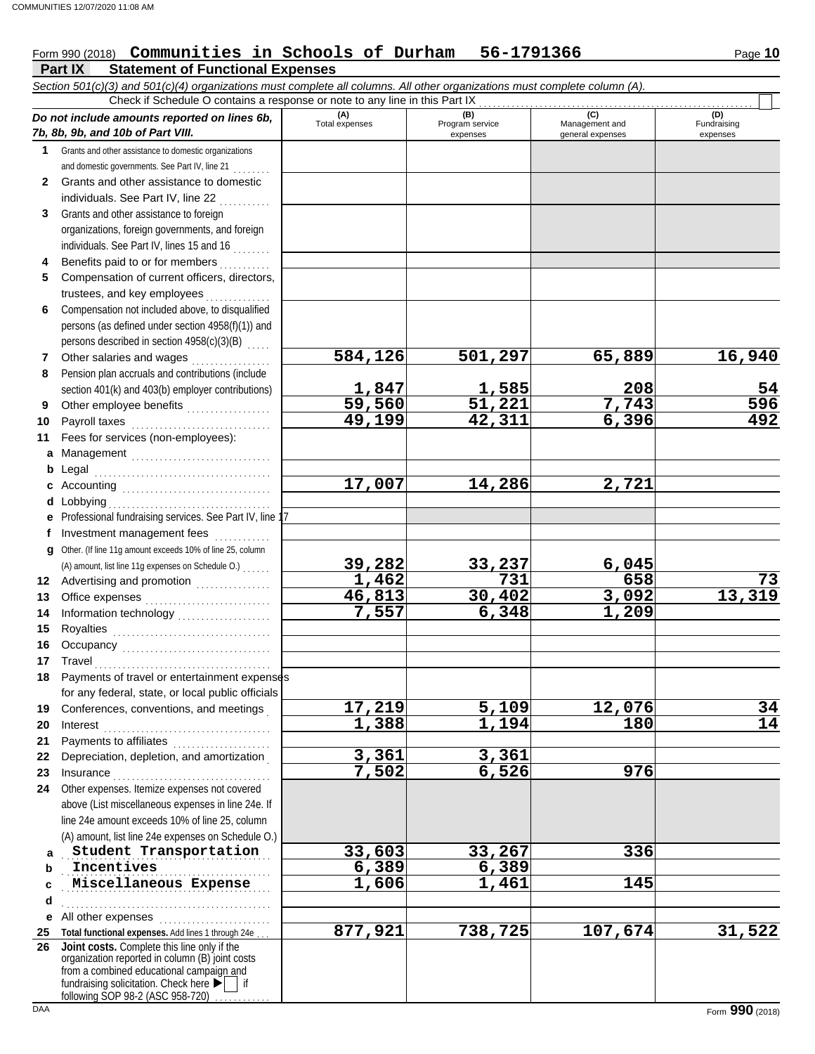#### **Part IX Statement of Functional Expenses** Form 990 (2018) **Communities in Schools of Durham 56-1791366** Page 10

|              | Section 501(c)(3) and 501(c)(4) organizations must complete all columns. All other organizations must complete column (A).<br>Check if Schedule O contains a response or note to any line in this Part IX |                        |                                    |                                           |                                |
|--------------|-----------------------------------------------------------------------------------------------------------------------------------------------------------------------------------------------------------|------------------------|------------------------------------|-------------------------------------------|--------------------------------|
|              | Do not include amounts reported on lines 6b,<br>7b, 8b, 9b, and 10b of Part VIII.                                                                                                                         | (A)<br>Total expenses  | (B)<br>Program service<br>expenses | (C)<br>Management and<br>general expenses | (D)<br>Fundraising<br>expenses |
| 1.           | Grants and other assistance to domestic organizations                                                                                                                                                     |                        |                                    |                                           |                                |
|              | and domestic governments. See Part IV, line 21                                                                                                                                                            |                        |                                    |                                           |                                |
| $\mathbf{2}$ | Grants and other assistance to domestic                                                                                                                                                                   |                        |                                    |                                           |                                |
|              | individuals. See Part IV, line 22                                                                                                                                                                         |                        |                                    |                                           |                                |
| 3            | Grants and other assistance to foreign                                                                                                                                                                    |                        |                                    |                                           |                                |
|              | organizations, foreign governments, and foreign                                                                                                                                                           |                        |                                    |                                           |                                |
|              | individuals. See Part IV, lines 15 and 16                                                                                                                                                                 |                        |                                    |                                           |                                |
| 4            | Benefits paid to or for members                                                                                                                                                                           |                        |                                    |                                           |                                |
| 5            | Compensation of current officers, directors,                                                                                                                                                              |                        |                                    |                                           |                                |
|              | trustees, and key employees                                                                                                                                                                               |                        |                                    |                                           |                                |
| 6            | Compensation not included above, to disqualified                                                                                                                                                          |                        |                                    |                                           |                                |
|              | persons (as defined under section 4958(f)(1)) and                                                                                                                                                         |                        |                                    |                                           |                                |
|              | persons described in section 4958(c)(3)(B)                                                                                                                                                                |                        |                                    |                                           |                                |
| 7            | Other salaries and wages                                                                                                                                                                                  | 584,126                | 501,297                            | 65,889                                    | 16,940                         |
| 8            | Pension plan accruals and contributions (include                                                                                                                                                          |                        |                                    |                                           |                                |
|              | section 401(k) and 403(b) employer contributions)                                                                                                                                                         |                        |                                    | 208                                       | 54                             |
| 9            | Other employee benefits                                                                                                                                                                                   | <u>1,847</u><br>59,560 | $\frac{1,585}{51,221}$             | 7,743                                     | 596                            |
| 10           | Payroll taxes                                                                                                                                                                                             | 49,199                 | $\overline{42,311}$                | 6,396                                     | 492                            |
| 11           | Fees for services (non-employees):                                                                                                                                                                        |                        |                                    |                                           |                                |
| a            |                                                                                                                                                                                                           |                        |                                    |                                           |                                |
| b            | Management<br>Legal                                                                                                                                                                                       |                        |                                    |                                           |                                |
| c            |                                                                                                                                                                                                           | 17,007                 | 14,286                             | 2,721                                     |                                |
| d            | Lobbying                                                                                                                                                                                                  |                        |                                    |                                           |                                |
|              | Professional fundraising services. See Part IV, line 1                                                                                                                                                    |                        |                                    |                                           |                                |
| е            |                                                                                                                                                                                                           |                        |                                    |                                           |                                |
| f            | Investment management fees                                                                                                                                                                                |                        |                                    |                                           |                                |
| g            | Other. (If line 11g amount exceeds 10% of line 25, column                                                                                                                                                 |                        |                                    |                                           |                                |
|              | (A) amount, list line 11g expenses on Schedule O.)                                                                                                                                                        | 39,282<br>1,462        | 33,237<br>731                      | 6,045<br>658                              |                                |
| 12           | Advertising and promotion [1] [1] [1] Advertising and promotion                                                                                                                                           |                        |                                    |                                           | 73<br>13,319                   |
| 13           |                                                                                                                                                                                                           | 46,813                 | 30,402                             | 3,092                                     |                                |
| 14           | Information technology<br>                                                                                                                                                                                | 7,557                  | 6,348                              | 1,209                                     |                                |
| 15           | Royalties                                                                                                                                                                                                 |                        |                                    |                                           |                                |
| 16           |                                                                                                                                                                                                           |                        |                                    |                                           |                                |
| 17           | Travel                                                                                                                                                                                                    |                        |                                    |                                           |                                |
|              | 18 Payments of travel or entertainment expenses                                                                                                                                                           |                        |                                    |                                           |                                |
|              | for any federal, state, or local public officials                                                                                                                                                         |                        |                                    |                                           |                                |
| 19           | Conferences, conventions, and meetings                                                                                                                                                                    | 17,219                 | 5,109                              | 12,076                                    | 34                             |
| 20           | Interest                                                                                                                                                                                                  | 1,388                  | 1,194                              | 180                                       | $\overline{14}$                |
| 21           | Payments to affiliates                                                                                                                                                                                    |                        |                                    |                                           |                                |
| 22           | Depreciation, depletion, and amortization                                                                                                                                                                 | 3,361                  | 3,361                              |                                           |                                |
| 23           | Insurance <b>Manual</b>                                                                                                                                                                                   | 7,502                  | 6,526                              | 976                                       |                                |
| 24           | Other expenses. Itemize expenses not covered                                                                                                                                                              |                        |                                    |                                           |                                |
|              | above (List miscellaneous expenses in line 24e. If                                                                                                                                                        |                        |                                    |                                           |                                |
|              | line 24e amount exceeds 10% of line 25, column                                                                                                                                                            |                        |                                    |                                           |                                |
|              | (A) amount, list line 24e expenses on Schedule O.)                                                                                                                                                        |                        |                                    |                                           |                                |
| a            | Student Transportation                                                                                                                                                                                    | 33,603                 | 33,267                             | 336                                       |                                |
| b            | Incentives                                                                                                                                                                                                | 6,389                  | 6,389                              |                                           |                                |
| c            | Miscellaneous Expense                                                                                                                                                                                     | 1,606                  | 1,461                              | 145                                       |                                |
| d            |                                                                                                                                                                                                           |                        |                                    |                                           |                                |
| е            | All other expenses                                                                                                                                                                                        |                        |                                    |                                           |                                |
| 25           | Total functional expenses. Add lines 1 through 24e                                                                                                                                                        | 877,921                | 738,725                            | 107,674                                   | 31,522                         |
| 26           | Joint costs. Complete this line only if the                                                                                                                                                               |                        |                                    |                                           |                                |
|              | organization reported in column (B) joint costs<br>from a combined educational campaign and                                                                                                               |                        |                                    |                                           |                                |
|              | fundraising solicitation. Check here $\blacktriangleright$   if                                                                                                                                           |                        |                                    |                                           |                                |
|              | following SOP 98-2 (ASC 958-720)                                                                                                                                                                          |                        |                                    |                                           |                                |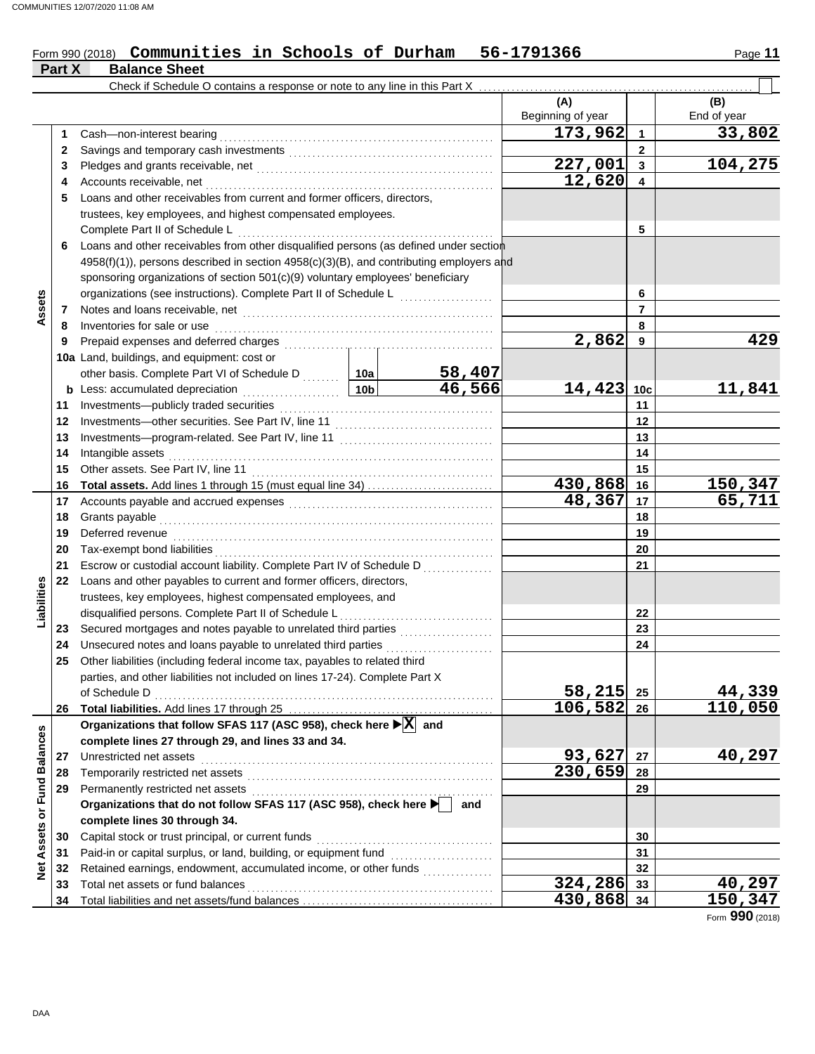#### Form 990 (2018) **Communities in Schools of Durham 56-1791366** Page 11 **Part X** Balance Sheet

|                         |          | Check if Schedule O contains a response or note to any line in this Part X                                                           |                   |                                                   |                           |                |                      |
|-------------------------|----------|--------------------------------------------------------------------------------------------------------------------------------------|-------------------|---------------------------------------------------|---------------------------|----------------|----------------------|
|                         |          |                                                                                                                                      |                   |                                                   | (A)<br>Beginning of year  |                | (B)<br>End of year   |
|                         | 1        | Cash-non-interest bearing                                                                                                            |                   |                                                   | 173,962                   | 1              | 33,802               |
|                         | 2        |                                                                                                                                      |                   |                                                   |                           | $\mathbf{2}$   |                      |
|                         | 3        |                                                                                                                                      |                   |                                                   | 227,001                   | 3              | 104,275              |
|                         | 4        | Accounts receivable, net                                                                                                             |                   |                                                   | 12,620                    |                |                      |
|                         | 5        | Loans and other receivables from current and former officers, directors,                                                             |                   |                                                   |                           |                |                      |
|                         |          | trustees, key employees, and highest compensated employees.                                                                          |                   |                                                   |                           |                |                      |
|                         |          | Complete Part II of Schedule L                                                                                                       |                   |                                                   |                           | 5              |                      |
|                         | 6        | Loans and other receivables from other disqualified persons (as defined under section                                                |                   |                                                   |                           |                |                      |
|                         |          | 4958(f)(1)), persons described in section 4958(c)(3)(B), and contributing employers and                                              |                   |                                                   |                           |                |                      |
|                         |          | sponsoring organizations of section 501(c)(9) voluntary employees' beneficiary                                                       |                   |                                                   |                           |                |                      |
|                         |          | organizations (see instructions). Complete Part II of Schedule L                                                                     |                   | 6                                                 |                           |                |                      |
| Assets                  | 7        |                                                                                                                                      |                   |                                                   |                           | $\overline{7}$ |                      |
|                         | 8        | Inventories for sale or use                                                                                                          |                   |                                                   |                           | 8              |                      |
|                         | 9        | Prepaid expenses and deferred charges                                                                                                |                   |                                                   | 2,862                     | 9              | 429                  |
|                         |          | 10a Land, buildings, and equipment: cost or                                                                                          |                   |                                                   |                           |                |                      |
|                         |          | other basis. Complete Part VI of Schedule D  10a                                                                                     |                   | 58,407                                            |                           |                |                      |
|                         |          | <b>b</b> Less: accumulated depreciation<br>.                                                                                         | 10 <sub>b</sub>   | 46,566                                            | 14,423 10c                |                | 11,841               |
|                         | 11       | Investments-publicly traded securities                                                                                               |                   |                                                   |                           | 11             |                      |
|                         | 12       |                                                                                                                                      |                   |                                                   |                           | 12             |                      |
|                         | 13       |                                                                                                                                      |                   |                                                   |                           | 13             |                      |
|                         | 14       | Intangible assets                                                                                                                    |                   |                                                   |                           | 14             |                      |
|                         | 15       | Other assets. See Part IV, line 11                                                                                                   |                   |                                                   |                           | 15<br>16       |                      |
|                         | 16<br>17 | Total assets. Add lines 1 through 15 (must equal line 34)                                                                            | 430,868<br>48,367 | 17                                                | <u>150,347</u><br>65, 711 |                |                      |
|                         | 18       | Grants payable                                                                                                                       |                   |                                                   | 18                        |                |                      |
|                         | 19       | Deferred revenue                                                                                                                     |                   |                                                   |                           | 19             |                      |
|                         | 20       | Tax-exempt bond liabilities                                                                                                          |                   |                                                   |                           | 20             |                      |
|                         | 21       | Escrow or custodial account liability. Complete Part IV of Schedule D                                                                |                   |                                                   |                           | 21             |                      |
|                         | 22       | Loans and other payables to current and former officers, directors,                                                                  |                   |                                                   |                           |                |                      |
| Liabilities             |          | trustees, key employees, highest compensated employees, and                                                                          |                   |                                                   |                           |                |                      |
|                         |          | disqualified persons. Complete Part II of Schedule L                                                                                 |                   |                                                   |                           | 22             |                      |
|                         | 23       | Secured mortgages and notes payable to unrelated third parties                                                                       |                   | <u> 1986 - Johann Stoff, Amerikaansk kanton (</u> |                           | 23             |                      |
|                         | 24       | Unsecured notes and loans payable to unrelated third parties                                                                         |                   | .                                                 |                           | 24             |                      |
|                         | 25       | Other liabilities (including federal income tax, payables to related third                                                           |                   |                                                   |                           |                |                      |
|                         |          | parties, and other liabilities not included on lines 17-24). Complete Part X                                                         |                   |                                                   |                           |                |                      |
|                         |          | of Schedule D                                                                                                                        |                   |                                                   | 58,215                    | 25             | 44,339               |
|                         | 26       |                                                                                                                                      |                   |                                                   | $\overline{106}$ , 582    | 26             | $\overline{1}10,050$ |
|                         |          | Organizations that follow SFAS 117 (ASC 958), check here $\blacktriangleright$ $\boxed{\text{X}}$ and                                |                   |                                                   |                           |                |                      |
|                         |          | complete lines 27 through 29, and lines 33 and 34.                                                                                   |                   |                                                   |                           |                |                      |
|                         | 27       | Unrestricted net assets                                                                                                              |                   |                                                   | 93,627                    | 27             | 40,297               |
|                         | 28       | Temporarily restricted net assets                                                                                                    |                   |                                                   | 230,659                   | 28             |                      |
|                         | 29       | Permanently restricted net assets                                                                                                    |                   | 29                                                |                           |                |                      |
|                         |          | Organizations that do not follow SFAS 117 (ASC 958), check here                                                                      |                   | and                                               |                           |                |                      |
| Assets or Fund Balances |          | complete lines 30 through 34.                                                                                                        |                   |                                                   |                           |                |                      |
|                         | 30       | Capital stock or trust principal, or current funds                                                                                   |                   |                                                   |                           | 30             |                      |
|                         | 31       | Paid-in or capital surplus, or land, building, or equipment fund<br>Retained earnings, endowment, accumulated income, or other funds |                   |                                                   |                           | 31<br>32       |                      |
| $\frac{1}{2}$           | 32<br>33 | Total net assets or fund balances                                                                                                    |                   |                                                   | 324,286                   | 33             | 40,297               |
|                         | 34       |                                                                                                                                      |                   |                                                   | 430,868 34                |                | 150,347              |
|                         |          |                                                                                                                                      |                   |                                                   |                           |                |                      |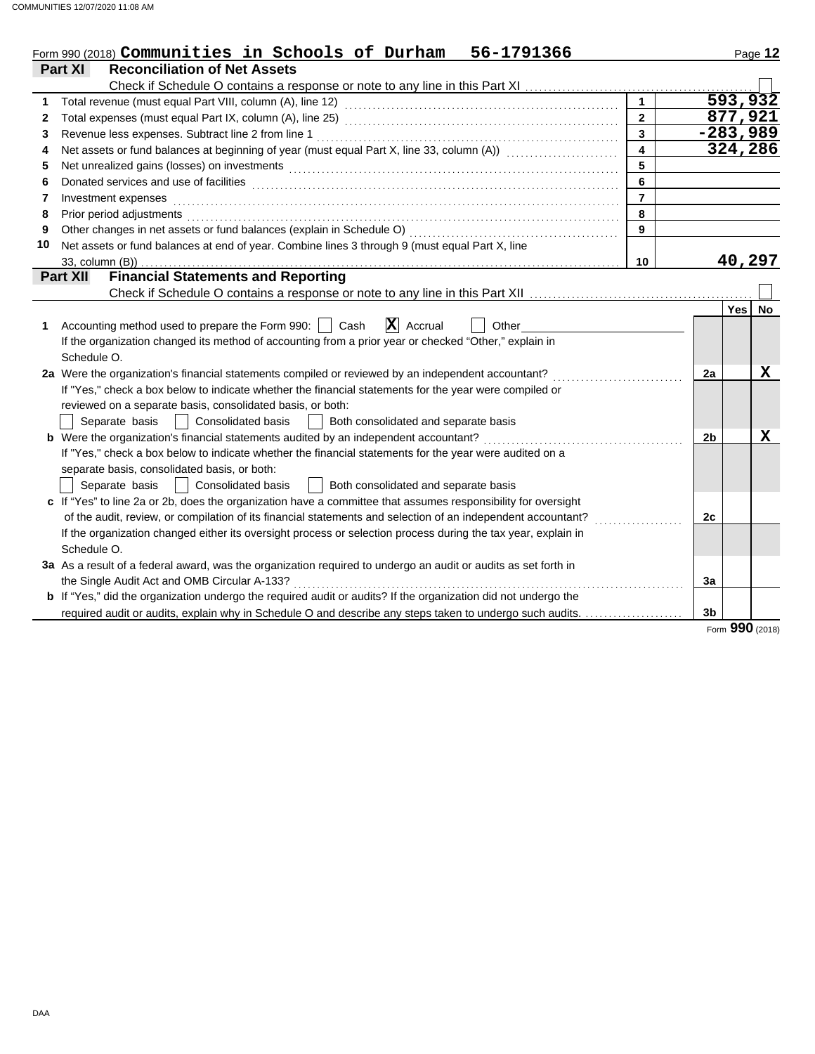|    | 56-1791366<br>Form 990 (2018) Communities in Schools of Durham                                                        |                         |                | Page 12         |
|----|-----------------------------------------------------------------------------------------------------------------------|-------------------------|----------------|-----------------|
|    | <b>Reconciliation of Net Assets</b><br><b>Part XI</b>                                                                 |                         |                |                 |
|    | Check if Schedule O contains a response or note to any line in this Part XI                                           |                         |                |                 |
| 1  |                                                                                                                       | $\mathbf{1}$            |                | 593,932         |
| 2  |                                                                                                                       | $\overline{2}$          |                | 877,921         |
| 3  | Revenue less expenses. Subtract line 2 from line 1                                                                    | $\overline{3}$          |                | $-283,989$      |
| 4  | Net assets or fund balances at beginning of year (must equal Part X, line 33, column (A)) [[[[[[[[[[[[[[[[[[[         | $\overline{\mathbf{4}}$ |                | 324,286         |
| 5  |                                                                                                                       | 5                       |                |                 |
| 6  |                                                                                                                       | 6                       |                |                 |
| 7  | Investment expenses                                                                                                   | $\overline{7}$          |                |                 |
| 8  | Prior period adjustments                                                                                              | 8                       |                |                 |
| 9  |                                                                                                                       | 9                       |                |                 |
| 10 | Net assets or fund balances at end of year. Combine lines 3 through 9 (must equal Part X, line                        |                         |                |                 |
|    | 33, column (B))                                                                                                       | 10                      |                | 40,297          |
|    | <b>Financial Statements and Reporting</b><br><b>Part XII</b>                                                          |                         |                |                 |
|    |                                                                                                                       |                         |                |                 |
|    |                                                                                                                       |                         |                | Yes No          |
| 1  | $ \mathbf{X} $ Accrual<br>Accounting method used to prepare the Form 990:     Cash<br>Other                           |                         |                |                 |
|    | If the organization changed its method of accounting from a prior year or checked "Other," explain in                 |                         |                |                 |
|    | Schedule O.                                                                                                           |                         |                |                 |
|    | 2a Were the organization's financial statements compiled or reviewed by an independent accountant?                    |                         | 2a             | $\mathbf X$     |
|    | If "Yes," check a box below to indicate whether the financial statements for the year were compiled or                |                         |                |                 |
|    | reviewed on a separate basis, consolidated basis, or both:                                                            |                         |                |                 |
|    | Separate basis<br>Consolidated basis<br>Both consolidated and separate basis                                          |                         |                |                 |
|    | <b>b</b> Were the organization's financial statements audited by an independent accountant?                           |                         | 2b             | $\mathbf X$     |
|    | If "Yes," check a box below to indicate whether the financial statements for the year were audited on a               |                         |                |                 |
|    | separate basis, consolidated basis, or both:                                                                          |                         |                |                 |
|    | Separate basis<br>Consolidated basis<br>Both consolidated and separate basis                                          |                         |                |                 |
|    | c If "Yes" to line 2a or 2b, does the organization have a committee that assumes responsibility for oversight         |                         |                |                 |
|    | of the audit, review, or compilation of its financial statements and selection of an independent accountant?          |                         | 2c             |                 |
|    | If the organization changed either its oversight process or selection process during the tax year, explain in         |                         |                |                 |
|    | Schedule O.                                                                                                           |                         |                |                 |
|    | 3a As a result of a federal award, was the organization required to undergo an audit or audits as set forth in        |                         |                |                 |
|    | the Single Audit Act and OMB Circular A-133?                                                                          |                         | 3a             |                 |
|    | <b>b</b> If "Yes," did the organization undergo the required audit or audits? If the organization did not undergo the |                         |                |                 |
|    | required audit or audits, explain why in Schedule O and describe any steps taken to undergo such audits.              |                         | 3 <sub>b</sub> |                 |
|    |                                                                                                                       |                         |                | Form 990 (2018) |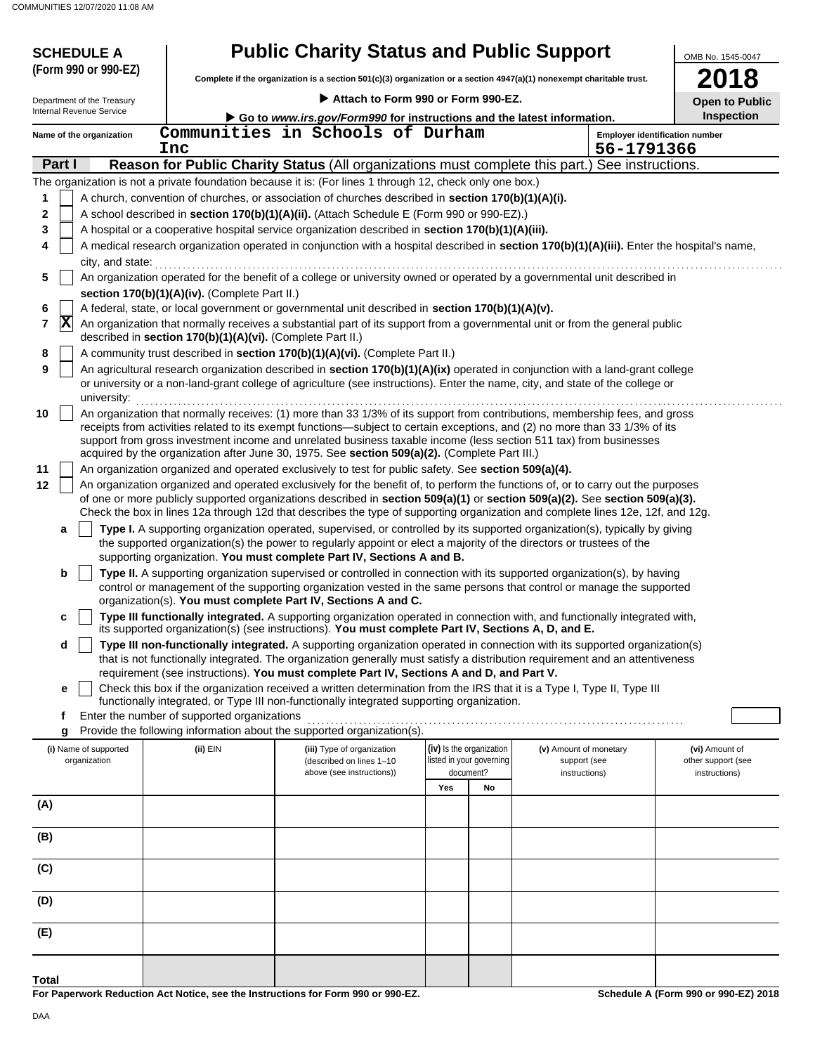# **SCHEDULE A Public Charity Status and Public Support**

**Complete if the organization is a section 501(c)(3) organization or a section 4947(a)(1) nonexempt charitable trust. (Form 990 or 990-EZ)**

| 2018                  |
|-----------------------|
| <b>Open to Public</b> |
|                       |

OMB No. 1545-0047

| Attach to Form 990 or Form 990-EZ.<br>Department of the Treasury |        |                                                                                                                                                                                                                                                                                                                                                                                 |  |                                               |                                                                                                                                                                                                                                                                                                   |     | <b>Open to Public</b>    |                        |            |                                       |  |  |
|------------------------------------------------------------------|--------|---------------------------------------------------------------------------------------------------------------------------------------------------------------------------------------------------------------------------------------------------------------------------------------------------------------------------------------------------------------------------------|--|-----------------------------------------------|---------------------------------------------------------------------------------------------------------------------------------------------------------------------------------------------------------------------------------------------------------------------------------------------------|-----|--------------------------|------------------------|------------|---------------------------------------|--|--|
|                                                                  |        | Internal Revenue Service                                                                                                                                                                                                                                                                                                                                                        |  |                                               | Go to www.irs.gov/Form990 for instructions and the latest information.                                                                                                                                                                                                                            |     |                          |                        |            | <b>Inspection</b>                     |  |  |
|                                                                  |        | Name of the organization                                                                                                                                                                                                                                                                                                                                                        |  | Inc                                           | Communities in Schools of Durham                                                                                                                                                                                                                                                                  |     |                          |                        | 56-1791366 | <b>Employer identification number</b> |  |  |
|                                                                  | Part I |                                                                                                                                                                                                                                                                                                                                                                                 |  |                                               | Reason for Public Charity Status (All organizations must complete this part.) See instructions.                                                                                                                                                                                                   |     |                          |                        |            |                                       |  |  |
|                                                                  |        |                                                                                                                                                                                                                                                                                                                                                                                 |  |                                               | The organization is not a private foundation because it is: (For lines 1 through 12, check only one box.)                                                                                                                                                                                         |     |                          |                        |            |                                       |  |  |
| 1                                                                |        |                                                                                                                                                                                                                                                                                                                                                                                 |  |                                               | A church, convention of churches, or association of churches described in section 170(b)(1)(A)(i).                                                                                                                                                                                                |     |                          |                        |            |                                       |  |  |
| 2                                                                |        |                                                                                                                                                                                                                                                                                                                                                                                 |  |                                               | A school described in section 170(b)(1)(A)(ii). (Attach Schedule E (Form 990 or 990-EZ).)                                                                                                                                                                                                         |     |                          |                        |            |                                       |  |  |
| 3                                                                |        |                                                                                                                                                                                                                                                                                                                                                                                 |  |                                               | A hospital or a cooperative hospital service organization described in section 170(b)(1)(A)(iii).                                                                                                                                                                                                 |     |                          |                        |            |                                       |  |  |
| 4                                                                |        |                                                                                                                                                                                                                                                                                                                                                                                 |  |                                               | A medical research organization operated in conjunction with a hospital described in section 170(b)(1)(A)(iii). Enter the hospital's name,                                                                                                                                                        |     |                          |                        |            |                                       |  |  |
|                                                                  |        | city, and state:                                                                                                                                                                                                                                                                                                                                                                |  |                                               |                                                                                                                                                                                                                                                                                                   |     |                          |                        |            |                                       |  |  |
| 5                                                                |        |                                                                                                                                                                                                                                                                                                                                                                                 |  |                                               | An organization operated for the benefit of a college or university owned or operated by a governmental unit described in                                                                                                                                                                         |     |                          |                        |            |                                       |  |  |
| 6                                                                |        |                                                                                                                                                                                                                                                                                                                                                                                 |  | section 170(b)(1)(A)(iv). (Complete Part II.) | A federal, state, or local government or governmental unit described in section 170(b)(1)(A)(v).                                                                                                                                                                                                  |     |                          |                        |            |                                       |  |  |
| 7                                                                | X      | An organization that normally receives a substantial part of its support from a governmental unit or from the general public<br>described in section 170(b)(1)(A)(vi). (Complete Part II.)                                                                                                                                                                                      |  |                                               |                                                                                                                                                                                                                                                                                                   |     |                          |                        |            |                                       |  |  |
| 8                                                                |        |                                                                                                                                                                                                                                                                                                                                                                                 |  |                                               | A community trust described in section 170(b)(1)(A)(vi). (Complete Part II.)                                                                                                                                                                                                                      |     |                          |                        |            |                                       |  |  |
| 9                                                                |        |                                                                                                                                                                                                                                                                                                                                                                                 |  |                                               | An agricultural research organization described in section 170(b)(1)(A)(ix) operated in conjunction with a land-grant college                                                                                                                                                                     |     |                          |                        |            |                                       |  |  |
|                                                                  |        | university:                                                                                                                                                                                                                                                                                                                                                                     |  |                                               | or university or a non-land-grant college of agriculture (see instructions). Enter the name, city, and state of the college or                                                                                                                                                                    |     |                          |                        |            |                                       |  |  |
| 10                                                               |        | An organization that normally receives: (1) more than 33 1/3% of its support from contributions, membership fees, and gross<br>receipts from activities related to its exempt functions—subject to certain exceptions, and (2) no more than 33 1/3% of its<br>support from gross investment income and unrelated business taxable income (less section 511 tax) from businesses |  |                                               |                                                                                                                                                                                                                                                                                                   |     |                          |                        |            |                                       |  |  |
| 11                                                               |        |                                                                                                                                                                                                                                                                                                                                                                                 |  |                                               | acquired by the organization after June 30, 1975. See section 509(a)(2). (Complete Part III.)<br>An organization organized and operated exclusively to test for public safety. See section 509(a)(4).                                                                                             |     |                          |                        |            |                                       |  |  |
| 12                                                               |        |                                                                                                                                                                                                                                                                                                                                                                                 |  |                                               | An organization organized and operated exclusively for the benefit of, to perform the functions of, or to carry out the purposes                                                                                                                                                                  |     |                          |                        |            |                                       |  |  |
|                                                                  |        |                                                                                                                                                                                                                                                                                                                                                                                 |  |                                               | of one or more publicly supported organizations described in section 509(a)(1) or section 509(a)(2). See section 509(a)(3).<br>Check the box in lines 12a through 12d that describes the type of supporting organization and complete lines 12e, 12f, and 12g.                                    |     |                          |                        |            |                                       |  |  |
|                                                                  | а      |                                                                                                                                                                                                                                                                                                                                                                                 |  |                                               | Type I. A supporting organization operated, supervised, or controlled by its supported organization(s), typically by giving                                                                                                                                                                       |     |                          |                        |            |                                       |  |  |
|                                                                  |        |                                                                                                                                                                                                                                                                                                                                                                                 |  |                                               | the supported organization(s) the power to regularly appoint or elect a majority of the directors or trustees of the                                                                                                                                                                              |     |                          |                        |            |                                       |  |  |
|                                                                  |        |                                                                                                                                                                                                                                                                                                                                                                                 |  |                                               | supporting organization. You must complete Part IV, Sections A and B.                                                                                                                                                                                                                             |     |                          |                        |            |                                       |  |  |
|                                                                  | b      |                                                                                                                                                                                                                                                                                                                                                                                 |  |                                               | Type II. A supporting organization supervised or controlled in connection with its supported organization(s), by having                                                                                                                                                                           |     |                          |                        |            |                                       |  |  |
|                                                                  |        |                                                                                                                                                                                                                                                                                                                                                                                 |  |                                               | control or management of the supporting organization vested in the same persons that control or manage the supported                                                                                                                                                                              |     |                          |                        |            |                                       |  |  |
|                                                                  | c      |                                                                                                                                                                                                                                                                                                                                                                                 |  |                                               | organization(s). You must complete Part IV, Sections A and C.<br>Type III functionally integrated. A supporting organization operated in connection with, and functionally integrated with,<br>its supported organization(s) (see instructions). You must complete Part IV, Sections A, D, and E. |     |                          |                        |            |                                       |  |  |
|                                                                  | d      |                                                                                                                                                                                                                                                                                                                                                                                 |  |                                               | Type III non-functionally integrated. A supporting organization operated in connection with its supported organization(s)                                                                                                                                                                         |     |                          |                        |            |                                       |  |  |
|                                                                  |        |                                                                                                                                                                                                                                                                                                                                                                                 |  |                                               | that is not functionally integrated. The organization generally must satisfy a distribution requirement and an attentiveness                                                                                                                                                                      |     |                          |                        |            |                                       |  |  |
|                                                                  |        |                                                                                                                                                                                                                                                                                                                                                                                 |  |                                               | requirement (see instructions). You must complete Part IV, Sections A and D, and Part V.                                                                                                                                                                                                          |     |                          |                        |            |                                       |  |  |
|                                                                  | е      |                                                                                                                                                                                                                                                                                                                                                                                 |  |                                               | Check this box if the organization received a written determination from the IRS that it is a Type I, Type II, Type III                                                                                                                                                                           |     |                          |                        |            |                                       |  |  |
|                                                                  |        |                                                                                                                                                                                                                                                                                                                                                                                 |  |                                               | functionally integrated, or Type III non-functionally integrated supporting organization.                                                                                                                                                                                                         |     |                          |                        |            |                                       |  |  |
|                                                                  | f<br>g |                                                                                                                                                                                                                                                                                                                                                                                 |  | Enter the number of supported organizations   | Provide the following information about the supported organization(s).                                                                                                                                                                                                                            |     |                          |                        |            |                                       |  |  |
|                                                                  |        | (i) Name of supported                                                                                                                                                                                                                                                                                                                                                           |  | (ii) EIN                                      | (iii) Type of organization                                                                                                                                                                                                                                                                        |     | (iv) Is the organization | (v) Amount of monetary |            | (vi) Amount of                        |  |  |
|                                                                  |        | organization                                                                                                                                                                                                                                                                                                                                                                    |  |                                               | (described on lines 1-10                                                                                                                                                                                                                                                                          |     | listed in your governing | support (see           |            | other support (see                    |  |  |
|                                                                  |        |                                                                                                                                                                                                                                                                                                                                                                                 |  |                                               | above (see instructions))                                                                                                                                                                                                                                                                         |     | document?                | instructions)          |            | instructions)                         |  |  |
|                                                                  |        |                                                                                                                                                                                                                                                                                                                                                                                 |  |                                               |                                                                                                                                                                                                                                                                                                   | Yes | No                       |                        |            |                                       |  |  |
| (A)                                                              |        |                                                                                                                                                                                                                                                                                                                                                                                 |  |                                               |                                                                                                                                                                                                                                                                                                   |     |                          |                        |            |                                       |  |  |
|                                                                  |        |                                                                                                                                                                                                                                                                                                                                                                                 |  |                                               |                                                                                                                                                                                                                                                                                                   |     |                          |                        |            |                                       |  |  |
| (B)                                                              |        |                                                                                                                                                                                                                                                                                                                                                                                 |  |                                               |                                                                                                                                                                                                                                                                                                   |     |                          |                        |            |                                       |  |  |
| (C)                                                              |        |                                                                                                                                                                                                                                                                                                                                                                                 |  |                                               |                                                                                                                                                                                                                                                                                                   |     |                          |                        |            |                                       |  |  |
| (D)                                                              |        |                                                                                                                                                                                                                                                                                                                                                                                 |  |                                               |                                                                                                                                                                                                                                                                                                   |     |                          |                        |            |                                       |  |  |
| (E)                                                              |        |                                                                                                                                                                                                                                                                                                                                                                                 |  |                                               |                                                                                                                                                                                                                                                                                                   |     |                          |                        |            |                                       |  |  |
|                                                                  |        |                                                                                                                                                                                                                                                                                                                                                                                 |  |                                               |                                                                                                                                                                                                                                                                                                   |     |                          |                        |            |                                       |  |  |

**For Paperwork Reduction Act Notice, see the Instructions for Form 990 or 990-EZ.**

**Total**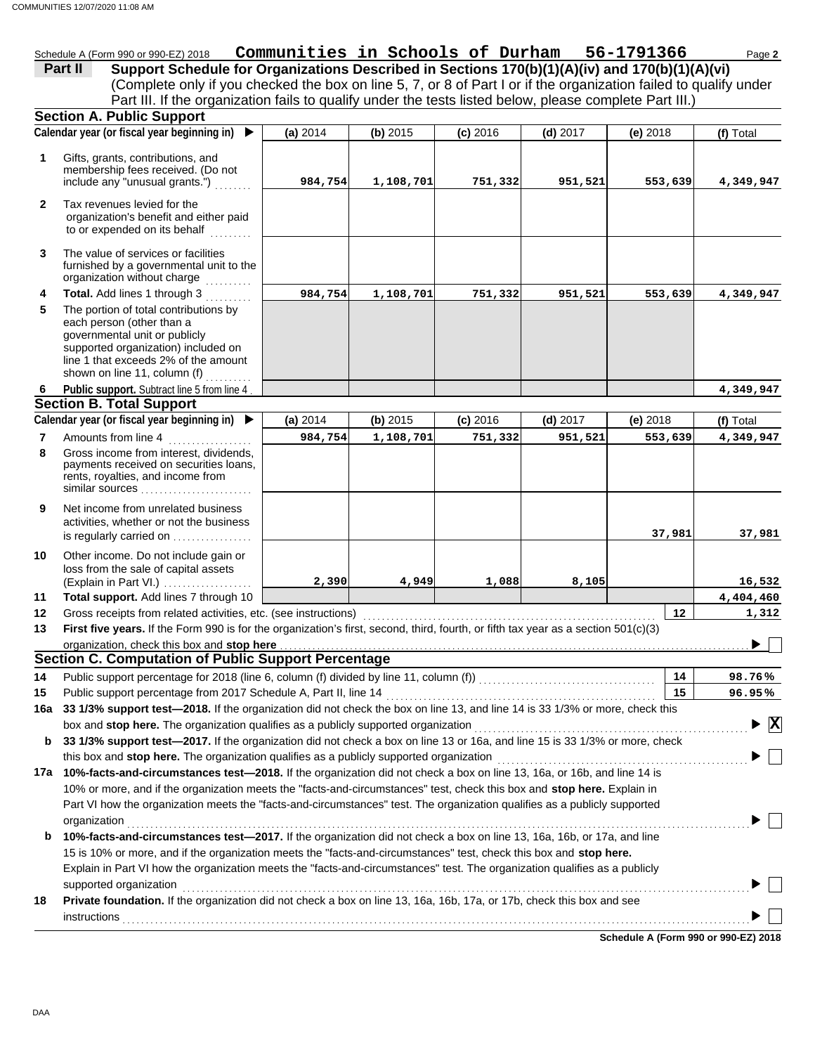### Schedule A (Form 990 or 990-EZ) 2018 **Communities in Schools of Durham** 56-1791366 Page 2

(Complete only if you checked the box on line 5, 7, or 8 of Part I or if the organization failed to qualify under **Part II Support Schedule for Organizations Described in Sections 170(b)(1)(A)(iv) and 170(b)(1)(A)(vi)** Part III. If the organization fails to qualify under the tests listed below, please complete Part III.)

|              | <b>Section A. Public Support</b>                                                                                                                                                                                                                            |          |           |            |            |                                            |                          |
|--------------|-------------------------------------------------------------------------------------------------------------------------------------------------------------------------------------------------------------------------------------------------------------|----------|-----------|------------|------------|--------------------------------------------|--------------------------|
|              | Calendar year (or fiscal year beginning in)<br>$\blacktriangleright$                                                                                                                                                                                        | (a) 2014 | (b) 2015  | $(c)$ 2016 | $(d)$ 2017 | $(e)$ 2018                                 | (f) Total                |
| 1            | Gifts, grants, contributions, and<br>membership fees received. (Do not<br>include any "unusual grants.")                                                                                                                                                    | 984,754  | 1,108,701 | 751,332    | 951,521    | 553,639                                    | 4,349,947                |
| $\mathbf{2}$ | Tax revenues levied for the<br>organization's benefit and either paid<br>to or expended on its behalf                                                                                                                                                       |          |           |            |            |                                            |                          |
| 3            | The value of services or facilities<br>furnished by a governmental unit to the<br>organization without charge                                                                                                                                               |          |           |            |            |                                            |                          |
| 4            | Total. Add lines 1 through 3                                                                                                                                                                                                                                | 984,754  | 1,108,701 | 751,332    | 951,521    | 553,639                                    | 4,349,947                |
| 5            | The portion of total contributions by<br>each person (other than a<br>governmental unit or publicly<br>supported organization) included on<br>line 1 that exceeds 2% of the amount<br>shown on line 11, column (f)                                          |          |           |            |            |                                            |                          |
| 6            | Public support. Subtract line 5 from line 4                                                                                                                                                                                                                 |          |           |            |            |                                            | 4,349,947                |
|              | <b>Section B. Total Support</b>                                                                                                                                                                                                                             |          |           |            |            |                                            |                          |
|              | Calendar year (or fiscal year beginning in) $\blacktriangleright$                                                                                                                                                                                           | (a) 2014 | (b) 2015  | $(c)$ 2016 | $(d)$ 2017 | (e) 2018                                   | (f) Total                |
| 7            | Amounts from line 4                                                                                                                                                                                                                                         | 984,754  | 1,108,701 | 751,332    | 951,521    | 553,639                                    | 4,349,947                |
| 8            | Gross income from interest, dividends,<br>payments received on securities loans,<br>rents, royalties, and income from<br>similar sources                                                                                                                    |          |           |            |            |                                            |                          |
| 9            | Net income from unrelated business<br>activities, whether or not the business<br>is regularly carried on                                                                                                                                                    |          |           |            |            | 37,981                                     | 37,981                   |
| 10           | Other income. Do not include gain or<br>loss from the sale of capital assets<br>(Explain in Part VI.)                                                                                                                                                       | 2,390    | 4,949     | 1,088      | 8,105      |                                            | 16,532                   |
| 11           | Total support. Add lines 7 through 10                                                                                                                                                                                                                       |          |           |            |            |                                            | 4,404,460                |
| 12           | Gross receipts from related activities, etc. (see instructions)                                                                                                                                                                                             |          |           |            |            | 12                                         | 1,312                    |
| 13           | First five years. If the Form 990 is for the organization's first, second, third, fourth, or fifth tax year as a section 501(c)(3)                                                                                                                          |          |           |            |            |                                            |                          |
|              | organization, check this box and stop here                                                                                                                                                                                                                  |          |           |            |            |                                            |                          |
|              | <b>Section C. Computation of Public Support Percentage</b>                                                                                                                                                                                                  |          |           |            |            |                                            |                          |
| 14           | Public support percentage for 2018 (line 6, column (f) divided by line 11, column (f)) [[[[[[[[[[[[[[[[[[[[[[                                                                                                                                               |          |           |            |            | 14                                         | 98.76%                   |
| 15           | Public support percentage from 2017 Schedule A, Part II, line 14                                                                                                                                                                                            |          |           |            |            | 15                                         | 96.95%                   |
|              | 13 Fublic support percentage from 2017 Scriedule A, Part II, line 14 <b>Construct Construct Construct Construct</b> 16a<br>16a 33 1/3% support test—2018. If the organization did not check the box on line 13, and line 14 is 33 1/3%                      |          |           |            |            |                                            |                          |
|              | box and stop here. The organization qualifies as a publicly supported organization                                                                                                                                                                          |          |           |            |            |                                            | $\vert \mathbf{X} \vert$ |
| b            | 33 1/3% support test-2017. If the organization did not check a box on line 13 or 16a, and line 15 is 33 1/3% or more, check                                                                                                                                 |          |           |            |            |                                            |                          |
|              | this box and stop here. The organization qualifies as a publicly supported organization                                                                                                                                                                     |          |           |            |            |                                            |                          |
|              | 17a 10%-facts-and-circumstances test-2018. If the organization did not check a box on line 13, 16a, or 16b, and line 14 is                                                                                                                                  |          |           |            |            |                                            |                          |
|              | 10% or more, and if the organization meets the "facts-and-circumstances" test, check this box and stop here. Explain in                                                                                                                                     |          |           |            |            |                                            |                          |
|              | Part VI how the organization meets the "facts-and-circumstances" test. The organization qualifies as a publicly supported                                                                                                                                   |          |           |            |            |                                            |                          |
| b            | organization<br>10%-facts-and-circumstances test-2017. If the organization did not check a box on line 13, 16a, 16b, or 17a, and line<br>15 is 10% or more, and if the organization meets the "facts-and-circumstances" test, check this box and stop here. |          |           |            |            |                                            |                          |
|              | Explain in Part VI how the organization meets the "facts-and-circumstances" test. The organization qualifies as a publicly                                                                                                                                  |          |           |            |            |                                            |                          |
|              | supported organization                                                                                                                                                                                                                                      |          |           |            |            |                                            |                          |
| 18           | Private foundation. If the organization did not check a box on line 13, 16a, 16b, 17a, or 17b, check this box and see                                                                                                                                       |          |           |            |            |                                            |                          |
|              | instructions                                                                                                                                                                                                                                                |          |           |            |            |                                            |                          |
|              |                                                                                                                                                                                                                                                             |          |           |            |            | <b>Cohodule A (Form 000 or 000 EZ) 204</b> |                          |

**Schedule A (Form 990 or 990-EZ) 2018**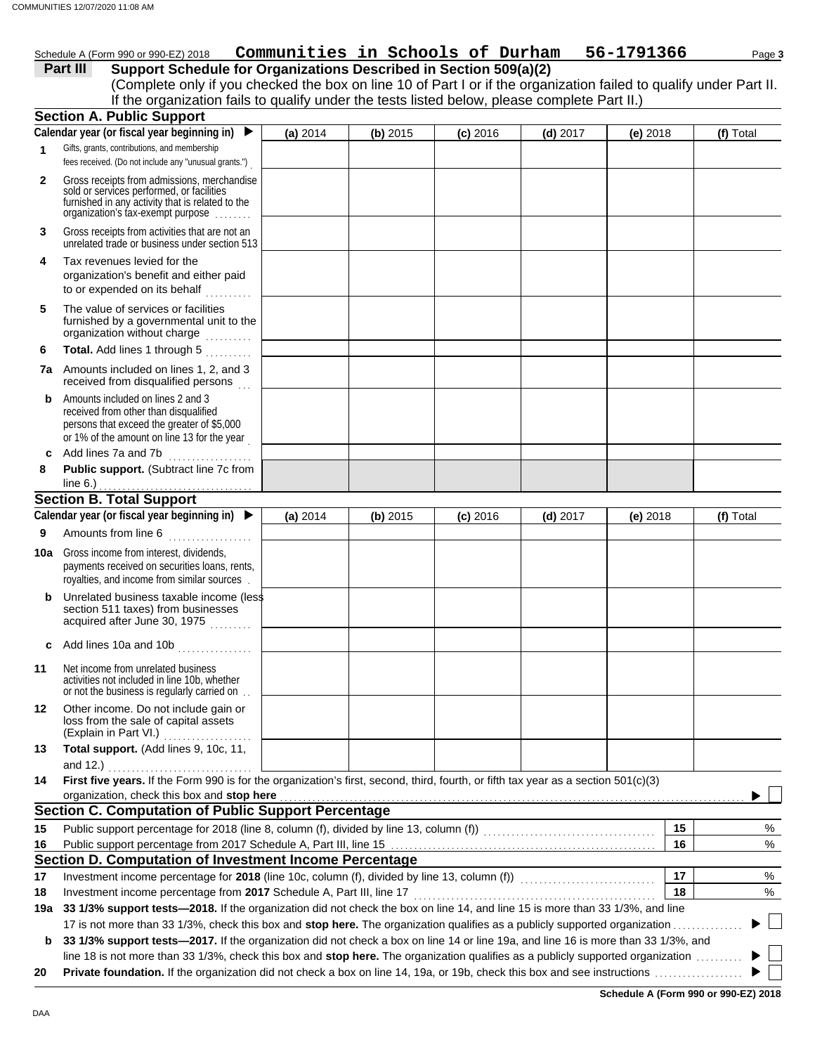#### Schedule A (Form 990 or 990-EZ) 2018 **Communities in Schools of Durham** 56-1791366 Page 3

#### **Part III** Support Schedule for Organizations Described in Section 509(a)(2)

(Complete only if you checked the box on line 10 of Part I or if the organization failed to qualify under Part II. If the organization fails to qualify under the tests listed below, please complete Part II.)

|              | <b>Section A. Public Support</b>                                                                                                                                                                                                                                     |          |          |            |            |          |           |
|--------------|----------------------------------------------------------------------------------------------------------------------------------------------------------------------------------------------------------------------------------------------------------------------|----------|----------|------------|------------|----------|-----------|
|              | Calendar year (or fiscal year beginning in)                                                                                                                                                                                                                          | (a) 2014 | (b) 2015 | $(c)$ 2016 | $(d)$ 2017 | (e) 2018 | (f) Total |
| 1            | Gifts, grants, contributions, and membership<br>fees received. (Do not include any "unusual grants.")                                                                                                                                                                |          |          |            |            |          |           |
| $\mathbf{2}$ | Gross receipts from admissions, merchandise<br>sold or services performed, or facilities<br>furnished in any activity that is related to the<br>organization's fax-exempt purpose                                                                                    |          |          |            |            |          |           |
| 3            | Gross receipts from activities that are not an<br>unrelated trade or business under section 513                                                                                                                                                                      |          |          |            |            |          |           |
| 4            | Tax revenues levied for the<br>organization's benefit and either paid<br>to or expended on its behalf                                                                                                                                                                |          |          |            |            |          |           |
| 5            | The value of services or facilities<br>furnished by a governmental unit to the<br>organization without charge                                                                                                                                                        |          |          |            |            |          |           |
| 6            | Total. Add lines 1 through 5                                                                                                                                                                                                                                         |          |          |            |            |          |           |
|              | 7a Amounts included on lines 1, 2, and 3<br>received from disqualified persons                                                                                                                                                                                       |          |          |            |            |          |           |
| b            | Amounts included on lines 2 and 3<br>received from other than disqualified<br>persons that exceed the greater of \$5,000<br>or 1% of the amount on line 13 for the year                                                                                              |          |          |            |            |          |           |
| c<br>8       | Add lines 7a and 7b<br>.<br>Public support. (Subtract line 7c from                                                                                                                                                                                                   |          |          |            |            |          |           |
|              | line $6.$ )<br><b>Section B. Total Support</b>                                                                                                                                                                                                                       |          |          |            |            |          |           |
|              | Calendar year (or fiscal year beginning in) $\blacktriangleright$                                                                                                                                                                                                    | (a) 2014 | (b) 2015 | $(c)$ 2016 | $(d)$ 2017 | (e) 2018 | (f) Total |
| 9            | Amounts from line 6                                                                                                                                                                                                                                                  |          |          |            |            |          |           |
| 10a l        | Gross income from interest, dividends,<br>payments received on securities loans, rents,<br>royalties, and income from similar sources                                                                                                                                |          |          |            |            |          |           |
| b            | Unrelated business taxable income (less<br>section 511 taxes) from businesses<br>acquired after June 30, 1975                                                                                                                                                        |          |          |            |            |          |           |
| c            | Add lines 10a and 10b                                                                                                                                                                                                                                                |          |          |            |            |          |           |
| 11           | Net income from unrelated business<br>activities not included in line 10b, whether<br>or not the business is regularly carried on                                                                                                                                    |          |          |            |            |          |           |
| 12           | Other income. Do not include gain or<br>loss from the sale of capital assets<br>(Explain in Part VI.)                                                                                                                                                                |          |          |            |            |          |           |
| 13           | Total support. (Add lines 9, 10c, 11,<br>and 12.) $\ldots$                                                                                                                                                                                                           |          |          |            |            |          |           |
| 14           | First five years. If the Form 990 is for the organization's first, second, third, fourth, or fifth tax year as a section 501(c)(3)<br>organization, check this box and stop here                                                                                     |          |          |            |            |          |           |
|              | <b>Section C. Computation of Public Support Percentage</b>                                                                                                                                                                                                           |          |          |            |            |          |           |
| 15           |                                                                                                                                                                                                                                                                      |          |          |            |            | 15       | %         |
| 16           |                                                                                                                                                                                                                                                                      |          |          |            |            | 16       | %         |
|              | Section D. Computation of Investment Income Percentage                                                                                                                                                                                                               |          |          |            |            |          |           |
| 17           |                                                                                                                                                                                                                                                                      |          |          |            |            | 17       | %         |
| 18           |                                                                                                                                                                                                                                                                      |          |          |            |            | 18       | %         |
| 19a          | 33 1/3% support tests-2018. If the organization did not check the box on line 14, and line 15 is more than 33 1/3%, and line                                                                                                                                         |          |          |            |            |          |           |
|              | 17 is not more than 33 1/3%, check this box and stop here. The organization qualifies as a publicly supported organization                                                                                                                                           |          |          |            |            |          |           |
| b            | 33 1/3% support tests-2017. If the organization did not check a box on line 14 or line 19a, and line 16 is more than 33 1/3%, and<br>line 18 is not more than 33 1/3%, check this box and stop here. The organization qualifies as a publicly supported organization |          |          |            |            |          |           |
| 20           |                                                                                                                                                                                                                                                                      |          |          |            |            |          |           |
|              |                                                                                                                                                                                                                                                                      |          |          |            |            |          |           |

**Schedule A (Form 990 or 990-EZ) 2018**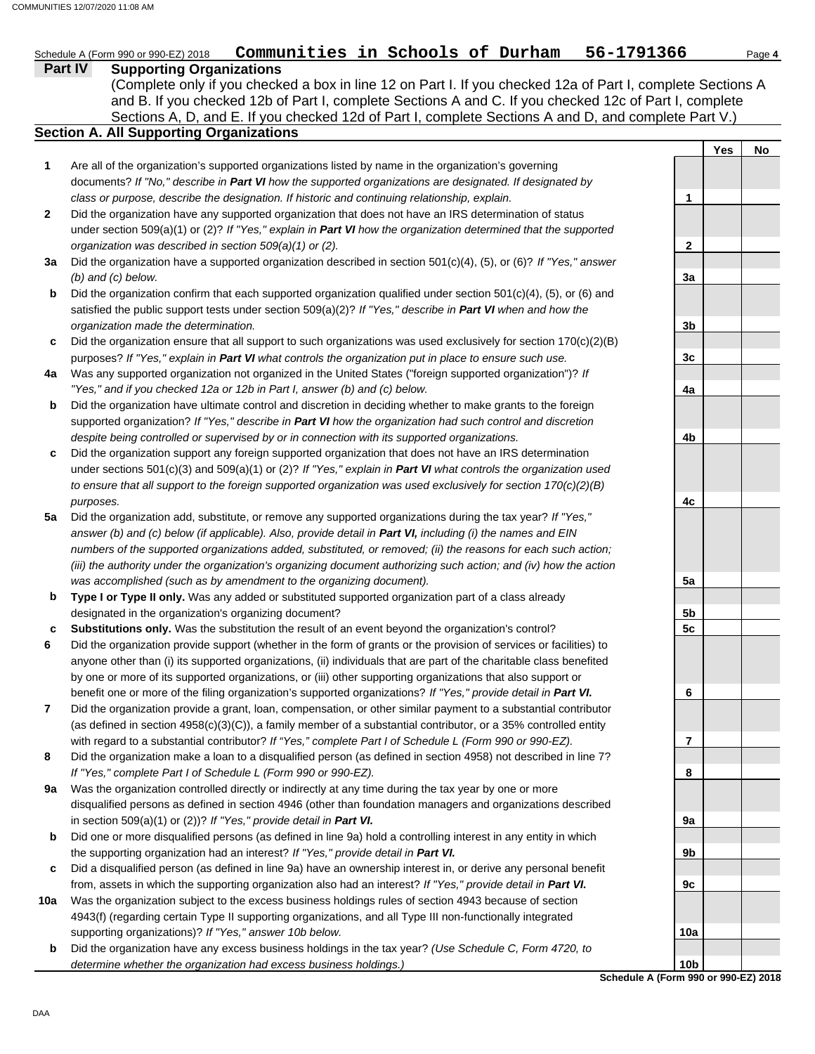## Schedule A (Form 990 or 990-EZ) 2018 **Communities in Schools of Durham** 56-1791366 Page 4

#### **Part IV Supporting Organizations** Sections A, D, and E. If you checked 12d of Part I, complete Sections A and D, and complete Part V.) **Section A. All Supporting Organizations** (Complete only if you checked a box in line 12 on Part I. If you checked 12a of Part I, complete Sections A and B. If you checked 12b of Part I, complete Sections A and C. If you checked 12c of Part I, complete Are all of the organization's supported organizations listed by name in the organization's governing documents? *If "No," describe in Part VI how the supported organizations are designated. If designated by class or purpose, describe the designation. If historic and continuing relationship, explain.* Did the organization have any supported organization that does not have an IRS determination of status under section 509(a)(1) or (2)? *If "Yes," explain in Part VI how the organization determined that the supported organization was described in section 509(a)(1) or (2).* **1 2 3a** Did the organization have a supported organization described in section 501(c)(4), (5), or (6)? *If "Yes," answer* **b c** Did the organization ensure that all support to such organizations was used exclusively for section 170(c)(2)(B) **4a** Was any supported organization not organized in the United States ("foreign supported organization")? *If* **b c** Did the organization support any foreign supported organization that does not have an IRS determination **5a** Did the organization add, substitute, or remove any supported organizations during the tax year? *If "Yes,"* **b c 6 7 8 9a b c 10a** *(b) and (c) below.* Did the organization confirm that each supported organization qualified under section 501(c)(4), (5), or (6) and satisfied the public support tests under section 509(a)(2)? *If "Yes," describe in Part VI when and how the organization made the determination.* purposes? *If "Yes," explain in Part VI what controls the organization put in place to ensure such use. "Yes," and if you checked 12a or 12b in Part I, answer (b) and (c) below.* Did the organization have ultimate control and discretion in deciding whether to make grants to the foreign supported organization? *If "Yes," describe in Part VI how the organization had such control and discretion despite being controlled or supervised by or in connection with its supported organizations.* under sections 501(c)(3) and 509(a)(1) or (2)? *If "Yes," explain in Part VI what controls the organization used to ensure that all support to the foreign supported organization was used exclusively for section 170(c)(2)(B) purposes. answer (b) and (c) below (if applicable). Also, provide detail in Part VI, including (i) the names and EIN numbers of the supported organizations added, substituted, or removed; (ii) the reasons for each such action; (iii) the authority under the organization's organizing document authorizing such action; and (iv) how the action was accomplished (such as by amendment to the organizing document).* **Type I or Type II only.** Was any added or substituted supported organization part of a class already designated in the organization's organizing document? **Substitutions only.** Was the substitution the result of an event beyond the organization's control? Did the organization provide support (whether in the form of grants or the provision of services or facilities) to anyone other than (i) its supported organizations, (ii) individuals that are part of the charitable class benefited by one or more of its supported organizations, or (iii) other supporting organizations that also support or benefit one or more of the filing organization's supported organizations? *If "Yes," provide detail in Part VI.* Did the organization provide a grant, loan, compensation, or other similar payment to a substantial contributor (as defined in section 4958(c)(3)(C)), a family member of a substantial contributor, or a 35% controlled entity with regard to a substantial contributor? *If "Yes," complete Part I of Schedule L (Form 990 or 990-EZ).* Did the organization make a loan to a disqualified person (as defined in section 4958) not described in line 7? *If "Yes," complete Part I of Schedule L (Form 990 or 990-EZ).* Was the organization controlled directly or indirectly at any time during the tax year by one or more disqualified persons as defined in section 4946 (other than foundation managers and organizations described in section 509(a)(1) or (2))? *If "Yes," provide detail in Part VI.* Did one or more disqualified persons (as defined in line 9a) hold a controlling interest in any entity in which the supporting organization had an interest? *If "Yes," provide detail in Part VI.* Did a disqualified person (as defined in line 9a) have an ownership interest in, or derive any personal benefit from, assets in which the supporting organization also had an interest? *If "Yes," provide detail in Part VI.* Was the organization subject to the excess business holdings rules of section 4943 because of section 4943(f) (regarding certain Type II supporting organizations, and all Type III non-functionally integrated supporting organizations)? *If "Yes," answer 10b below.* **Yes No 1 2 3a 3b 3c 4a 4b 4c 5a 5b 5c 6 7 8 9a 9b 9c 10a**

**b** Did the organization have any excess business holdings in the tax year? *(Use Schedule C, Form 4720, to determine whether the organization had excess business holdings.)*

**Schedule A (Form 990 or 990-EZ) 2018 10b**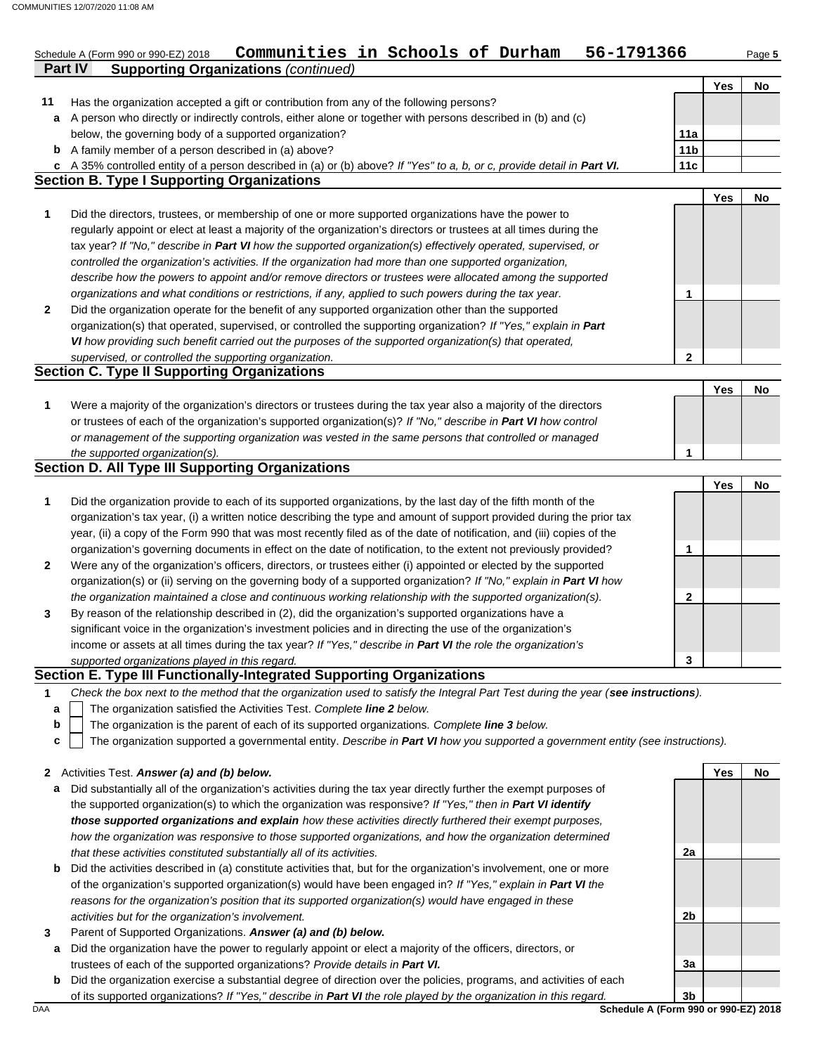| Part IV<br>Yes<br>Has the organization accepted a gift or contribution from any of the following persons?<br>A person who directly or indirectly controls, either alone or together with persons described in (b) and (c)<br>a<br>below, the governing body of a supported organization?<br>11a<br>A family member of a person described in (a) above?<br>11b<br>b<br>A 35% controlled entity of a person described in (a) or (b) above? If "Yes" to a, b, or c, provide detail in Part VI.<br>11c<br>c<br><b>Section B. Type I Supporting Organizations</b><br>Yes<br>Did the directors, trustees, or membership of one or more supported organizations have the power to<br>regularly appoint or elect at least a majority of the organization's directors or trustees at all times during the<br>tax year? If "No," describe in Part VI how the supported organization(s) effectively operated, supervised, or<br>controlled the organization's activities. If the organization had more than one supported organization,<br>describe how the powers to appoint and/or remove directors or trustees were allocated among the supported<br>organizations and what conditions or restrictions, if any, applied to such powers during the tax year.<br>1<br>Did the organization operate for the benefit of any supported organization other than the supported<br>organization(s) that operated, supervised, or controlled the supporting organization? If "Yes," explain in Part<br>VI how providing such benefit carried out the purposes of the supported organization(s) that operated,<br>supervised, or controlled the supporting organization.<br>2<br><b>Section C. Type II Supporting Organizations</b><br>Yes<br>Were a majority of the organization's directors or trustees during the tax year also a majority of the directors<br>or trustees of each of the organization's supported organization(s)? If "No," describe in Part VI how control<br>or management of the supporting organization was vested in the same persons that controlled or managed<br>the supported organization(s).<br>1<br><b>Section D. All Type III Supporting Organizations</b><br>Yes<br>Did the organization provide to each of its supported organizations, by the last day of the fifth month of the<br>organization's tax year, (i) a written notice describing the type and amount of support provided during the prior tax<br>year, (ii) a copy of the Form 990 that was most recently filed as of the date of notification, and (iii) copies of the<br>organization's governing documents in effect on the date of notification, to the extent not previously provided?<br>1<br>Were any of the organization's officers, directors, or trustees either (i) appointed or elected by the supported<br>organization(s) or (ii) serving on the governing body of a supported organization? If "No," explain in Part VI how<br>the organization maintained a close and continuous working relationship with the supported organization(s).<br>2<br>By reason of the relationship described in (2), did the organization's supported organizations have a<br>significant voice in the organization's investment policies and in directing the use of the organization's<br>income or assets at all times during the tax year? If "Yes," describe in Part VI the role the organization's<br>supported organizations played in this regard.<br>3<br>Section E. Type III Functionally-Integrated Supporting Organizations<br>Check the box next to the method that the organization used to satisfy the Integral Part Test during the year (see instructions).<br>The organization satisfied the Activities Test. Complete line 2 below.<br>a<br>The organization is the parent of each of its supported organizations. Complete line 3 below.<br>b<br>The organization supported a governmental entity. Describe in Part VI how you supported a government entity (see instructions).<br>C<br>Activities Test. Answer (a) and (b) below.<br>Yes<br>Did substantially all of the organization's activities during the tax year directly further the exempt purposes of<br>a<br>the supported organization(s) to which the organization was responsive? If "Yes," then in Part VI identify |              | Communities in Schools of Durham<br>56-1791366<br>Schedule A (Form 990 or 990-EZ) 2018<br><b>Supporting Organizations (continued)</b> |  | Page 5 |
|------------------------------------------------------------------------------------------------------------------------------------------------------------------------------------------------------------------------------------------------------------------------------------------------------------------------------------------------------------------------------------------------------------------------------------------------------------------------------------------------------------------------------------------------------------------------------------------------------------------------------------------------------------------------------------------------------------------------------------------------------------------------------------------------------------------------------------------------------------------------------------------------------------------------------------------------------------------------------------------------------------------------------------------------------------------------------------------------------------------------------------------------------------------------------------------------------------------------------------------------------------------------------------------------------------------------------------------------------------------------------------------------------------------------------------------------------------------------------------------------------------------------------------------------------------------------------------------------------------------------------------------------------------------------------------------------------------------------------------------------------------------------------------------------------------------------------------------------------------------------------------------------------------------------------------------------------------------------------------------------------------------------------------------------------------------------------------------------------------------------------------------------------------------------------------------------------------------------------------------------------------------------------------------------------------------------------------------------------------------------------------------------------------------------------------------------------------------------------------------------------------------------------------------------------------------------------------------------------------------------------------------------------------------------------------------------------------------------------------------------------------------------------------------------------------------------------------------------------------------------------------------------------------------------------------------------------------------------------------------------------------------------------------------------------------------------------------------------------------------------------------------------------------------------------------------------------------------------------------------------------------------------------------------------------------------------------------------------------------------------------------------------------------------------------------------------------------------------------------------------------------------------------------------------------------------------------------------------------------------------------------------------------------------------------------------------------------------------------------------------------------------------------------------------------------------------------------------------------------------------------------------------------------------------------------------------------------------------------------------------------------------------------------------------------------------------------------------------------------------------------------------------------------------------------------------------------------------------------------------------------------------------------------|--------------|---------------------------------------------------------------------------------------------------------------------------------------|--|--------|
|                                                                                                                                                                                                                                                                                                                                                                                                                                                                                                                                                                                                                                                                                                                                                                                                                                                                                                                                                                                                                                                                                                                                                                                                                                                                                                                                                                                                                                                                                                                                                                                                                                                                                                                                                                                                                                                                                                                                                                                                                                                                                                                                                                                                                                                                                                                                                                                                                                                                                                                                                                                                                                                                                                                                                                                                                                                                                                                                                                                                                                                                                                                                                                                                                                                                                                                                                                                                                                                                                                                                                                                                                                                                                                                                                                                                                                                                                                                                                                                                                                                                                                                                                                                                                                                                                    |              |                                                                                                                                       |  | No     |
|                                                                                                                                                                                                                                                                                                                                                                                                                                                                                                                                                                                                                                                                                                                                                                                                                                                                                                                                                                                                                                                                                                                                                                                                                                                                                                                                                                                                                                                                                                                                                                                                                                                                                                                                                                                                                                                                                                                                                                                                                                                                                                                                                                                                                                                                                                                                                                                                                                                                                                                                                                                                                                                                                                                                                                                                                                                                                                                                                                                                                                                                                                                                                                                                                                                                                                                                                                                                                                                                                                                                                                                                                                                                                                                                                                                                                                                                                                                                                                                                                                                                                                                                                                                                                                                                                    | 11           |                                                                                                                                       |  |        |
|                                                                                                                                                                                                                                                                                                                                                                                                                                                                                                                                                                                                                                                                                                                                                                                                                                                                                                                                                                                                                                                                                                                                                                                                                                                                                                                                                                                                                                                                                                                                                                                                                                                                                                                                                                                                                                                                                                                                                                                                                                                                                                                                                                                                                                                                                                                                                                                                                                                                                                                                                                                                                                                                                                                                                                                                                                                                                                                                                                                                                                                                                                                                                                                                                                                                                                                                                                                                                                                                                                                                                                                                                                                                                                                                                                                                                                                                                                                                                                                                                                                                                                                                                                                                                                                                                    |              |                                                                                                                                       |  |        |
|                                                                                                                                                                                                                                                                                                                                                                                                                                                                                                                                                                                                                                                                                                                                                                                                                                                                                                                                                                                                                                                                                                                                                                                                                                                                                                                                                                                                                                                                                                                                                                                                                                                                                                                                                                                                                                                                                                                                                                                                                                                                                                                                                                                                                                                                                                                                                                                                                                                                                                                                                                                                                                                                                                                                                                                                                                                                                                                                                                                                                                                                                                                                                                                                                                                                                                                                                                                                                                                                                                                                                                                                                                                                                                                                                                                                                                                                                                                                                                                                                                                                                                                                                                                                                                                                                    |              |                                                                                                                                       |  |        |
|                                                                                                                                                                                                                                                                                                                                                                                                                                                                                                                                                                                                                                                                                                                                                                                                                                                                                                                                                                                                                                                                                                                                                                                                                                                                                                                                                                                                                                                                                                                                                                                                                                                                                                                                                                                                                                                                                                                                                                                                                                                                                                                                                                                                                                                                                                                                                                                                                                                                                                                                                                                                                                                                                                                                                                                                                                                                                                                                                                                                                                                                                                                                                                                                                                                                                                                                                                                                                                                                                                                                                                                                                                                                                                                                                                                                                                                                                                                                                                                                                                                                                                                                                                                                                                                                                    |              |                                                                                                                                       |  |        |
|                                                                                                                                                                                                                                                                                                                                                                                                                                                                                                                                                                                                                                                                                                                                                                                                                                                                                                                                                                                                                                                                                                                                                                                                                                                                                                                                                                                                                                                                                                                                                                                                                                                                                                                                                                                                                                                                                                                                                                                                                                                                                                                                                                                                                                                                                                                                                                                                                                                                                                                                                                                                                                                                                                                                                                                                                                                                                                                                                                                                                                                                                                                                                                                                                                                                                                                                                                                                                                                                                                                                                                                                                                                                                                                                                                                                                                                                                                                                                                                                                                                                                                                                                                                                                                                                                    |              |                                                                                                                                       |  |        |
|                                                                                                                                                                                                                                                                                                                                                                                                                                                                                                                                                                                                                                                                                                                                                                                                                                                                                                                                                                                                                                                                                                                                                                                                                                                                                                                                                                                                                                                                                                                                                                                                                                                                                                                                                                                                                                                                                                                                                                                                                                                                                                                                                                                                                                                                                                                                                                                                                                                                                                                                                                                                                                                                                                                                                                                                                                                                                                                                                                                                                                                                                                                                                                                                                                                                                                                                                                                                                                                                                                                                                                                                                                                                                                                                                                                                                                                                                                                                                                                                                                                                                                                                                                                                                                                                                    |              |                                                                                                                                       |  |        |
|                                                                                                                                                                                                                                                                                                                                                                                                                                                                                                                                                                                                                                                                                                                                                                                                                                                                                                                                                                                                                                                                                                                                                                                                                                                                                                                                                                                                                                                                                                                                                                                                                                                                                                                                                                                                                                                                                                                                                                                                                                                                                                                                                                                                                                                                                                                                                                                                                                                                                                                                                                                                                                                                                                                                                                                                                                                                                                                                                                                                                                                                                                                                                                                                                                                                                                                                                                                                                                                                                                                                                                                                                                                                                                                                                                                                                                                                                                                                                                                                                                                                                                                                                                                                                                                                                    |              |                                                                                                                                       |  | No     |
|                                                                                                                                                                                                                                                                                                                                                                                                                                                                                                                                                                                                                                                                                                                                                                                                                                                                                                                                                                                                                                                                                                                                                                                                                                                                                                                                                                                                                                                                                                                                                                                                                                                                                                                                                                                                                                                                                                                                                                                                                                                                                                                                                                                                                                                                                                                                                                                                                                                                                                                                                                                                                                                                                                                                                                                                                                                                                                                                                                                                                                                                                                                                                                                                                                                                                                                                                                                                                                                                                                                                                                                                                                                                                                                                                                                                                                                                                                                                                                                                                                                                                                                                                                                                                                                                                    | 1            |                                                                                                                                       |  |        |
|                                                                                                                                                                                                                                                                                                                                                                                                                                                                                                                                                                                                                                                                                                                                                                                                                                                                                                                                                                                                                                                                                                                                                                                                                                                                                                                                                                                                                                                                                                                                                                                                                                                                                                                                                                                                                                                                                                                                                                                                                                                                                                                                                                                                                                                                                                                                                                                                                                                                                                                                                                                                                                                                                                                                                                                                                                                                                                                                                                                                                                                                                                                                                                                                                                                                                                                                                                                                                                                                                                                                                                                                                                                                                                                                                                                                                                                                                                                                                                                                                                                                                                                                                                                                                                                                                    |              |                                                                                                                                       |  |        |
|                                                                                                                                                                                                                                                                                                                                                                                                                                                                                                                                                                                                                                                                                                                                                                                                                                                                                                                                                                                                                                                                                                                                                                                                                                                                                                                                                                                                                                                                                                                                                                                                                                                                                                                                                                                                                                                                                                                                                                                                                                                                                                                                                                                                                                                                                                                                                                                                                                                                                                                                                                                                                                                                                                                                                                                                                                                                                                                                                                                                                                                                                                                                                                                                                                                                                                                                                                                                                                                                                                                                                                                                                                                                                                                                                                                                                                                                                                                                                                                                                                                                                                                                                                                                                                                                                    |              |                                                                                                                                       |  |        |
|                                                                                                                                                                                                                                                                                                                                                                                                                                                                                                                                                                                                                                                                                                                                                                                                                                                                                                                                                                                                                                                                                                                                                                                                                                                                                                                                                                                                                                                                                                                                                                                                                                                                                                                                                                                                                                                                                                                                                                                                                                                                                                                                                                                                                                                                                                                                                                                                                                                                                                                                                                                                                                                                                                                                                                                                                                                                                                                                                                                                                                                                                                                                                                                                                                                                                                                                                                                                                                                                                                                                                                                                                                                                                                                                                                                                                                                                                                                                                                                                                                                                                                                                                                                                                                                                                    |              |                                                                                                                                       |  |        |
|                                                                                                                                                                                                                                                                                                                                                                                                                                                                                                                                                                                                                                                                                                                                                                                                                                                                                                                                                                                                                                                                                                                                                                                                                                                                                                                                                                                                                                                                                                                                                                                                                                                                                                                                                                                                                                                                                                                                                                                                                                                                                                                                                                                                                                                                                                                                                                                                                                                                                                                                                                                                                                                                                                                                                                                                                                                                                                                                                                                                                                                                                                                                                                                                                                                                                                                                                                                                                                                                                                                                                                                                                                                                                                                                                                                                                                                                                                                                                                                                                                                                                                                                                                                                                                                                                    |              |                                                                                                                                       |  |        |
|                                                                                                                                                                                                                                                                                                                                                                                                                                                                                                                                                                                                                                                                                                                                                                                                                                                                                                                                                                                                                                                                                                                                                                                                                                                                                                                                                                                                                                                                                                                                                                                                                                                                                                                                                                                                                                                                                                                                                                                                                                                                                                                                                                                                                                                                                                                                                                                                                                                                                                                                                                                                                                                                                                                                                                                                                                                                                                                                                                                                                                                                                                                                                                                                                                                                                                                                                                                                                                                                                                                                                                                                                                                                                                                                                                                                                                                                                                                                                                                                                                                                                                                                                                                                                                                                                    |              |                                                                                                                                       |  |        |
|                                                                                                                                                                                                                                                                                                                                                                                                                                                                                                                                                                                                                                                                                                                                                                                                                                                                                                                                                                                                                                                                                                                                                                                                                                                                                                                                                                                                                                                                                                                                                                                                                                                                                                                                                                                                                                                                                                                                                                                                                                                                                                                                                                                                                                                                                                                                                                                                                                                                                                                                                                                                                                                                                                                                                                                                                                                                                                                                                                                                                                                                                                                                                                                                                                                                                                                                                                                                                                                                                                                                                                                                                                                                                                                                                                                                                                                                                                                                                                                                                                                                                                                                                                                                                                                                                    | $\mathbf{2}$ |                                                                                                                                       |  |        |
|                                                                                                                                                                                                                                                                                                                                                                                                                                                                                                                                                                                                                                                                                                                                                                                                                                                                                                                                                                                                                                                                                                                                                                                                                                                                                                                                                                                                                                                                                                                                                                                                                                                                                                                                                                                                                                                                                                                                                                                                                                                                                                                                                                                                                                                                                                                                                                                                                                                                                                                                                                                                                                                                                                                                                                                                                                                                                                                                                                                                                                                                                                                                                                                                                                                                                                                                                                                                                                                                                                                                                                                                                                                                                                                                                                                                                                                                                                                                                                                                                                                                                                                                                                                                                                                                                    |              |                                                                                                                                       |  |        |
|                                                                                                                                                                                                                                                                                                                                                                                                                                                                                                                                                                                                                                                                                                                                                                                                                                                                                                                                                                                                                                                                                                                                                                                                                                                                                                                                                                                                                                                                                                                                                                                                                                                                                                                                                                                                                                                                                                                                                                                                                                                                                                                                                                                                                                                                                                                                                                                                                                                                                                                                                                                                                                                                                                                                                                                                                                                                                                                                                                                                                                                                                                                                                                                                                                                                                                                                                                                                                                                                                                                                                                                                                                                                                                                                                                                                                                                                                                                                                                                                                                                                                                                                                                                                                                                                                    |              |                                                                                                                                       |  |        |
|                                                                                                                                                                                                                                                                                                                                                                                                                                                                                                                                                                                                                                                                                                                                                                                                                                                                                                                                                                                                                                                                                                                                                                                                                                                                                                                                                                                                                                                                                                                                                                                                                                                                                                                                                                                                                                                                                                                                                                                                                                                                                                                                                                                                                                                                                                                                                                                                                                                                                                                                                                                                                                                                                                                                                                                                                                                                                                                                                                                                                                                                                                                                                                                                                                                                                                                                                                                                                                                                                                                                                                                                                                                                                                                                                                                                                                                                                                                                                                                                                                                                                                                                                                                                                                                                                    |              |                                                                                                                                       |  |        |
|                                                                                                                                                                                                                                                                                                                                                                                                                                                                                                                                                                                                                                                                                                                                                                                                                                                                                                                                                                                                                                                                                                                                                                                                                                                                                                                                                                                                                                                                                                                                                                                                                                                                                                                                                                                                                                                                                                                                                                                                                                                                                                                                                                                                                                                                                                                                                                                                                                                                                                                                                                                                                                                                                                                                                                                                                                                                                                                                                                                                                                                                                                                                                                                                                                                                                                                                                                                                                                                                                                                                                                                                                                                                                                                                                                                                                                                                                                                                                                                                                                                                                                                                                                                                                                                                                    |              |                                                                                                                                       |  |        |
|                                                                                                                                                                                                                                                                                                                                                                                                                                                                                                                                                                                                                                                                                                                                                                                                                                                                                                                                                                                                                                                                                                                                                                                                                                                                                                                                                                                                                                                                                                                                                                                                                                                                                                                                                                                                                                                                                                                                                                                                                                                                                                                                                                                                                                                                                                                                                                                                                                                                                                                                                                                                                                                                                                                                                                                                                                                                                                                                                                                                                                                                                                                                                                                                                                                                                                                                                                                                                                                                                                                                                                                                                                                                                                                                                                                                                                                                                                                                                                                                                                                                                                                                                                                                                                                                                    |              |                                                                                                                                       |  | No     |
|                                                                                                                                                                                                                                                                                                                                                                                                                                                                                                                                                                                                                                                                                                                                                                                                                                                                                                                                                                                                                                                                                                                                                                                                                                                                                                                                                                                                                                                                                                                                                                                                                                                                                                                                                                                                                                                                                                                                                                                                                                                                                                                                                                                                                                                                                                                                                                                                                                                                                                                                                                                                                                                                                                                                                                                                                                                                                                                                                                                                                                                                                                                                                                                                                                                                                                                                                                                                                                                                                                                                                                                                                                                                                                                                                                                                                                                                                                                                                                                                                                                                                                                                                                                                                                                                                    | 1            |                                                                                                                                       |  |        |
|                                                                                                                                                                                                                                                                                                                                                                                                                                                                                                                                                                                                                                                                                                                                                                                                                                                                                                                                                                                                                                                                                                                                                                                                                                                                                                                                                                                                                                                                                                                                                                                                                                                                                                                                                                                                                                                                                                                                                                                                                                                                                                                                                                                                                                                                                                                                                                                                                                                                                                                                                                                                                                                                                                                                                                                                                                                                                                                                                                                                                                                                                                                                                                                                                                                                                                                                                                                                                                                                                                                                                                                                                                                                                                                                                                                                                                                                                                                                                                                                                                                                                                                                                                                                                                                                                    |              |                                                                                                                                       |  |        |
|                                                                                                                                                                                                                                                                                                                                                                                                                                                                                                                                                                                                                                                                                                                                                                                                                                                                                                                                                                                                                                                                                                                                                                                                                                                                                                                                                                                                                                                                                                                                                                                                                                                                                                                                                                                                                                                                                                                                                                                                                                                                                                                                                                                                                                                                                                                                                                                                                                                                                                                                                                                                                                                                                                                                                                                                                                                                                                                                                                                                                                                                                                                                                                                                                                                                                                                                                                                                                                                                                                                                                                                                                                                                                                                                                                                                                                                                                                                                                                                                                                                                                                                                                                                                                                                                                    |              |                                                                                                                                       |  |        |
|                                                                                                                                                                                                                                                                                                                                                                                                                                                                                                                                                                                                                                                                                                                                                                                                                                                                                                                                                                                                                                                                                                                                                                                                                                                                                                                                                                                                                                                                                                                                                                                                                                                                                                                                                                                                                                                                                                                                                                                                                                                                                                                                                                                                                                                                                                                                                                                                                                                                                                                                                                                                                                                                                                                                                                                                                                                                                                                                                                                                                                                                                                                                                                                                                                                                                                                                                                                                                                                                                                                                                                                                                                                                                                                                                                                                                                                                                                                                                                                                                                                                                                                                                                                                                                                                                    |              |                                                                                                                                       |  |        |
|                                                                                                                                                                                                                                                                                                                                                                                                                                                                                                                                                                                                                                                                                                                                                                                                                                                                                                                                                                                                                                                                                                                                                                                                                                                                                                                                                                                                                                                                                                                                                                                                                                                                                                                                                                                                                                                                                                                                                                                                                                                                                                                                                                                                                                                                                                                                                                                                                                                                                                                                                                                                                                                                                                                                                                                                                                                                                                                                                                                                                                                                                                                                                                                                                                                                                                                                                                                                                                                                                                                                                                                                                                                                                                                                                                                                                                                                                                                                                                                                                                                                                                                                                                                                                                                                                    |              |                                                                                                                                       |  |        |
|                                                                                                                                                                                                                                                                                                                                                                                                                                                                                                                                                                                                                                                                                                                                                                                                                                                                                                                                                                                                                                                                                                                                                                                                                                                                                                                                                                                                                                                                                                                                                                                                                                                                                                                                                                                                                                                                                                                                                                                                                                                                                                                                                                                                                                                                                                                                                                                                                                                                                                                                                                                                                                                                                                                                                                                                                                                                                                                                                                                                                                                                                                                                                                                                                                                                                                                                                                                                                                                                                                                                                                                                                                                                                                                                                                                                                                                                                                                                                                                                                                                                                                                                                                                                                                                                                    |              |                                                                                                                                       |  | No     |
|                                                                                                                                                                                                                                                                                                                                                                                                                                                                                                                                                                                                                                                                                                                                                                                                                                                                                                                                                                                                                                                                                                                                                                                                                                                                                                                                                                                                                                                                                                                                                                                                                                                                                                                                                                                                                                                                                                                                                                                                                                                                                                                                                                                                                                                                                                                                                                                                                                                                                                                                                                                                                                                                                                                                                                                                                                                                                                                                                                                                                                                                                                                                                                                                                                                                                                                                                                                                                                                                                                                                                                                                                                                                                                                                                                                                                                                                                                                                                                                                                                                                                                                                                                                                                                                                                    | 1            |                                                                                                                                       |  |        |
|                                                                                                                                                                                                                                                                                                                                                                                                                                                                                                                                                                                                                                                                                                                                                                                                                                                                                                                                                                                                                                                                                                                                                                                                                                                                                                                                                                                                                                                                                                                                                                                                                                                                                                                                                                                                                                                                                                                                                                                                                                                                                                                                                                                                                                                                                                                                                                                                                                                                                                                                                                                                                                                                                                                                                                                                                                                                                                                                                                                                                                                                                                                                                                                                                                                                                                                                                                                                                                                                                                                                                                                                                                                                                                                                                                                                                                                                                                                                                                                                                                                                                                                                                                                                                                                                                    |              |                                                                                                                                       |  |        |
|                                                                                                                                                                                                                                                                                                                                                                                                                                                                                                                                                                                                                                                                                                                                                                                                                                                                                                                                                                                                                                                                                                                                                                                                                                                                                                                                                                                                                                                                                                                                                                                                                                                                                                                                                                                                                                                                                                                                                                                                                                                                                                                                                                                                                                                                                                                                                                                                                                                                                                                                                                                                                                                                                                                                                                                                                                                                                                                                                                                                                                                                                                                                                                                                                                                                                                                                                                                                                                                                                                                                                                                                                                                                                                                                                                                                                                                                                                                                                                                                                                                                                                                                                                                                                                                                                    |              |                                                                                                                                       |  |        |
|                                                                                                                                                                                                                                                                                                                                                                                                                                                                                                                                                                                                                                                                                                                                                                                                                                                                                                                                                                                                                                                                                                                                                                                                                                                                                                                                                                                                                                                                                                                                                                                                                                                                                                                                                                                                                                                                                                                                                                                                                                                                                                                                                                                                                                                                                                                                                                                                                                                                                                                                                                                                                                                                                                                                                                                                                                                                                                                                                                                                                                                                                                                                                                                                                                                                                                                                                                                                                                                                                                                                                                                                                                                                                                                                                                                                                                                                                                                                                                                                                                                                                                                                                                                                                                                                                    |              |                                                                                                                                       |  |        |
|                                                                                                                                                                                                                                                                                                                                                                                                                                                                                                                                                                                                                                                                                                                                                                                                                                                                                                                                                                                                                                                                                                                                                                                                                                                                                                                                                                                                                                                                                                                                                                                                                                                                                                                                                                                                                                                                                                                                                                                                                                                                                                                                                                                                                                                                                                                                                                                                                                                                                                                                                                                                                                                                                                                                                                                                                                                                                                                                                                                                                                                                                                                                                                                                                                                                                                                                                                                                                                                                                                                                                                                                                                                                                                                                                                                                                                                                                                                                                                                                                                                                                                                                                                                                                                                                                    |              |                                                                                                                                       |  |        |
|                                                                                                                                                                                                                                                                                                                                                                                                                                                                                                                                                                                                                                                                                                                                                                                                                                                                                                                                                                                                                                                                                                                                                                                                                                                                                                                                                                                                                                                                                                                                                                                                                                                                                                                                                                                                                                                                                                                                                                                                                                                                                                                                                                                                                                                                                                                                                                                                                                                                                                                                                                                                                                                                                                                                                                                                                                                                                                                                                                                                                                                                                                                                                                                                                                                                                                                                                                                                                                                                                                                                                                                                                                                                                                                                                                                                                                                                                                                                                                                                                                                                                                                                                                                                                                                                                    | 2            |                                                                                                                                       |  |        |
|                                                                                                                                                                                                                                                                                                                                                                                                                                                                                                                                                                                                                                                                                                                                                                                                                                                                                                                                                                                                                                                                                                                                                                                                                                                                                                                                                                                                                                                                                                                                                                                                                                                                                                                                                                                                                                                                                                                                                                                                                                                                                                                                                                                                                                                                                                                                                                                                                                                                                                                                                                                                                                                                                                                                                                                                                                                                                                                                                                                                                                                                                                                                                                                                                                                                                                                                                                                                                                                                                                                                                                                                                                                                                                                                                                                                                                                                                                                                                                                                                                                                                                                                                                                                                                                                                    |              |                                                                                                                                       |  |        |
|                                                                                                                                                                                                                                                                                                                                                                                                                                                                                                                                                                                                                                                                                                                                                                                                                                                                                                                                                                                                                                                                                                                                                                                                                                                                                                                                                                                                                                                                                                                                                                                                                                                                                                                                                                                                                                                                                                                                                                                                                                                                                                                                                                                                                                                                                                                                                                                                                                                                                                                                                                                                                                                                                                                                                                                                                                                                                                                                                                                                                                                                                                                                                                                                                                                                                                                                                                                                                                                                                                                                                                                                                                                                                                                                                                                                                                                                                                                                                                                                                                                                                                                                                                                                                                                                                    |              |                                                                                                                                       |  |        |
|                                                                                                                                                                                                                                                                                                                                                                                                                                                                                                                                                                                                                                                                                                                                                                                                                                                                                                                                                                                                                                                                                                                                                                                                                                                                                                                                                                                                                                                                                                                                                                                                                                                                                                                                                                                                                                                                                                                                                                                                                                                                                                                                                                                                                                                                                                                                                                                                                                                                                                                                                                                                                                                                                                                                                                                                                                                                                                                                                                                                                                                                                                                                                                                                                                                                                                                                                                                                                                                                                                                                                                                                                                                                                                                                                                                                                                                                                                                                                                                                                                                                                                                                                                                                                                                                                    | 3            |                                                                                                                                       |  |        |
|                                                                                                                                                                                                                                                                                                                                                                                                                                                                                                                                                                                                                                                                                                                                                                                                                                                                                                                                                                                                                                                                                                                                                                                                                                                                                                                                                                                                                                                                                                                                                                                                                                                                                                                                                                                                                                                                                                                                                                                                                                                                                                                                                                                                                                                                                                                                                                                                                                                                                                                                                                                                                                                                                                                                                                                                                                                                                                                                                                                                                                                                                                                                                                                                                                                                                                                                                                                                                                                                                                                                                                                                                                                                                                                                                                                                                                                                                                                                                                                                                                                                                                                                                                                                                                                                                    |              |                                                                                                                                       |  |        |
|                                                                                                                                                                                                                                                                                                                                                                                                                                                                                                                                                                                                                                                                                                                                                                                                                                                                                                                                                                                                                                                                                                                                                                                                                                                                                                                                                                                                                                                                                                                                                                                                                                                                                                                                                                                                                                                                                                                                                                                                                                                                                                                                                                                                                                                                                                                                                                                                                                                                                                                                                                                                                                                                                                                                                                                                                                                                                                                                                                                                                                                                                                                                                                                                                                                                                                                                                                                                                                                                                                                                                                                                                                                                                                                                                                                                                                                                                                                                                                                                                                                                                                                                                                                                                                                                                    |              |                                                                                                                                       |  |        |
|                                                                                                                                                                                                                                                                                                                                                                                                                                                                                                                                                                                                                                                                                                                                                                                                                                                                                                                                                                                                                                                                                                                                                                                                                                                                                                                                                                                                                                                                                                                                                                                                                                                                                                                                                                                                                                                                                                                                                                                                                                                                                                                                                                                                                                                                                                                                                                                                                                                                                                                                                                                                                                                                                                                                                                                                                                                                                                                                                                                                                                                                                                                                                                                                                                                                                                                                                                                                                                                                                                                                                                                                                                                                                                                                                                                                                                                                                                                                                                                                                                                                                                                                                                                                                                                                                    |              |                                                                                                                                       |  |        |
|                                                                                                                                                                                                                                                                                                                                                                                                                                                                                                                                                                                                                                                                                                                                                                                                                                                                                                                                                                                                                                                                                                                                                                                                                                                                                                                                                                                                                                                                                                                                                                                                                                                                                                                                                                                                                                                                                                                                                                                                                                                                                                                                                                                                                                                                                                                                                                                                                                                                                                                                                                                                                                                                                                                                                                                                                                                                                                                                                                                                                                                                                                                                                                                                                                                                                                                                                                                                                                                                                                                                                                                                                                                                                                                                                                                                                                                                                                                                                                                                                                                                                                                                                                                                                                                                                    |              |                                                                                                                                       |  |        |
|                                                                                                                                                                                                                                                                                                                                                                                                                                                                                                                                                                                                                                                                                                                                                                                                                                                                                                                                                                                                                                                                                                                                                                                                                                                                                                                                                                                                                                                                                                                                                                                                                                                                                                                                                                                                                                                                                                                                                                                                                                                                                                                                                                                                                                                                                                                                                                                                                                                                                                                                                                                                                                                                                                                                                                                                                                                                                                                                                                                                                                                                                                                                                                                                                                                                                                                                                                                                                                                                                                                                                                                                                                                                                                                                                                                                                                                                                                                                                                                                                                                                                                                                                                                                                                                                                    | 1            |                                                                                                                                       |  |        |
|                                                                                                                                                                                                                                                                                                                                                                                                                                                                                                                                                                                                                                                                                                                                                                                                                                                                                                                                                                                                                                                                                                                                                                                                                                                                                                                                                                                                                                                                                                                                                                                                                                                                                                                                                                                                                                                                                                                                                                                                                                                                                                                                                                                                                                                                                                                                                                                                                                                                                                                                                                                                                                                                                                                                                                                                                                                                                                                                                                                                                                                                                                                                                                                                                                                                                                                                                                                                                                                                                                                                                                                                                                                                                                                                                                                                                                                                                                                                                                                                                                                                                                                                                                                                                                                                                    |              |                                                                                                                                       |  |        |
|                                                                                                                                                                                                                                                                                                                                                                                                                                                                                                                                                                                                                                                                                                                                                                                                                                                                                                                                                                                                                                                                                                                                                                                                                                                                                                                                                                                                                                                                                                                                                                                                                                                                                                                                                                                                                                                                                                                                                                                                                                                                                                                                                                                                                                                                                                                                                                                                                                                                                                                                                                                                                                                                                                                                                                                                                                                                                                                                                                                                                                                                                                                                                                                                                                                                                                                                                                                                                                                                                                                                                                                                                                                                                                                                                                                                                                                                                                                                                                                                                                                                                                                                                                                                                                                                                    |              |                                                                                                                                       |  |        |
|                                                                                                                                                                                                                                                                                                                                                                                                                                                                                                                                                                                                                                                                                                                                                                                                                                                                                                                                                                                                                                                                                                                                                                                                                                                                                                                                                                                                                                                                                                                                                                                                                                                                                                                                                                                                                                                                                                                                                                                                                                                                                                                                                                                                                                                                                                                                                                                                                                                                                                                                                                                                                                                                                                                                                                                                                                                                                                                                                                                                                                                                                                                                                                                                                                                                                                                                                                                                                                                                                                                                                                                                                                                                                                                                                                                                                                                                                                                                                                                                                                                                                                                                                                                                                                                                                    |              |                                                                                                                                       |  |        |
|                                                                                                                                                                                                                                                                                                                                                                                                                                                                                                                                                                                                                                                                                                                                                                                                                                                                                                                                                                                                                                                                                                                                                                                                                                                                                                                                                                                                                                                                                                                                                                                                                                                                                                                                                                                                                                                                                                                                                                                                                                                                                                                                                                                                                                                                                                                                                                                                                                                                                                                                                                                                                                                                                                                                                                                                                                                                                                                                                                                                                                                                                                                                                                                                                                                                                                                                                                                                                                                                                                                                                                                                                                                                                                                                                                                                                                                                                                                                                                                                                                                                                                                                                                                                                                                                                    |              |                                                                                                                                       |  | No     |
|                                                                                                                                                                                                                                                                                                                                                                                                                                                                                                                                                                                                                                                                                                                                                                                                                                                                                                                                                                                                                                                                                                                                                                                                                                                                                                                                                                                                                                                                                                                                                                                                                                                                                                                                                                                                                                                                                                                                                                                                                                                                                                                                                                                                                                                                                                                                                                                                                                                                                                                                                                                                                                                                                                                                                                                                                                                                                                                                                                                                                                                                                                                                                                                                                                                                                                                                                                                                                                                                                                                                                                                                                                                                                                                                                                                                                                                                                                                                                                                                                                                                                                                                                                                                                                                                                    | 2            |                                                                                                                                       |  |        |
|                                                                                                                                                                                                                                                                                                                                                                                                                                                                                                                                                                                                                                                                                                                                                                                                                                                                                                                                                                                                                                                                                                                                                                                                                                                                                                                                                                                                                                                                                                                                                                                                                                                                                                                                                                                                                                                                                                                                                                                                                                                                                                                                                                                                                                                                                                                                                                                                                                                                                                                                                                                                                                                                                                                                                                                                                                                                                                                                                                                                                                                                                                                                                                                                                                                                                                                                                                                                                                                                                                                                                                                                                                                                                                                                                                                                                                                                                                                                                                                                                                                                                                                                                                                                                                                                                    |              |                                                                                                                                       |  |        |
| those supported organizations and explain how these activities directly furthered their exempt purposes,                                                                                                                                                                                                                                                                                                                                                                                                                                                                                                                                                                                                                                                                                                                                                                                                                                                                                                                                                                                                                                                                                                                                                                                                                                                                                                                                                                                                                                                                                                                                                                                                                                                                                                                                                                                                                                                                                                                                                                                                                                                                                                                                                                                                                                                                                                                                                                                                                                                                                                                                                                                                                                                                                                                                                                                                                                                                                                                                                                                                                                                                                                                                                                                                                                                                                                                                                                                                                                                                                                                                                                                                                                                                                                                                                                                                                                                                                                                                                                                                                                                                                                                                                                           |              |                                                                                                                                       |  |        |

- **b** Did the activities described in (a) constitute activities that, but for the organization's involvement, one or more *how the organization was responsive to those supported organizations, and how the organization determined that these activities constituted substantially all of its activities.* of the organization's supported organization(s) would have been engaged in? *If "Yes," explain in Part VI the reasons for the organization's position that its supported organization(s) would have engaged in these activities but for the organization's involvement.*
- **3** Parent of Supported Organizations. *Answer (a) and (b) below.*
- **a** Did the organization have the power to regularly appoint or elect a majority of the officers, directors, or trustees of each of the supported organizations? *Provide details in Part VI.*
- **b** Did the organization exercise a substantial degree of direction over the policies, programs, and activities of each of its supported organizations? *If "Yes," describe in Part VI the role played by the organization in this regard.*

DAA **Schedule A (Form 990 or 990-EZ) 2018 3b**

**2a**

**2b**

**3a**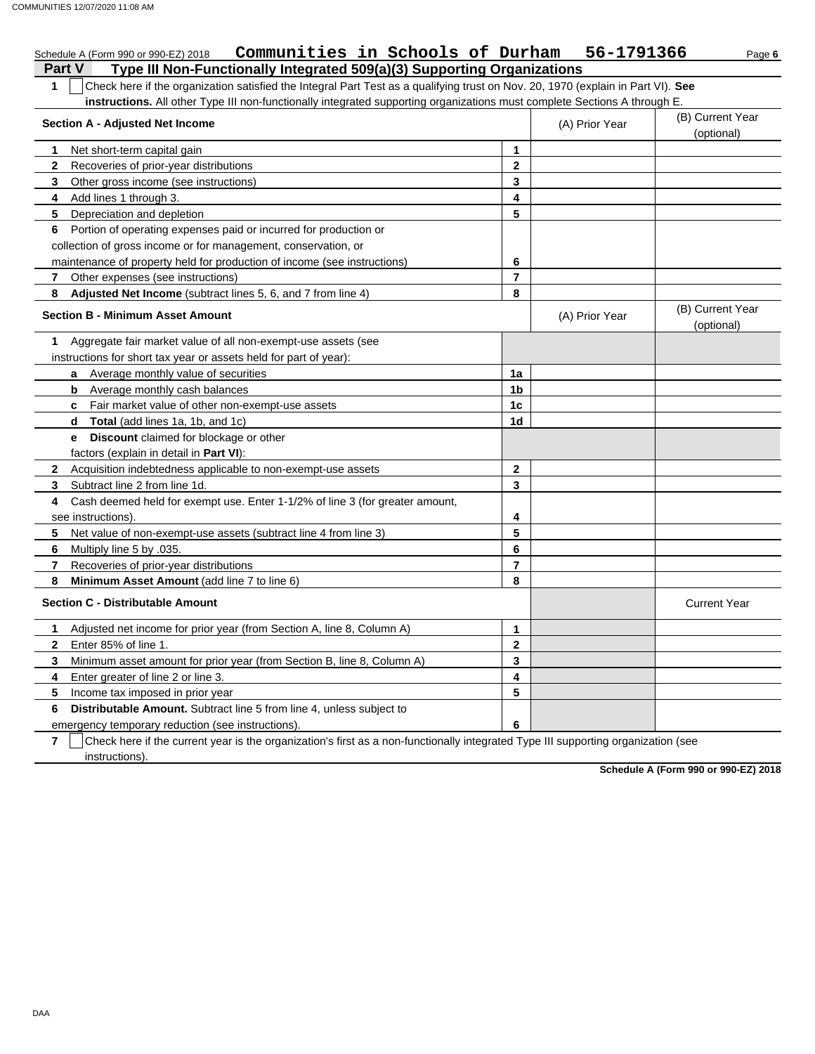#### **Part V Type III Non-Functionally Integrated 509(a)(3) Supporting Organizations** Schedule A (Form 990 or 990-EZ) 2018 **Communities in Schools of Durham** 56-1791366 Page 6 **1** Check here if the organization satisfied the Integral Part Test as a qualifying trust on Nov. 20, 1970 (explain in Part VI). **See instructions.** All other Type III non-functionally integrated supporting organizations must complete Sections A through E. **1 2** Recoveries of prior-year distributions **3 4** Add lines 1 through 3. **5** Depreciation and depletion **6** Portion of operating expenses paid or incurred for production or **7 8 1 Section A - Adjusted Net Income** Net short-term capital gain Other gross income (see instructions) collection of gross income or for management, conservation, or maintenance of property held for production of income (see instructions) Other expenses (see instructions) **Adjusted Net Income** (subtract lines 5, 6, and 7 from line 4) **Section B - Minimum Asset Amount** Aggregate fair market value of all non-exempt-use assets (see instructions for short tax year or assets held for part of year): **a** Average monthly value of securities **b** Average monthly cash balances **c** Fair market value of other non-exempt-use assets **d Total** (add lines 1a, 1b, and 1c) **e Discount** claimed for blockage or other factors (explain in detail in **Part VI**): **6** Multiply line 5 by .035. **5 4 3 2** Acquisition indebtedness applicable to non-exempt-use assets Subtract line 2 from line 1d. Cash deemed held for exempt use. Enter 1-1/2% of line 3 (for greater amount, see instructions). Net value of non-exempt-use assets (subtract line 4 from line 3) **8 7 6 5 4 3 2 1** (A) Prior Year (B) Current Year (optional) (optional) (B) Current Year (A) Prior Year **1a 1b 1c 1d 2 3 4 5 6**

Recoveries of prior-year distributions

**Minimum Asset Amount** (add line 7 to line 6)

**8 7**

**Section C - Distributable Amount 6 5 4 3 2** Enter 85% of line 1. **1** Adjusted net income for prior year (from Section A, line 8, Column A) Minimum asset amount for prior year (from Section B, line 8, Column A) Enter greater of line 2 or line 3. Income tax imposed in prior year **Distributable Amount.** Subtract line 5 from line 4, unless subject to emergency temporary reduction (see instructions). **3 2 1 6 5 4** Current Year

**7 8**

**7** instructions). Check here if the current year is the organization's first as a non-functionally integrated Type III supporting organization (see

**Schedule A (Form 990 or 990-EZ) 2018**

DAA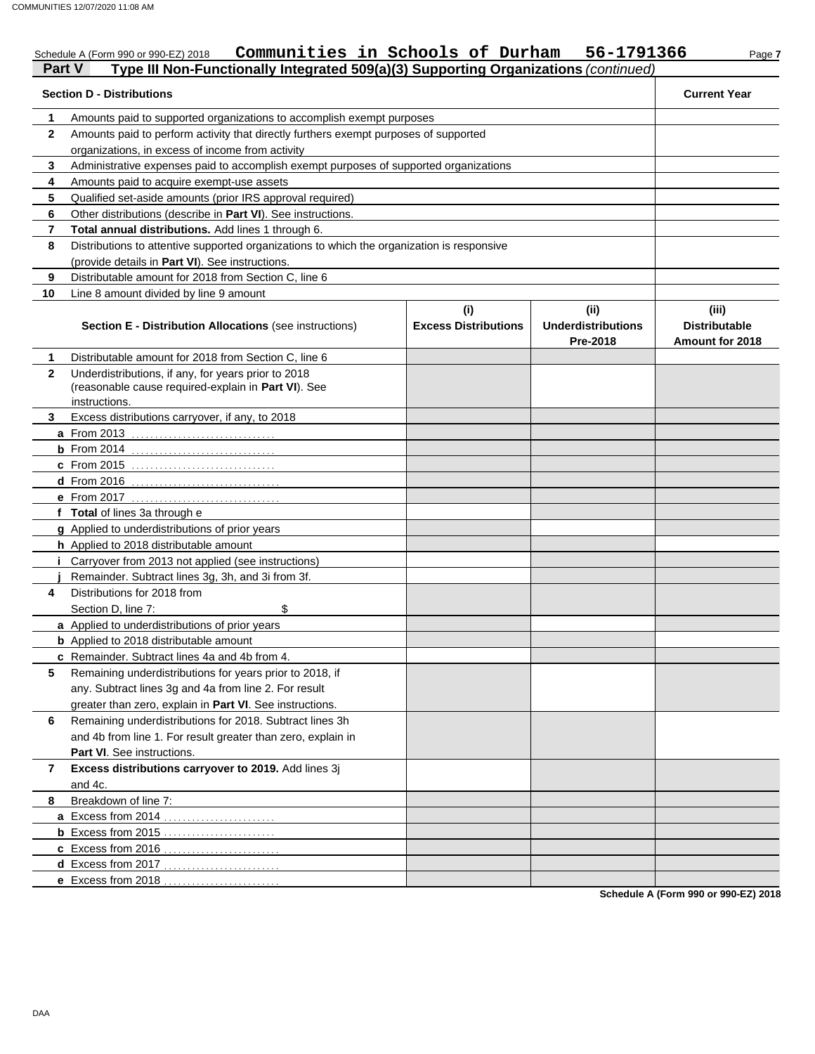|              | Communities in Schools of Durham<br>Schedule A (Form 990 or 990-EZ) 2018                                   |                                    | 56-1791366                                    | Page 7                                                  |  |  |  |  |  |  |  |
|--------------|------------------------------------------------------------------------------------------------------------|------------------------------------|-----------------------------------------------|---------------------------------------------------------|--|--|--|--|--|--|--|
| Part V       | Type III Non-Functionally Integrated 509(a)(3) Supporting Organizations (continued)                        |                                    |                                               |                                                         |  |  |  |  |  |  |  |
|              | <b>Section D - Distributions</b>                                                                           |                                    |                                               | <b>Current Year</b>                                     |  |  |  |  |  |  |  |
| 1            | Amounts paid to supported organizations to accomplish exempt purposes                                      |                                    |                                               |                                                         |  |  |  |  |  |  |  |
| $\mathbf{2}$ | Amounts paid to perform activity that directly furthers exempt purposes of supported                       |                                    |                                               |                                                         |  |  |  |  |  |  |  |
|              | organizations, in excess of income from activity                                                           |                                    |                                               |                                                         |  |  |  |  |  |  |  |
| 3            | Administrative expenses paid to accomplish exempt purposes of supported organizations                      |                                    |                                               |                                                         |  |  |  |  |  |  |  |
| 4            | Amounts paid to acquire exempt-use assets                                                                  |                                    |                                               |                                                         |  |  |  |  |  |  |  |
| 5            | Qualified set-aside amounts (prior IRS approval required)                                                  |                                    |                                               |                                                         |  |  |  |  |  |  |  |
| 6            |                                                                                                            |                                    |                                               |                                                         |  |  |  |  |  |  |  |
| 7            | Total annual distributions. Add lines 1 through 6.                                                         |                                    |                                               |                                                         |  |  |  |  |  |  |  |
| 8            | Distributions to attentive supported organizations to which the organization is responsive                 |                                    |                                               |                                                         |  |  |  |  |  |  |  |
|              | (provide details in Part VI). See instructions.                                                            |                                    |                                               |                                                         |  |  |  |  |  |  |  |
| 9            | Distributable amount for 2018 from Section C, line 6                                                       |                                    |                                               |                                                         |  |  |  |  |  |  |  |
| 10           | Line 8 amount divided by line 9 amount                                                                     |                                    |                                               |                                                         |  |  |  |  |  |  |  |
|              | <b>Section E - Distribution Allocations (see instructions)</b>                                             | (i)<br><b>Excess Distributions</b> | (ii)<br><b>Underdistributions</b><br>Pre-2018 | (iii)<br><b>Distributable</b><br><b>Amount for 2018</b> |  |  |  |  |  |  |  |
| 1            | Distributable amount for 2018 from Section C, line 6                                                       |                                    |                                               |                                                         |  |  |  |  |  |  |  |
| $\mathbf{2}$ | Underdistributions, if any, for years prior to 2018<br>(reasonable cause required-explain in Part VI). See |                                    |                                               |                                                         |  |  |  |  |  |  |  |
|              | instructions.                                                                                              |                                    |                                               |                                                         |  |  |  |  |  |  |  |
| 3            | Excess distributions carryover, if any, to 2018                                                            |                                    |                                               |                                                         |  |  |  |  |  |  |  |
|              |                                                                                                            |                                    |                                               |                                                         |  |  |  |  |  |  |  |
|              |                                                                                                            |                                    |                                               |                                                         |  |  |  |  |  |  |  |
|              | c From 2015                                                                                                |                                    |                                               |                                                         |  |  |  |  |  |  |  |
|              |                                                                                                            |                                    |                                               |                                                         |  |  |  |  |  |  |  |
|              | e From 2017                                                                                                |                                    |                                               |                                                         |  |  |  |  |  |  |  |
|              | f Total of lines 3a through e                                                                              |                                    |                                               |                                                         |  |  |  |  |  |  |  |
|              | g Applied to underdistributions of prior years                                                             |                                    |                                               |                                                         |  |  |  |  |  |  |  |
|              | h Applied to 2018 distributable amount                                                                     |                                    |                                               |                                                         |  |  |  |  |  |  |  |
| i.           | Carryover from 2013 not applied (see instructions)                                                         |                                    |                                               |                                                         |  |  |  |  |  |  |  |
|              | Remainder. Subtract lines 3g, 3h, and 3i from 3f.                                                          |                                    |                                               |                                                         |  |  |  |  |  |  |  |
| 4            | Distributions for 2018 from                                                                                |                                    |                                               |                                                         |  |  |  |  |  |  |  |
|              | Section D, line 7:<br>\$                                                                                   |                                    |                                               |                                                         |  |  |  |  |  |  |  |
|              | a Applied to underdistributions of prior years                                                             |                                    |                                               |                                                         |  |  |  |  |  |  |  |
|              | <b>b</b> Applied to 2018 distributable amount                                                              |                                    |                                               |                                                         |  |  |  |  |  |  |  |
|              | c Remainder. Subtract lines 4a and 4b from 4.                                                              |                                    |                                               |                                                         |  |  |  |  |  |  |  |
| 5            | Remaining underdistributions for years prior to 2018, if                                                   |                                    |                                               |                                                         |  |  |  |  |  |  |  |
|              | any. Subtract lines 3g and 4a from line 2. For result                                                      |                                    |                                               |                                                         |  |  |  |  |  |  |  |
|              | greater than zero, explain in Part VI. See instructions.                                                   |                                    |                                               |                                                         |  |  |  |  |  |  |  |
| 6            | Remaining underdistributions for 2018. Subtract lines 3h                                                   |                                    |                                               |                                                         |  |  |  |  |  |  |  |
|              | and 4b from line 1. For result greater than zero, explain in                                               |                                    |                                               |                                                         |  |  |  |  |  |  |  |
|              | Part VI. See instructions.                                                                                 |                                    |                                               |                                                         |  |  |  |  |  |  |  |
| 7            | Excess distributions carryover to 2019. Add lines 3j                                                       |                                    |                                               |                                                         |  |  |  |  |  |  |  |
|              | and 4c.                                                                                                    |                                    |                                               |                                                         |  |  |  |  |  |  |  |
| 8            | Breakdown of line 7:                                                                                       |                                    |                                               |                                                         |  |  |  |  |  |  |  |

**Schedule A (Form 990 or 990-EZ) 2018**

**a** Excess from 2014 . . . . . . . . . . . . . . . . . . . . . . . . **b** Excess from 2015 . . . . . . . . . . . . . . . . . . . . . . . . **c** Excess from 2016 . . . . . . . . . . . . . . . . . . . . . . . . . **d** Excess from 2017 . . . . . . . . . . . . . . . . . . . . . . . . . **e** Excess from 2018 . . . . . . . . . . . . . . . . . . . . . . . . .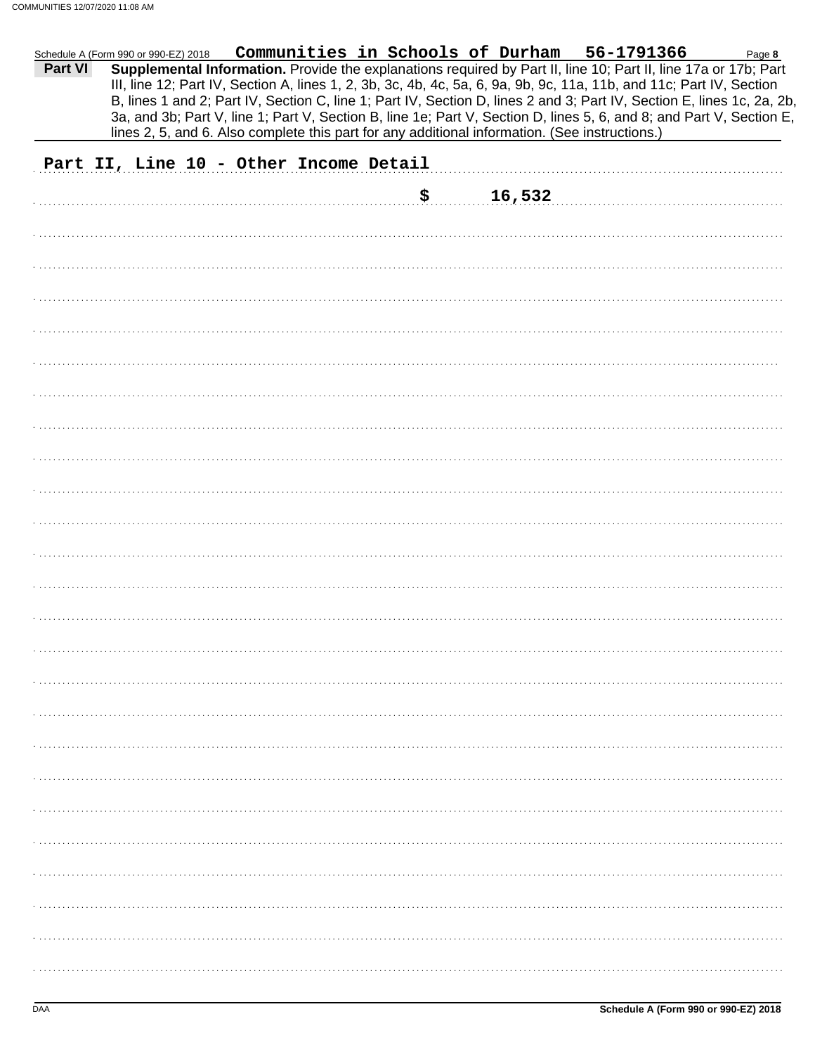|         |                                        |  |  |     |        | Schedule A (Form 990 or 990-EZ) 2018 Communities in Schools of Durham 56-1791366                                                                                                                                                               | Page 8 |
|---------|----------------------------------------|--|--|-----|--------|------------------------------------------------------------------------------------------------------------------------------------------------------------------------------------------------------------------------------------------------|--------|
| Part VI |                                        |  |  |     |        | Supplemental Information. Provide the explanations required by Part II, line 10; Part II, line 17a or 17b; Part                                                                                                                                |        |
|         |                                        |  |  |     |        | III, line 12; Part IV, Section A, lines 1, 2, 3b, 3c, 4b, 4c, 5a, 6, 9a, 9b, 9c, 11a, 11b, and 11c; Part IV, Section                                                                                                                           |        |
|         |                                        |  |  |     |        | B, lines 1 and 2; Part IV, Section C, line 1; Part IV, Section D, lines 2 and 3; Part IV, Section E, lines 1c, 2a, 2b,<br>3a, and 3b; Part V, line 1; Part V, Section B, line 1e; Part V, Section D, lines 5, 6, and 8; and Part V, Section E, |        |
|         |                                        |  |  |     |        | lines 2, 5, and 6. Also complete this part for any additional information. (See instructions.)                                                                                                                                                 |        |
|         |                                        |  |  |     |        |                                                                                                                                                                                                                                                |        |
|         | Part II, Line 10 - Other Income Detail |  |  |     |        |                                                                                                                                                                                                                                                |        |
|         |                                        |  |  |     |        |                                                                                                                                                                                                                                                |        |
|         |                                        |  |  | \$. | 16,532 |                                                                                                                                                                                                                                                |        |
|         |                                        |  |  |     |        |                                                                                                                                                                                                                                                |        |
|         |                                        |  |  |     |        |                                                                                                                                                                                                                                                |        |
|         |                                        |  |  |     |        |                                                                                                                                                                                                                                                |        |
|         |                                        |  |  |     |        |                                                                                                                                                                                                                                                |        |
|         |                                        |  |  |     |        |                                                                                                                                                                                                                                                |        |
|         |                                        |  |  |     |        |                                                                                                                                                                                                                                                |        |
|         |                                        |  |  |     |        |                                                                                                                                                                                                                                                |        |
|         |                                        |  |  |     |        |                                                                                                                                                                                                                                                |        |
|         |                                        |  |  |     |        |                                                                                                                                                                                                                                                |        |
|         |                                        |  |  |     |        |                                                                                                                                                                                                                                                |        |
|         |                                        |  |  |     |        |                                                                                                                                                                                                                                                |        |
|         |                                        |  |  |     |        |                                                                                                                                                                                                                                                |        |
|         |                                        |  |  |     |        |                                                                                                                                                                                                                                                |        |
|         |                                        |  |  |     |        |                                                                                                                                                                                                                                                |        |
|         |                                        |  |  |     |        |                                                                                                                                                                                                                                                |        |
|         |                                        |  |  |     |        |                                                                                                                                                                                                                                                |        |
|         |                                        |  |  |     |        |                                                                                                                                                                                                                                                |        |
|         |                                        |  |  |     |        |                                                                                                                                                                                                                                                |        |
|         |                                        |  |  |     |        |                                                                                                                                                                                                                                                |        |
|         |                                        |  |  |     |        |                                                                                                                                                                                                                                                |        |
|         |                                        |  |  |     |        |                                                                                                                                                                                                                                                |        |
|         |                                        |  |  |     |        |                                                                                                                                                                                                                                                |        |
|         |                                        |  |  |     |        |                                                                                                                                                                                                                                                |        |
|         |                                        |  |  |     |        |                                                                                                                                                                                                                                                |        |
|         |                                        |  |  |     |        |                                                                                                                                                                                                                                                |        |
|         |                                        |  |  |     |        |                                                                                                                                                                                                                                                |        |
|         |                                        |  |  |     |        |                                                                                                                                                                                                                                                |        |
|         |                                        |  |  |     |        |                                                                                                                                                                                                                                                |        |
|         |                                        |  |  |     |        |                                                                                                                                                                                                                                                |        |
|         |                                        |  |  |     |        |                                                                                                                                                                                                                                                |        |
|         |                                        |  |  |     |        |                                                                                                                                                                                                                                                |        |
|         |                                        |  |  |     |        |                                                                                                                                                                                                                                                |        |
|         |                                        |  |  |     |        |                                                                                                                                                                                                                                                |        |
|         |                                        |  |  |     |        |                                                                                                                                                                                                                                                |        |
|         |                                        |  |  |     |        |                                                                                                                                                                                                                                                |        |
|         |                                        |  |  |     |        |                                                                                                                                                                                                                                                |        |
|         |                                        |  |  |     |        |                                                                                                                                                                                                                                                |        |
|         |                                        |  |  |     |        |                                                                                                                                                                                                                                                |        |
|         |                                        |  |  |     |        |                                                                                                                                                                                                                                                |        |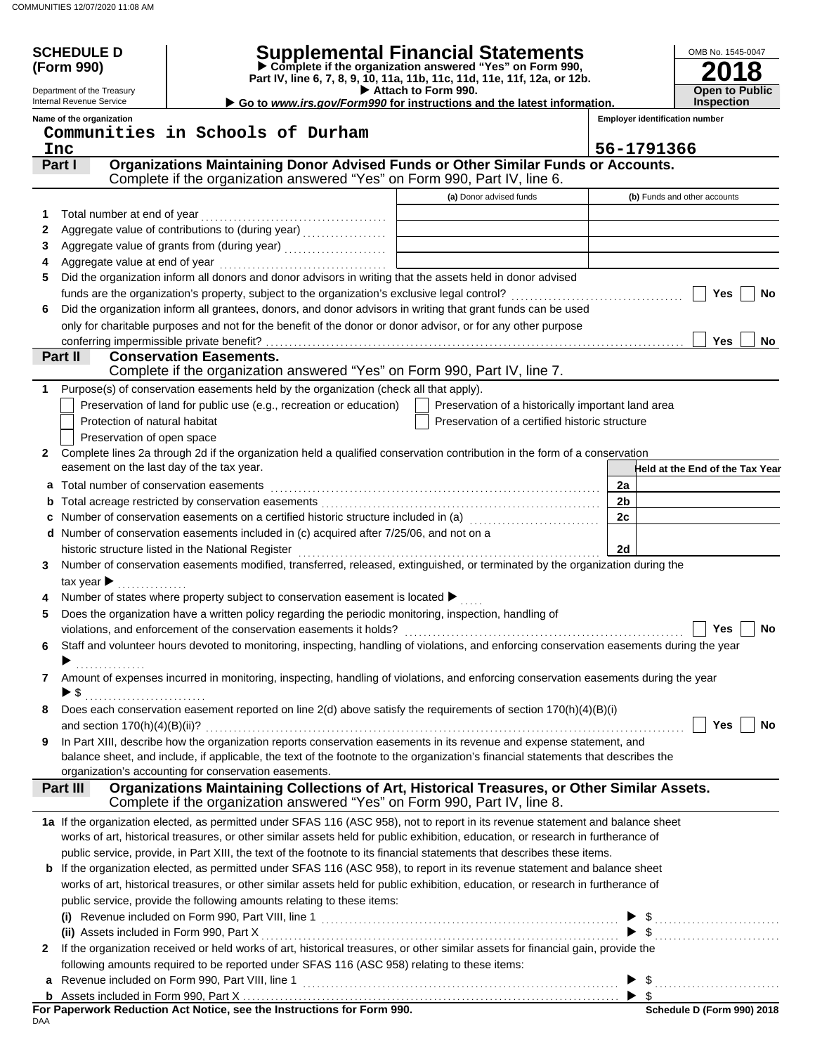|   | <b>SCHEDULE D</b><br>(Form 990)                                                                                                           |                                                                                                                                                                                                                                | OMB No. 1545-0047                                                                               |                                       |                                 |
|---|-------------------------------------------------------------------------------------------------------------------------------------------|--------------------------------------------------------------------------------------------------------------------------------------------------------------------------------------------------------------------------------|-------------------------------------------------------------------------------------------------|---------------------------------------|---------------------------------|
|   | Department of the Treasury                                                                                                                |                                                                                                                                                                                                                                | Part IV, line 6, 7, 8, 9, 10, 11a, 11b, 11c, 11d, 11e, 11f, 12a, or 12b.<br>Attach to Form 990. |                                       | <b>Open to Public</b>           |
|   | Internal Revenue Service                                                                                                                  |                                                                                                                                                                                                                                | Go to www.irs.gov/Form990 for instructions and the latest information.                          |                                       | <b>Inspection</b>               |
|   | Name of the organization                                                                                                                  | Communities in Schools of Durham                                                                                                                                                                                               |                                                                                                 | <b>Employer identification number</b> |                                 |
|   | Inc                                                                                                                                       |                                                                                                                                                                                                                                |                                                                                                 | 56-1791366                            |                                 |
|   | Part I                                                                                                                                    | Organizations Maintaining Donor Advised Funds or Other Similar Funds or Accounts.                                                                                                                                              |                                                                                                 |                                       |                                 |
|   |                                                                                                                                           | Complete if the organization answered "Yes" on Form 990, Part IV, line 6.                                                                                                                                                      |                                                                                                 |                                       |                                 |
|   |                                                                                                                                           |                                                                                                                                                                                                                                | (a) Donor advised funds                                                                         |                                       | (b) Funds and other accounts    |
| 1 | Total number at end of year                                                                                                               |                                                                                                                                                                                                                                |                                                                                                 |                                       |                                 |
| 2 |                                                                                                                                           | Aggregate value of contributions to (during year) [[11] Manuscript Contributions to (during year) [[11] Manuscript Contributions to (during year) [[11] Manuscript Contributions of Contributions of Contributions of Contribu |                                                                                                 |                                       |                                 |
| 3 |                                                                                                                                           |                                                                                                                                                                                                                                |                                                                                                 |                                       |                                 |
| 4 |                                                                                                                                           |                                                                                                                                                                                                                                |                                                                                                 |                                       |                                 |
| 5 |                                                                                                                                           | Did the organization inform all donors and donor advisors in writing that the assets held in donor advised                                                                                                                     |                                                                                                 |                                       |                                 |
|   |                                                                                                                                           |                                                                                                                                                                                                                                |                                                                                                 |                                       | Yes<br><b>No</b>                |
| 6 |                                                                                                                                           | Did the organization inform all grantees, donors, and donor advisors in writing that grant funds can be used                                                                                                                   |                                                                                                 |                                       |                                 |
|   |                                                                                                                                           | only for charitable purposes and not for the benefit of the donor or donor advisor, or for any other purpose                                                                                                                   |                                                                                                 |                                       |                                 |
|   |                                                                                                                                           |                                                                                                                                                                                                                                |                                                                                                 |                                       | <b>Yes</b><br>No                |
|   | Part II                                                                                                                                   | <b>Conservation Easements.</b>                                                                                                                                                                                                 |                                                                                                 |                                       |                                 |
|   |                                                                                                                                           | Complete if the organization answered "Yes" on Form 990, Part IV, line 7.                                                                                                                                                      |                                                                                                 |                                       |                                 |
| 1 |                                                                                                                                           | Purpose(s) of conservation easements held by the organization (check all that apply).                                                                                                                                          |                                                                                                 |                                       |                                 |
|   |                                                                                                                                           | Preservation of land for public use (e.g., recreation or education)                                                                                                                                                            | Preservation of a historically important land area                                              |                                       |                                 |
|   | Protection of natural habitat                                                                                                             |                                                                                                                                                                                                                                | Preservation of a certified historic structure                                                  |                                       |                                 |
|   | Preservation of open space                                                                                                                |                                                                                                                                                                                                                                |                                                                                                 |                                       |                                 |
| 2 |                                                                                                                                           | Complete lines 2a through 2d if the organization held a qualified conservation contribution in the form of a conservation                                                                                                      |                                                                                                 |                                       |                                 |
|   | easement on the last day of the tax year.                                                                                                 |                                                                                                                                                                                                                                |                                                                                                 |                                       | Held at the End of the Tax Year |
| a | Total number of conservation easements                                                                                                    |                                                                                                                                                                                                                                |                                                                                                 | 2a                                    |                                 |
|   |                                                                                                                                           |                                                                                                                                                                                                                                |                                                                                                 | 2 <sub>b</sub>                        |                                 |
|   |                                                                                                                                           |                                                                                                                                                                                                                                |                                                                                                 | 2c                                    |                                 |
|   |                                                                                                                                           | d Number of conservation easements included in (c) acquired after 7/25/06, and not on a                                                                                                                                        |                                                                                                 |                                       |                                 |
|   |                                                                                                                                           | historic structure listed in the National Register                                                                                                                                                                             |                                                                                                 | 2d                                    |                                 |
| 3 |                                                                                                                                           | Number of conservation easements modified, transferred, released, extinguished, or terminated by the organization during the                                                                                                   |                                                                                                 |                                       |                                 |
|   | tax year                                                                                                                                  |                                                                                                                                                                                                                                |                                                                                                 |                                       |                                 |
|   |                                                                                                                                           | Number of states where property subject to conservation easement is located ▶                                                                                                                                                  |                                                                                                 |                                       |                                 |
| 5 |                                                                                                                                           | Does the organization have a written policy regarding the periodic monitoring, inspection, handling of                                                                                                                         |                                                                                                 |                                       |                                 |
|   |                                                                                                                                           |                                                                                                                                                                                                                                |                                                                                                 |                                       |                                 |
| 6 | Staff and volunteer hours devoted to monitoring, inspecting, handling of violations, and enforcing conservation easements during the year |                                                                                                                                                                                                                                |                                                                                                 |                                       |                                 |
|   | Amount of expenses incurred in monitoring, inspecting, handling of violations, and enforcing conservation easements during the year       |                                                                                                                                                                                                                                |                                                                                                 |                                       |                                 |
| 7 | $\blacktriangleright$ \$                                                                                                                  |                                                                                                                                                                                                                                |                                                                                                 |                                       |                                 |
| 8 |                                                                                                                                           | Does each conservation easement reported on line 2(d) above satisfy the requirements of section 170(h)(4)(B)(i)                                                                                                                |                                                                                                 |                                       |                                 |
|   |                                                                                                                                           |                                                                                                                                                                                                                                |                                                                                                 |                                       | Yes<br><b>No</b>                |
| 9 |                                                                                                                                           | In Part XIII, describe how the organization reports conservation easements in its revenue and expense statement, and                                                                                                           |                                                                                                 |                                       |                                 |
|   |                                                                                                                                           | balance sheet, and include, if applicable, the text of the footnote to the organization's financial statements that describes the                                                                                              |                                                                                                 |                                       |                                 |
|   |                                                                                                                                           | organization's accounting for conservation easements.                                                                                                                                                                          |                                                                                                 |                                       |                                 |
|   | Part III                                                                                                                                  | Organizations Maintaining Collections of Art, Historical Treasures, or Other Similar Assets.                                                                                                                                   |                                                                                                 |                                       |                                 |
|   |                                                                                                                                           | Complete if the organization answered "Yes" on Form 990, Part IV, line 8.                                                                                                                                                      |                                                                                                 |                                       |                                 |
|   |                                                                                                                                           | 1a If the organization elected, as permitted under SFAS 116 (ASC 958), not to report in its revenue statement and balance sheet                                                                                                |                                                                                                 |                                       |                                 |
|   |                                                                                                                                           | works of art, historical treasures, or other similar assets held for public exhibition, education, or research in furtherance of                                                                                               |                                                                                                 |                                       |                                 |
|   |                                                                                                                                           | public service, provide, in Part XIII, the text of the footnote to its financial statements that describes these items.                                                                                                        |                                                                                                 |                                       |                                 |
|   |                                                                                                                                           | <b>b</b> If the organization elected, as permitted under SFAS 116 (ASC 958), to report in its revenue statement and balance sheet                                                                                              |                                                                                                 |                                       |                                 |
|   |                                                                                                                                           | works of art, historical treasures, or other similar assets held for public exhibition, education, or research in furtherance of                                                                                               |                                                                                                 |                                       |                                 |
|   |                                                                                                                                           | public service, provide the following amounts relating to these items:                                                                                                                                                         |                                                                                                 |                                       |                                 |
|   |                                                                                                                                           |                                                                                                                                                                                                                                |                                                                                                 |                                       |                                 |
|   | (ii) Assets included in Form 990, Part X                                                                                                  |                                                                                                                                                                                                                                |                                                                                                 |                                       | $\blacktriangleright$ \$        |
| 2 |                                                                                                                                           | If the organization received or held works of art, historical treasures, or other similar assets for financial gain, provide the                                                                                               |                                                                                                 |                                       |                                 |
|   |                                                                                                                                           | following amounts required to be reported under SFAS 116 (ASC 958) relating to these items:                                                                                                                                    |                                                                                                 |                                       |                                 |
|   |                                                                                                                                           | a Revenue included on Form 990, Part VIII, line 1                                                                                                                                                                              |                                                                                                 |                                       |                                 |
| b |                                                                                                                                           |                                                                                                                                                                                                                                |                                                                                                 |                                       |                                 |
|   |                                                                                                                                           | For Paperwork Reduction Act Notice, see the Instructions for Form 990.                                                                                                                                                         |                                                                                                 |                                       | Schedule D (Form 990) 2018      |

ror P<br>Daa **For Paperwork Reduction Act Notice, see the Instructions for Form 990.**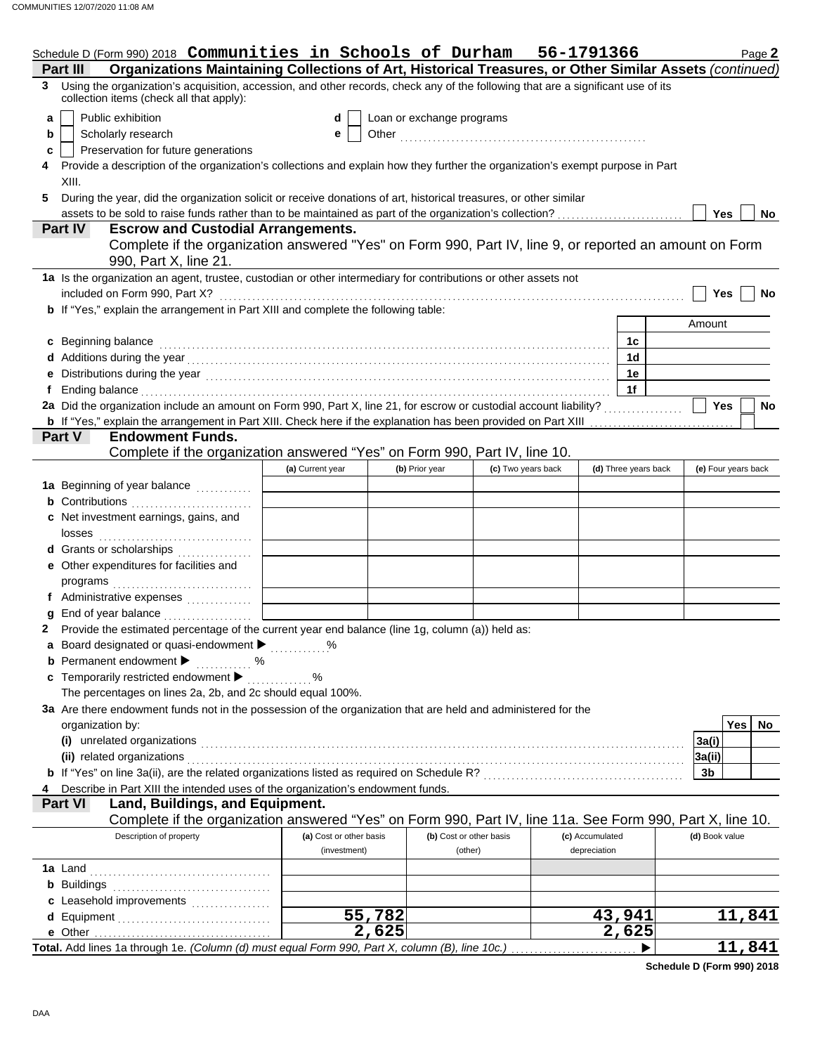|   | Schedule D (Form 990) 2018 Communities in Schools of Durham 56-1791366                                                                                                         |                                                    |                           |         |                    |                      |                |            | Page 2              |
|---|--------------------------------------------------------------------------------------------------------------------------------------------------------------------------------|----------------------------------------------------|---------------------------|---------|--------------------|----------------------|----------------|------------|---------------------|
|   | Organizations Maintaining Collections of Art, Historical Treasures, or Other Similar Assets (continued)<br>Part III                                                            |                                                    |                           |         |                    |                      |                |            |                     |
|   | 3 Using the organization's acquisition, accession, and other records, check any of the following that are a significant use of its<br>collection items (check all that apply): |                                                    |                           |         |                    |                      |                |            |                     |
| a | Public exhibition                                                                                                                                                              | d                                                  | Loan or exchange programs |         |                    |                      |                |            |                     |
| b | Scholarly research                                                                                                                                                             | е                                                  |                           |         |                    |                      |                |            |                     |
| с | Preservation for future generations                                                                                                                                            |                                                    |                           |         |                    |                      |                |            |                     |
|   | Provide a description of the organization's collections and explain how they further the organization's exempt purpose in Part                                                 |                                                    |                           |         |                    |                      |                |            |                     |
|   | XIII.                                                                                                                                                                          |                                                    |                           |         |                    |                      |                |            |                     |
| 5 | During the year, did the organization solicit or receive donations of art, historical treasures, or other similar                                                              |                                                    |                           |         |                    |                      |                |            |                     |
|   | assets to be sold to raise funds rather than to be maintained as part of the organization's collection?                                                                        |                                                    |                           |         |                    |                      |                | Yes        | <b>No</b>           |
|   | Part IV<br><b>Escrow and Custodial Arrangements.</b>                                                                                                                           |                                                    |                           |         |                    |                      |                |            |                     |
|   | Complete if the organization answered "Yes" on Form 990, Part IV, line 9, or reported an amount on Form<br>990, Part X, line 21.                                               |                                                    |                           |         |                    |                      |                |            |                     |
|   | 1a Is the organization an agent, trustee, custodian or other intermediary for contributions or other assets not<br>included on Form 990, Part X?                               |                                                    |                           |         |                    |                      |                | Yes        | No                  |
|   | <b>b</b> If "Yes," explain the arrangement in Part XIII and complete the following table:                                                                                      |                                                    |                           |         |                    |                      |                |            |                     |
|   |                                                                                                                                                                                |                                                    |                           |         |                    |                      | Amount         |            |                     |
|   | c Beginning balance                                                                                                                                                            |                                                    |                           |         |                    | 1c                   |                |            |                     |
|   |                                                                                                                                                                                |                                                    |                           |         |                    | 1 <sub>d</sub>       |                |            |                     |
|   |                                                                                                                                                                                |                                                    |                           |         |                    | 1e                   |                |            |                     |
|   |                                                                                                                                                                                |                                                    |                           |         |                    | 1f                   |                |            |                     |
|   | 2a Did the organization include an amount on Form 990, Part X, line 21, for escrow or custodial account liability?                                                             |                                                    |                           |         |                    |                      |                | <b>Yes</b> | No                  |
|   | b If "Yes," explain the arrangement in Part XIII. Check here if the explanation has been provided on Part XIII                                                                 |                                                    |                           |         |                    |                      |                |            |                     |
|   | Part V<br><b>Endowment Funds.</b>                                                                                                                                              |                                                    |                           |         |                    |                      |                |            |                     |
|   | Complete if the organization answered "Yes" on Form 990, Part IV, line 10.                                                                                                     |                                                    |                           |         |                    |                      |                |            |                     |
|   |                                                                                                                                                                                | (a) Current year                                   | (b) Prior year            |         | (c) Two years back | (d) Three years back |                |            | (e) Four years back |
|   | 1a Beginning of year balance                                                                                                                                                   |                                                    |                           |         |                    |                      |                |            |                     |
|   | <b>b</b> Contributions <b>contributions</b>                                                                                                                                    |                                                    |                           |         |                    |                      |                |            |                     |
|   | c Net investment earnings, gains, and                                                                                                                                          |                                                    |                           |         |                    |                      |                |            |                     |
|   | losses                                                                                                                                                                         |                                                    |                           |         |                    |                      |                |            |                     |
|   | d Grants or scholarships<br>.                                                                                                                                                  |                                                    |                           |         |                    |                      |                |            |                     |
|   | e Other expenditures for facilities and                                                                                                                                        |                                                    |                           |         |                    |                      |                |            |                     |
|   |                                                                                                                                                                                |                                                    |                           |         |                    |                      |                |            |                     |
|   | f Administrative expenses                                                                                                                                                      |                                                    |                           |         |                    |                      |                |            |                     |
|   | End of year balance                                                                                                                                                            |                                                    |                           |         |                    |                      |                |            |                     |
|   | Provide the estimated percentage of the current year end balance (line 1g, column (a)) held as:<br>a Board designated or quasi-endowment > %                                   |                                                    |                           |         |                    |                      |                |            |                     |
|   |                                                                                                                                                                                |                                                    |                           |         |                    |                      |                |            |                     |
|   | <b>b</b> Permanent endowment $\blacktriangleright$<br>. %<br>c Temporarily restricted endowment                                                                                | %                                                  |                           |         |                    |                      |                |            |                     |
|   | The percentages on lines 2a, 2b, and 2c should equal 100%.                                                                                                                     |                                                    |                           |         |                    |                      |                |            |                     |
|   | 3a Are there endowment funds not in the possession of the organization that are held and administered for the                                                                  |                                                    |                           |         |                    |                      |                |            |                     |
|   | organization by:                                                                                                                                                               |                                                    |                           |         |                    |                      |                |            | <b>Yes</b><br>No.   |
|   | (i) unrelated organizations                                                                                                                                                    |                                                    |                           |         |                    |                      |                | 3a(i)      |                     |
|   | (ii) related organizations                                                                                                                                                     |                                                    |                           |         |                    |                      |                | 3a(ii)     |                     |
|   | b If "Yes" on line 3a(ii), are the related organizations listed as required on Schedule R? [[[[[[[[[[[[[[[[[[[                                                                 |                                                    |                           |         |                    |                      |                | 3b         |                     |
|   | Describe in Part XIII the intended uses of the organization's endowment funds.                                                                                                 |                                                    |                           |         |                    |                      |                |            |                     |
|   | Land, Buildings, and Equipment.<br><b>Part VI</b>                                                                                                                              |                                                    |                           |         |                    |                      |                |            |                     |
|   | Complete if the organization answered "Yes" on Form 990, Part IV, line 11a. See Form 990, Part X, line 10.                                                                     |                                                    |                           |         |                    |                      |                |            |                     |
|   | Description of property                                                                                                                                                        | (a) Cost or other basis<br>(b) Cost or other basis |                           |         | (c) Accumulated    |                      | (d) Book value |            |                     |
|   |                                                                                                                                                                                | (investment)                                       |                           | (other) |                    | depreciation         |                |            |                     |
|   | 1a Land                                                                                                                                                                        |                                                    |                           |         |                    |                      |                |            |                     |
|   | <b>b</b> Buildings                                                                                                                                                             |                                                    |                           |         |                    |                      |                |            |                     |
|   | c Leasehold improvements                                                                                                                                                       |                                                    |                           |         |                    |                      |                |            |                     |
|   | 55,782                                                                                                                                                                         |                                                    |                           |         | 43,941             |                      |                | 11,841     |                     |
|   | 2,625<br>2,625                                                                                                                                                                 |                                                    |                           |         |                    |                      |                |            |                     |
|   | Total. Add lines 1a through 1e. (Column (d) must equal Form 990, Part X, column (B), line 10c.)                                                                                |                                                    |                           |         |                    |                      |                |            | 11,841              |

**Schedule D (Form 990) 2018**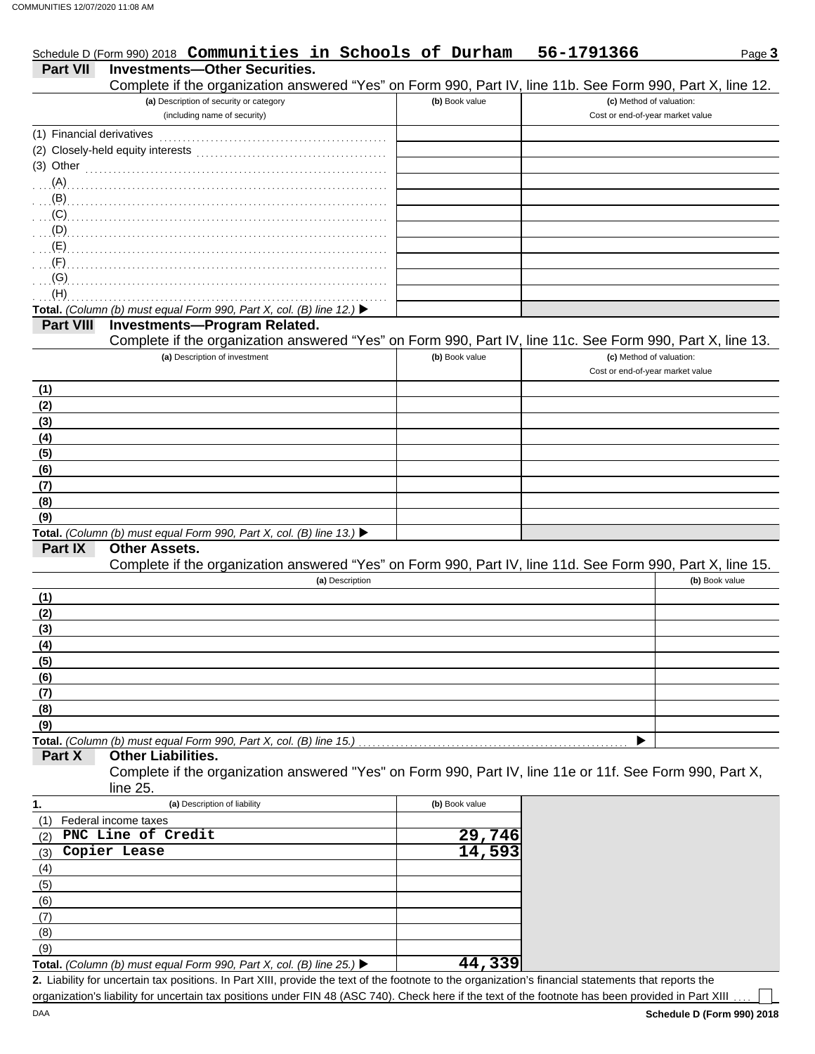|                           | Schedule D (Form 990) 2018 Communities in Schools of Durham                                                |                | 56-1791366                       | Page 3         |
|---------------------------|------------------------------------------------------------------------------------------------------------|----------------|----------------------------------|----------------|
| <b>Part VII</b>           | <b>Investments-Other Securities.</b>                                                                       |                |                                  |                |
|                           | Complete if the organization answered "Yes" on Form 990, Part IV, line 11b. See Form 990, Part X, line 12. |                |                                  |                |
|                           | (a) Description of security or category                                                                    | (b) Book value | (c) Method of valuation:         |                |
|                           | (including name of security)                                                                               |                | Cost or end-of-year market value |                |
| (1) Financial derivatives |                                                                                                            |                |                                  |                |
|                           | (2) Closely-held equity interests                                                                          |                |                                  |                |
| $(3)$ Other               |                                                                                                            |                |                                  |                |
| $(A)$                     |                                                                                                            |                |                                  |                |
| (B)                       |                                                                                                            |                |                                  |                |
| (C)                       |                                                                                                            |                |                                  |                |
| (D)<br>(E)                |                                                                                                            |                |                                  |                |
| (F)                       |                                                                                                            |                |                                  |                |
| (G)                       |                                                                                                            |                |                                  |                |
| (H)                       |                                                                                                            |                |                                  |                |
|                           | Total. (Column (b) must equal Form 990, Part X, col. (B) line 12.) ▶                                       |                |                                  |                |
| <b>Part VIII</b>          | <b>Investments-Program Related.</b>                                                                        |                |                                  |                |
|                           | Complete if the organization answered "Yes" on Form 990, Part IV, line 11c. See Form 990, Part X, line 13. |                |                                  |                |
|                           | (a) Description of investment                                                                              | (b) Book value | (c) Method of valuation:         |                |
|                           |                                                                                                            |                | Cost or end-of-year market value |                |
| (1)                       |                                                                                                            |                |                                  |                |
| (2)                       |                                                                                                            |                |                                  |                |
| (3)                       |                                                                                                            |                |                                  |                |
| (4)                       |                                                                                                            |                |                                  |                |
| (5)                       |                                                                                                            |                |                                  |                |
| (6)<br>(7)                |                                                                                                            |                |                                  |                |
| (8)                       |                                                                                                            |                |                                  |                |
| (9)                       |                                                                                                            |                |                                  |                |
|                           | Total. (Column (b) must equal Form 990, Part X, col. (B) line 13.) $\blacktriangleright$                   |                |                                  |                |
| Part IX                   | <b>Other Assets.</b>                                                                                       |                |                                  |                |
|                           | Complete if the organization answered "Yes" on Form 990, Part IV, line 11d. See Form 990, Part X, line 15. |                |                                  |                |
|                           | (a) Description                                                                                            |                |                                  | (b) Book value |
| (1)                       |                                                                                                            |                |                                  |                |
| (2)                       |                                                                                                            |                |                                  |                |
| (3)                       |                                                                                                            |                |                                  |                |
| (4)                       |                                                                                                            |                |                                  |                |
| (5)                       |                                                                                                            |                |                                  |                |
| (6)                       |                                                                                                            |                |                                  |                |
| (7)                       |                                                                                                            |                |                                  |                |
| (8)<br>(9)                |                                                                                                            |                |                                  |                |
|                           | Total. (Column (b) must equal Form 990, Part X, col. (B) line 15.)                                         |                |                                  |                |
| Part X                    | <b>Other Liabilities.</b>                                                                                  |                |                                  |                |
|                           | Complete if the organization answered "Yes" on Form 990, Part IV, line 11e or 11f. See Form 990, Part X,   |                |                                  |                |
|                           | line 25.                                                                                                   |                |                                  |                |
| 1.                        | (a) Description of liability                                                                               | (b) Book value |                                  |                |
| (1)                       | Federal income taxes                                                                                       |                |                                  |                |
| (2)                       | PNC Line of Credit                                                                                         | 29,746         |                                  |                |
| (3)                       | Copier Lease                                                                                               | 14,593         |                                  |                |
| (4)                       |                                                                                                            |                |                                  |                |
| (5)                       |                                                                                                            |                |                                  |                |
| (6)                       |                                                                                                            |                |                                  |                |
| (7)                       |                                                                                                            |                |                                  |                |
| (8)                       |                                                                                                            |                |                                  |                |
| (9)                       |                                                                                                            | 44,339         |                                  |                |
|                           | Total. (Column (b) must equal Form 990, Part X, col. (B) line 25.) ▶                                       |                |                                  |                |

Liability for uncertain tax positions. In Part XIII, provide the text of the footnote to the organization's financial statements that reports the **2.** organization's liability for uncertain tax positions under FIN 48 (ASC 740). Check here if the text of the footnote has been provided in Part XIII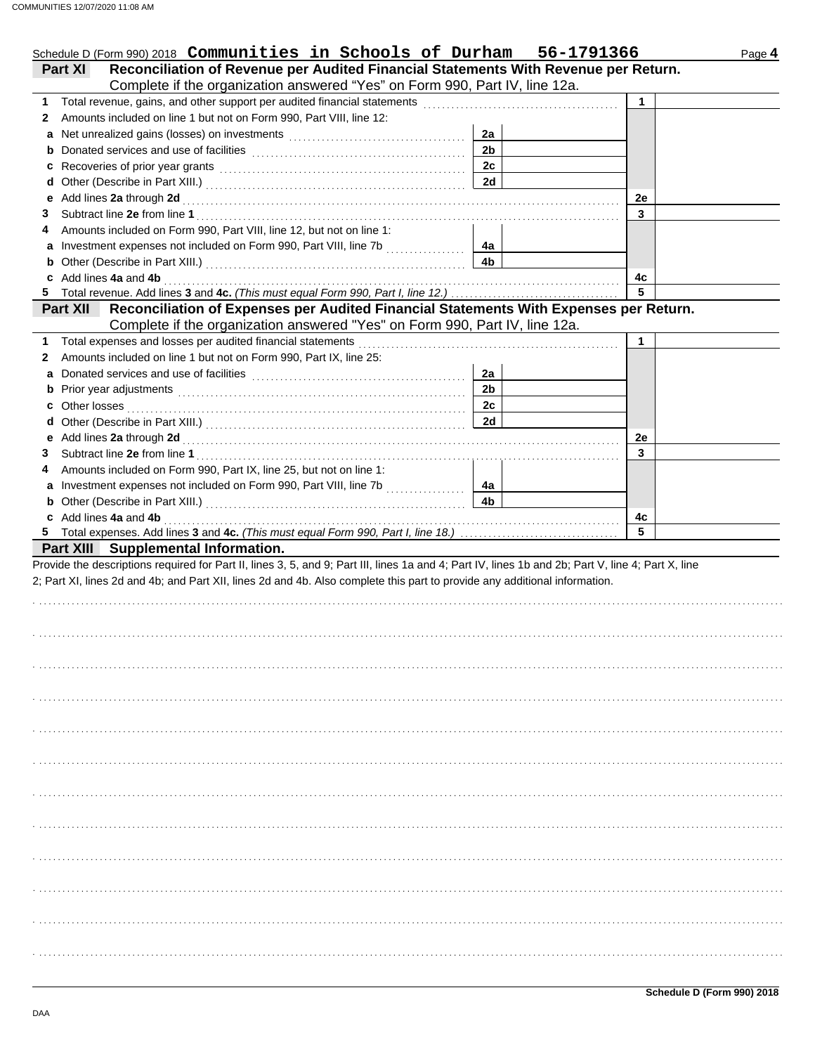| Schedule D (Form 990) 2018 Communities in Schools of Durham 56-1791366<br>Reconciliation of Revenue per Audited Financial Statements With Revenue per Return.<br><b>Part XI</b>                                                         |                |    | Page 4 |
|-----------------------------------------------------------------------------------------------------------------------------------------------------------------------------------------------------------------------------------------|----------------|----|--------|
| Complete if the organization answered "Yes" on Form 990, Part IV, line 12a.                                                                                                                                                             |                |    |        |
| 1 Total revenue, gains, and other support per audited financial statements [111] Total revenues contract to the                                                                                                                         |                | 1. |        |
| Amounts included on line 1 but not on Form 990, Part VIII, line 12:<br>$\mathbf{2}$                                                                                                                                                     |                |    |        |
|                                                                                                                                                                                                                                         | 2a             |    |        |
|                                                                                                                                                                                                                                         | 2 <sub>b</sub> |    |        |
|                                                                                                                                                                                                                                         | 2c             |    |        |
|                                                                                                                                                                                                                                         | 2d             |    |        |
| Add lines 2a through 2d [[11] And The Lines are the Lines and The Lines and The Lines 2a through 2d [11] And The Lines and The Lines and The Lines and The Lines and The Lines and The Lines and The Lines and The Lines and T<br>е     |                | 2e |        |
| З                                                                                                                                                                                                                                       |                | 3  |        |
| Amounts included on Form 990, Part VIII, line 12, but not on line 1:<br>4                                                                                                                                                               |                |    |        |
|                                                                                                                                                                                                                                         | 4a             |    |        |
|                                                                                                                                                                                                                                         | 4b             |    |        |
|                                                                                                                                                                                                                                         |                | 4c |        |
| c Add lines 4a and 4b <b>contract and 4b</b> and 4b and 4b and 4b and 4b and 4b and 4b and 4b and 4b and 4b and 4b and 4b and 4b and 4b and 4b and 4b and 4b and 4b and 4b and 4b and 4b and 4b and 4b and 4b and 4b and 4b and 4b<br>5 |                | 5  |        |
| Reconciliation of Expenses per Audited Financial Statements With Expenses per Return.<br><b>Part XII</b>                                                                                                                                |                |    |        |
| Complete if the organization answered "Yes" on Form 990, Part IV, line 12a.                                                                                                                                                             |                |    |        |
| 1.                                                                                                                                                                                                                                      |                | 1  |        |
| Amounts included on line 1 but not on Form 990, Part IX, line 25:                                                                                                                                                                       |                |    |        |
| $\mathbf{2}$                                                                                                                                                                                                                            |                |    |        |
|                                                                                                                                                                                                                                         | 2a             |    |        |
|                                                                                                                                                                                                                                         | 2 <sub>b</sub> |    |        |
|                                                                                                                                                                                                                                         | 2c             |    |        |
|                                                                                                                                                                                                                                         | 2d             |    |        |
| е                                                                                                                                                                                                                                       |                | 2e |        |
| З                                                                                                                                                                                                                                       |                | 3  |        |
| Amounts included on Form 990, Part IX, line 25, but not on line 1:<br>4                                                                                                                                                                 |                |    |        |
| a Investment expenses not included on Form 990, Part VIII, line 7b                                                                                                                                                                      |                |    |        |
|                                                                                                                                                                                                                                         |                |    |        |
| c Add lines 4a and 4b                                                                                                                                                                                                                   |                | 4c |        |
|                                                                                                                                                                                                                                         |                | 5  |        |
| Part XIII Supplemental Information.                                                                                                                                                                                                     |                |    |        |
| Provide the descriptions required for Part II, lines 3, 5, and 9; Part III, lines 1a and 4; Part IV, lines 1b and 2b; Part V, line 4; Part X, line                                                                                      |                |    |        |
| 2; Part XI, lines 2d and 4b; and Part XII, lines 2d and 4b. Also complete this part to provide any additional information.                                                                                                              |                |    |        |
|                                                                                                                                                                                                                                         |                |    |        |
|                                                                                                                                                                                                                                         |                |    |        |
|                                                                                                                                                                                                                                         |                |    |        |
|                                                                                                                                                                                                                                         |                |    |        |
|                                                                                                                                                                                                                                         |                |    |        |
|                                                                                                                                                                                                                                         |                |    |        |
|                                                                                                                                                                                                                                         |                |    |        |
|                                                                                                                                                                                                                                         |                |    |        |
|                                                                                                                                                                                                                                         |                |    |        |
|                                                                                                                                                                                                                                         |                |    |        |
|                                                                                                                                                                                                                                         |                |    |        |
|                                                                                                                                                                                                                                         |                |    |        |
|                                                                                                                                                                                                                                         |                |    |        |
|                                                                                                                                                                                                                                         |                |    |        |
|                                                                                                                                                                                                                                         |                |    |        |
|                                                                                                                                                                                                                                         |                |    |        |
|                                                                                                                                                                                                                                         |                |    |        |
|                                                                                                                                                                                                                                         |                |    |        |
|                                                                                                                                                                                                                                         |                |    |        |
|                                                                                                                                                                                                                                         |                |    |        |
|                                                                                                                                                                                                                                         |                |    |        |
|                                                                                                                                                                                                                                         |                |    |        |
|                                                                                                                                                                                                                                         |                |    |        |
|                                                                                                                                                                                                                                         |                |    |        |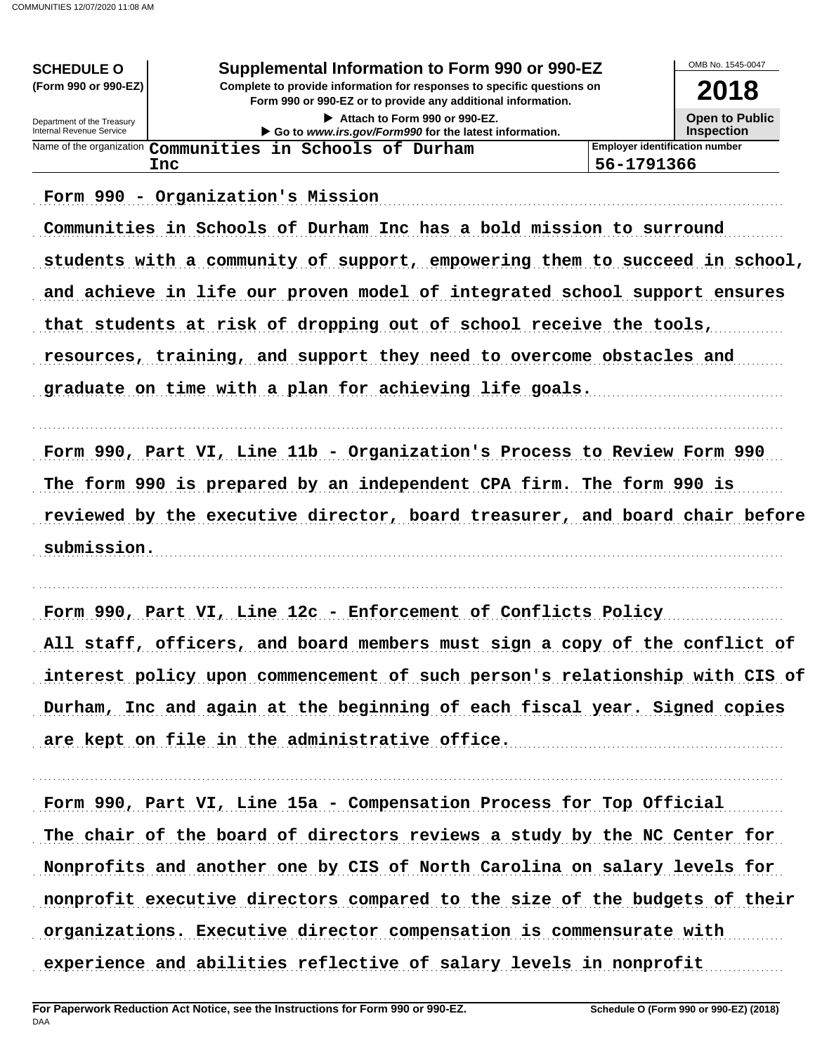| <b>SCHEDULE O</b><br>(Form 990 or 990-EZ)<br>Department of the Treasury<br>Internal Revenue Service | Supplemental Information to Form 990 or 990-EZ<br>Complete to provide information for responses to specific questions on<br>Form 990 or 990-EZ or to provide any additional information.<br>Attach to Form 990 or 990-EZ.<br>Go to www.irs.gov/Form990 for the latest information. |                                       |  |  |
|-----------------------------------------------------------------------------------------------------|------------------------------------------------------------------------------------------------------------------------------------------------------------------------------------------------------------------------------------------------------------------------------------|---------------------------------------|--|--|
|                                                                                                     | Name of the organization Communities in Schools of Durham                                                                                                                                                                                                                          | <b>Employer identification number</b> |  |  |
| Inc                                                                                                 |                                                                                                                                                                                                                                                                                    | 56-1791366                            |  |  |
|                                                                                                     | Form 990 - Organization's Mission<br>Communities in Schools of Durham Inc has a bold mission to surround                                                                                                                                                                           |                                       |  |  |
|                                                                                                     | students with a community of support, empowering them to succeed in school,                                                                                                                                                                                                        |                                       |  |  |
|                                                                                                     | and achieve in life our proven model of integrated school support ensures                                                                                                                                                                                                          |                                       |  |  |
|                                                                                                     | that students at risk of dropping out of school receive the tools,                                                                                                                                                                                                                 |                                       |  |  |
|                                                                                                     | resources, training, and support they need to overcome obstacles and                                                                                                                                                                                                               |                                       |  |  |
|                                                                                                     | graduate on time with a plan for achieving life goals.                                                                                                                                                                                                                             |                                       |  |  |
|                                                                                                     |                                                                                                                                                                                                                                                                                    |                                       |  |  |
|                                                                                                     | Form 990, Part VI, Line 11b - Organization's Process to Review Form 990                                                                                                                                                                                                            |                                       |  |  |
|                                                                                                     | The form 990 is prepared by an independent CPA firm. The form 990 is                                                                                                                                                                                                               |                                       |  |  |
|                                                                                                     | reviewed by the executive director, board treasurer, and board chair before                                                                                                                                                                                                        |                                       |  |  |
| submission.                                                                                         |                                                                                                                                                                                                                                                                                    |                                       |  |  |
|                                                                                                     |                                                                                                                                                                                                                                                                                    |                                       |  |  |
|                                                                                                     | Form 990, Part VI, Line 12c - Enforcement of Conflicts Policy                                                                                                                                                                                                                      |                                       |  |  |
|                                                                                                     | All staff, officers, and board members must sign a copy of the conflict of                                                                                                                                                                                                         |                                       |  |  |
|                                                                                                     | interest policy upon commencement of such person's relationship with CIS of                                                                                                                                                                                                        |                                       |  |  |
|                                                                                                     | Durham, Inc and again at the beginning of each fiscal year. Signed copies                                                                                                                                                                                                          |                                       |  |  |
|                                                                                                     | are kept on file in the administrative office.                                                                                                                                                                                                                                     |                                       |  |  |
|                                                                                                     |                                                                                                                                                                                                                                                                                    |                                       |  |  |
|                                                                                                     | Form 990, Part VI, Line 15a - Compensation Process for Top Official                                                                                                                                                                                                                |                                       |  |  |
|                                                                                                     | The chair of the board of directors reviews a study by the NC Center for                                                                                                                                                                                                           |                                       |  |  |
|                                                                                                     | Nonprofits and another one by CIS of North Carolina on salary levels for                                                                                                                                                                                                           |                                       |  |  |
|                                                                                                     | nonprofit executive directors compared to the size of the budgets of their                                                                                                                                                                                                         |                                       |  |  |
|                                                                                                     | organizations. Executive director compensation is commensurate with                                                                                                                                                                                                                |                                       |  |  |
|                                                                                                     | experience and abilities reflective of salary levels in nonprofit                                                                                                                                                                                                                  |                                       |  |  |
|                                                                                                     |                                                                                                                                                                                                                                                                                    |                                       |  |  |